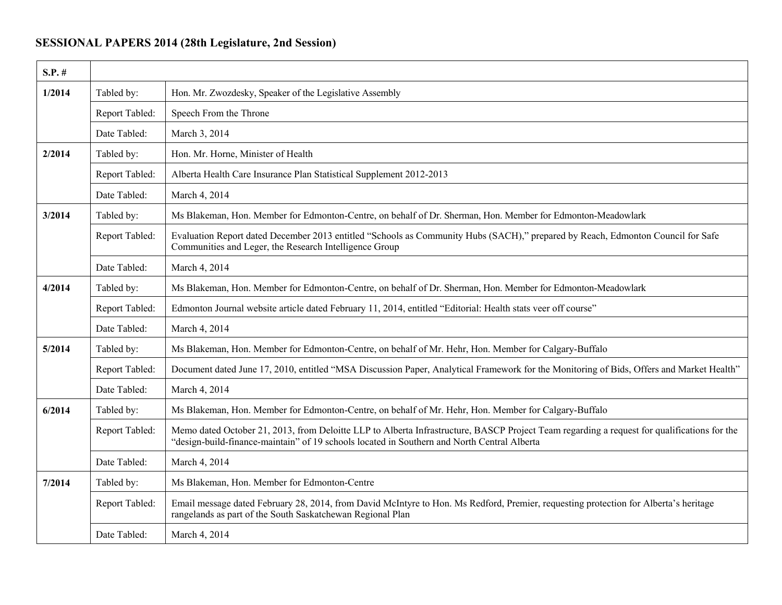## **SESSIONAL PAPERS 2014 (28th Legislature, 2nd Session)**

| $S.P.$ # |                |                                                                                                                                                                                                                                            |
|----------|----------------|--------------------------------------------------------------------------------------------------------------------------------------------------------------------------------------------------------------------------------------------|
| 1/2014   | Tabled by:     | Hon. Mr. Zwozdesky, Speaker of the Legislative Assembly                                                                                                                                                                                    |
|          | Report Tabled: | Speech From the Throne                                                                                                                                                                                                                     |
|          | Date Tabled:   | March 3, 2014                                                                                                                                                                                                                              |
| 2/2014   | Tabled by:     | Hon. Mr. Horne, Minister of Health                                                                                                                                                                                                         |
|          | Report Tabled: | Alberta Health Care Insurance Plan Statistical Supplement 2012-2013                                                                                                                                                                        |
|          | Date Tabled:   | March 4, 2014                                                                                                                                                                                                                              |
| 3/2014   | Tabled by:     | Ms Blakeman, Hon. Member for Edmonton-Centre, on behalf of Dr. Sherman, Hon. Member for Edmonton-Meadowlark                                                                                                                                |
|          | Report Tabled: | Evaluation Report dated December 2013 entitled "Schools as Community Hubs (SACH)," prepared by Reach, Edmonton Council for Safe<br>Communities and Leger, the Research Intelligence Group                                                  |
|          | Date Tabled:   | March 4, 2014                                                                                                                                                                                                                              |
| 4/2014   | Tabled by:     | Ms Blakeman, Hon. Member for Edmonton-Centre, on behalf of Dr. Sherman, Hon. Member for Edmonton-Meadowlark                                                                                                                                |
|          | Report Tabled: | Edmonton Journal website article dated February 11, 2014, entitled "Editorial: Health stats veer off course"                                                                                                                               |
|          | Date Tabled:   | March 4, 2014                                                                                                                                                                                                                              |
| 5/2014   | Tabled by:     | Ms Blakeman, Hon. Member for Edmonton-Centre, on behalf of Mr. Hehr, Hon. Member for Calgary-Buffalo                                                                                                                                       |
|          | Report Tabled: | Document dated June 17, 2010, entitled "MSA Discussion Paper, Analytical Framework for the Monitoring of Bids, Offers and Market Health"                                                                                                   |
|          | Date Tabled:   | March 4, 2014                                                                                                                                                                                                                              |
| 6/2014   | Tabled by:     | Ms Blakeman, Hon. Member for Edmonton-Centre, on behalf of Mr. Hehr, Hon. Member for Calgary-Buffalo                                                                                                                                       |
|          | Report Tabled: | Memo dated October 21, 2013, from Deloitte LLP to Alberta Infrastructure, BASCP Project Team regarding a request for qualifications for the<br>"design-build-finance-maintain" of 19 schools located in Southern and North Central Alberta |
|          | Date Tabled:   | March 4, 2014                                                                                                                                                                                                                              |
| 7/2014   | Tabled by:     | Ms Blakeman, Hon. Member for Edmonton-Centre                                                                                                                                                                                               |
|          | Report Tabled: | Email message dated February 28, 2014, from David McIntyre to Hon. Ms Redford, Premier, requesting protection for Alberta's heritage<br>rangelands as part of the South Saskatchewan Regional Plan                                         |
|          | Date Tabled:   | March 4, 2014                                                                                                                                                                                                                              |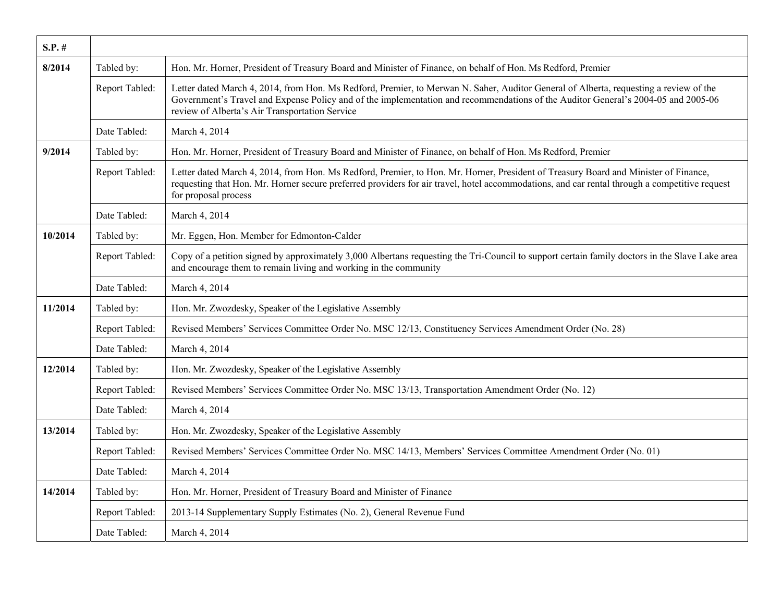| $S.P.$ # |                |                                                                                                                                                                                                                                                                                                                              |
|----------|----------------|------------------------------------------------------------------------------------------------------------------------------------------------------------------------------------------------------------------------------------------------------------------------------------------------------------------------------|
| 8/2014   | Tabled by:     | Hon. Mr. Horner, President of Treasury Board and Minister of Finance, on behalf of Hon. Ms Redford, Premier                                                                                                                                                                                                                  |
|          | Report Tabled: | Letter dated March 4, 2014, from Hon. Ms Redford, Premier, to Merwan N. Saher, Auditor General of Alberta, requesting a review of the<br>Government's Travel and Expense Policy and of the implementation and recommendations of the Auditor General's 2004-05 and 2005-06<br>review of Alberta's Air Transportation Service |
|          | Date Tabled:   | March 4, 2014                                                                                                                                                                                                                                                                                                                |
| 9/2014   | Tabled by:     | Hon. Mr. Horner, President of Treasury Board and Minister of Finance, on behalf of Hon. Ms Redford, Premier                                                                                                                                                                                                                  |
|          | Report Tabled: | Letter dated March 4, 2014, from Hon. Ms Redford, Premier, to Hon. Mr. Horner, President of Treasury Board and Minister of Finance,<br>requesting that Hon. Mr. Horner secure preferred providers for air travel, hotel accommodations, and car rental through a competitive request<br>for proposal process                 |
|          | Date Tabled:   | March 4, 2014                                                                                                                                                                                                                                                                                                                |
| 10/2014  | Tabled by:     | Mr. Eggen, Hon. Member for Edmonton-Calder                                                                                                                                                                                                                                                                                   |
|          | Report Tabled: | Copy of a petition signed by approximately 3,000 Albertans requesting the Tri-Council to support certain family doctors in the Slave Lake area<br>and encourage them to remain living and working in the community                                                                                                           |
|          | Date Tabled:   | March 4, 2014                                                                                                                                                                                                                                                                                                                |
| 11/2014  | Tabled by:     | Hon. Mr. Zwozdesky, Speaker of the Legislative Assembly                                                                                                                                                                                                                                                                      |
|          | Report Tabled: | Revised Members' Services Committee Order No. MSC 12/13, Constituency Services Amendment Order (No. 28)                                                                                                                                                                                                                      |
|          | Date Tabled:   | March 4, 2014                                                                                                                                                                                                                                                                                                                |
| 12/2014  | Tabled by:     | Hon. Mr. Zwozdesky, Speaker of the Legislative Assembly                                                                                                                                                                                                                                                                      |
|          | Report Tabled: | Revised Members' Services Committee Order No. MSC 13/13, Transportation Amendment Order (No. 12)                                                                                                                                                                                                                             |
|          | Date Tabled:   | March 4, 2014                                                                                                                                                                                                                                                                                                                |
| 13/2014  | Tabled by:     | Hon. Mr. Zwozdesky, Speaker of the Legislative Assembly                                                                                                                                                                                                                                                                      |
|          | Report Tabled: | Revised Members' Services Committee Order No. MSC 14/13, Members' Services Committee Amendment Order (No. 01)                                                                                                                                                                                                                |
|          | Date Tabled:   | March 4, 2014                                                                                                                                                                                                                                                                                                                |
| 14/2014  | Tabled by:     | Hon. Mr. Horner, President of Treasury Board and Minister of Finance                                                                                                                                                                                                                                                         |
|          | Report Tabled: | 2013-14 Supplementary Supply Estimates (No. 2), General Revenue Fund                                                                                                                                                                                                                                                         |
|          | Date Tabled:   | March 4, 2014                                                                                                                                                                                                                                                                                                                |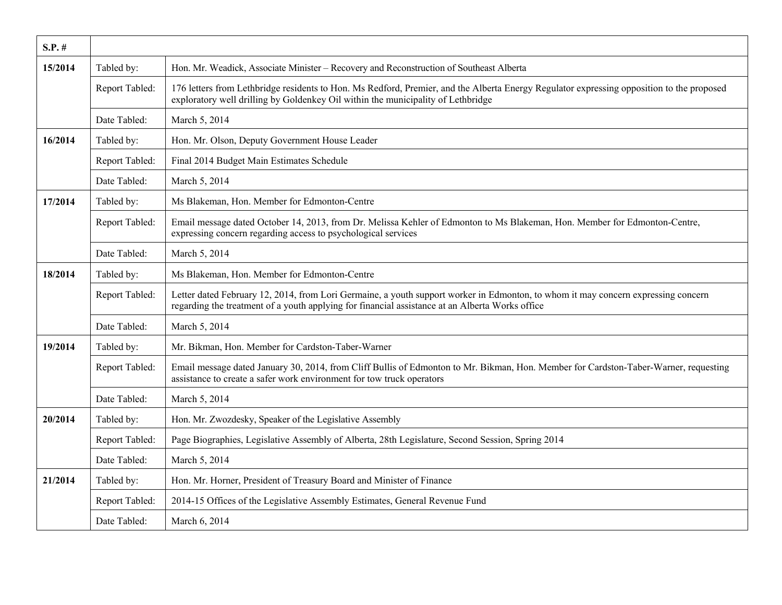| $S.P.$ # |                |                                                                                                                                                                                                                                      |
|----------|----------------|--------------------------------------------------------------------------------------------------------------------------------------------------------------------------------------------------------------------------------------|
| 15/2014  | Tabled by:     | Hon. Mr. Weadick, Associate Minister – Recovery and Reconstruction of Southeast Alberta                                                                                                                                              |
|          | Report Tabled: | 176 letters from Lethbridge residents to Hon. Ms Redford, Premier, and the Alberta Energy Regulator expressing opposition to the proposed<br>exploratory well drilling by Goldenkey Oil within the municipality of Lethbridge        |
|          | Date Tabled:   | March 5, 2014                                                                                                                                                                                                                        |
| 16/2014  | Tabled by:     | Hon. Mr. Olson, Deputy Government House Leader                                                                                                                                                                                       |
|          | Report Tabled: | Final 2014 Budget Main Estimates Schedule                                                                                                                                                                                            |
|          | Date Tabled:   | March 5, 2014                                                                                                                                                                                                                        |
| 17/2014  | Tabled by:     | Ms Blakeman, Hon. Member for Edmonton-Centre                                                                                                                                                                                         |
|          | Report Tabled: | Email message dated October 14, 2013, from Dr. Melissa Kehler of Edmonton to Ms Blakeman, Hon. Member for Edmonton-Centre,<br>expressing concern regarding access to psychological services                                          |
|          | Date Tabled:   | March 5, 2014                                                                                                                                                                                                                        |
| 18/2014  | Tabled by:     | Ms Blakeman, Hon. Member for Edmonton-Centre                                                                                                                                                                                         |
|          | Report Tabled: | Letter dated February 12, 2014, from Lori Germaine, a youth support worker in Edmonton, to whom it may concern expressing concern<br>regarding the treatment of a youth applying for financial assistance at an Alberta Works office |
|          | Date Tabled:   | March 5, 2014                                                                                                                                                                                                                        |
| 19/2014  | Tabled by:     | Mr. Bikman, Hon. Member for Cardston-Taber-Warner                                                                                                                                                                                    |
|          | Report Tabled: | Email message dated January 30, 2014, from Cliff Bullis of Edmonton to Mr. Bikman, Hon. Member for Cardston-Taber-Warner, requesting<br>assistance to create a safer work environment for tow truck operators                        |
|          | Date Tabled:   | March 5, 2014                                                                                                                                                                                                                        |
| 20/2014  | Tabled by:     | Hon. Mr. Zwozdesky, Speaker of the Legislative Assembly                                                                                                                                                                              |
|          | Report Tabled: | Page Biographies, Legislative Assembly of Alberta, 28th Legislature, Second Session, Spring 2014                                                                                                                                     |
|          | Date Tabled:   | March 5, 2014                                                                                                                                                                                                                        |
| 21/2014  | Tabled by:     | Hon. Mr. Horner, President of Treasury Board and Minister of Finance                                                                                                                                                                 |
|          | Report Tabled: | 2014-15 Offices of the Legislative Assembly Estimates, General Revenue Fund                                                                                                                                                          |
|          | Date Tabled:   | March 6, 2014                                                                                                                                                                                                                        |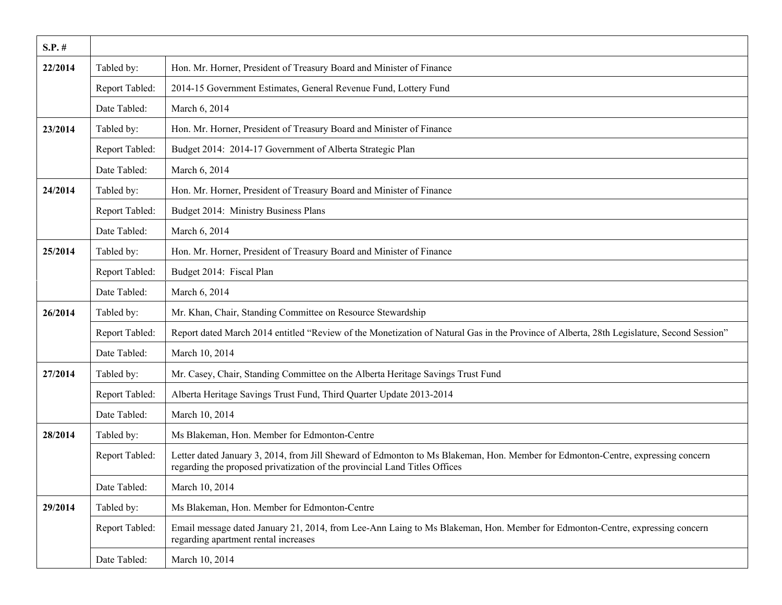| $S.P.$ # |                |                                                                                                                                                                                                               |
|----------|----------------|---------------------------------------------------------------------------------------------------------------------------------------------------------------------------------------------------------------|
| 22/2014  | Tabled by:     | Hon. Mr. Horner, President of Treasury Board and Minister of Finance                                                                                                                                          |
|          | Report Tabled: | 2014-15 Government Estimates, General Revenue Fund, Lottery Fund                                                                                                                                              |
|          | Date Tabled:   | March 6, 2014                                                                                                                                                                                                 |
| 23/2014  | Tabled by:     | Hon. Mr. Horner, President of Treasury Board and Minister of Finance                                                                                                                                          |
|          | Report Tabled: | Budget 2014: 2014-17 Government of Alberta Strategic Plan                                                                                                                                                     |
|          | Date Tabled:   | March 6, 2014                                                                                                                                                                                                 |
| 24/2014  | Tabled by:     | Hon. Mr. Horner, President of Treasury Board and Minister of Finance                                                                                                                                          |
|          | Report Tabled: | Budget 2014: Ministry Business Plans                                                                                                                                                                          |
|          | Date Tabled:   | March 6, 2014                                                                                                                                                                                                 |
| 25/2014  | Tabled by:     | Hon. Mr. Horner, President of Treasury Board and Minister of Finance                                                                                                                                          |
|          | Report Tabled: | Budget 2014: Fiscal Plan                                                                                                                                                                                      |
|          | Date Tabled:   | March 6, 2014                                                                                                                                                                                                 |
| 26/2014  | Tabled by:     | Mr. Khan, Chair, Standing Committee on Resource Stewardship                                                                                                                                                   |
|          | Report Tabled: | Report dated March 2014 entitled "Review of the Monetization of Natural Gas in the Province of Alberta, 28th Legislature, Second Session"                                                                     |
|          | Date Tabled:   | March 10, 2014                                                                                                                                                                                                |
| 27/2014  | Tabled by:     | Mr. Casey, Chair, Standing Committee on the Alberta Heritage Savings Trust Fund                                                                                                                               |
|          | Report Tabled: | Alberta Heritage Savings Trust Fund, Third Quarter Update 2013-2014                                                                                                                                           |
|          | Date Tabled:   | March 10, 2014                                                                                                                                                                                                |
| 28/2014  | Tabled by:     | Ms Blakeman, Hon. Member for Edmonton-Centre                                                                                                                                                                  |
|          | Report Tabled: | Letter dated January 3, 2014, from Jill Sheward of Edmonton to Ms Blakeman, Hon. Member for Edmonton-Centre, expressing concern<br>regarding the proposed privatization of the provincial Land Titles Offices |
|          | Date Tabled:   | March 10, 2014                                                                                                                                                                                                |
| 29/2014  | Tabled by:     | Ms Blakeman, Hon. Member for Edmonton-Centre                                                                                                                                                                  |
|          | Report Tabled: | Email message dated January 21, 2014, from Lee-Ann Laing to Ms Blakeman, Hon. Member for Edmonton-Centre, expressing concern<br>regarding apartment rental increases                                          |
|          | Date Tabled:   | March 10, 2014                                                                                                                                                                                                |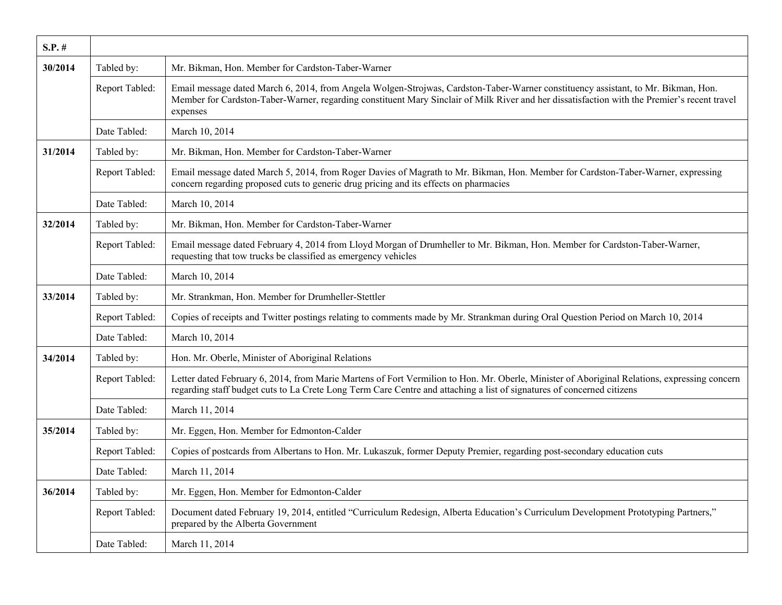| $S.P.$ # |                |                                                                                                                                                                                                                                                                                               |
|----------|----------------|-----------------------------------------------------------------------------------------------------------------------------------------------------------------------------------------------------------------------------------------------------------------------------------------------|
| 30/2014  | Tabled by:     | Mr. Bikman, Hon. Member for Cardston-Taber-Warner                                                                                                                                                                                                                                             |
|          | Report Tabled: | Email message dated March 6, 2014, from Angela Wolgen-Strojwas, Cardston-Taber-Warner constituency assistant, to Mr. Bikman, Hon.<br>Member for Cardston-Taber-Warner, regarding constituent Mary Sinclair of Milk River and her dissatisfaction with the Premier's recent travel<br>expenses |
|          | Date Tabled:   | March 10, 2014                                                                                                                                                                                                                                                                                |
| 31/2014  | Tabled by:     | Mr. Bikman, Hon. Member for Cardston-Taber-Warner                                                                                                                                                                                                                                             |
|          | Report Tabled: | Email message dated March 5, 2014, from Roger Davies of Magrath to Mr. Bikman, Hon. Member for Cardston-Taber-Warner, expressing<br>concern regarding proposed cuts to generic drug pricing and its effects on pharmacies                                                                     |
|          | Date Tabled:   | March 10, 2014                                                                                                                                                                                                                                                                                |
| 32/2014  | Tabled by:     | Mr. Bikman, Hon. Member for Cardston-Taber-Warner                                                                                                                                                                                                                                             |
|          | Report Tabled: | Email message dated February 4, 2014 from Lloyd Morgan of Drumheller to Mr. Bikman, Hon. Member for Cardston-Taber-Warner,<br>requesting that tow trucks be classified as emergency vehicles                                                                                                  |
|          | Date Tabled:   | March 10, 2014                                                                                                                                                                                                                                                                                |
| 33/2014  | Tabled by:     | Mr. Strankman, Hon. Member for Drumheller-Stettler                                                                                                                                                                                                                                            |
|          | Report Tabled: | Copies of receipts and Twitter postings relating to comments made by Mr. Strankman during Oral Question Period on March 10, 2014                                                                                                                                                              |
|          | Date Tabled:   | March 10, 2014                                                                                                                                                                                                                                                                                |
| 34/2014  | Tabled by:     | Hon. Mr. Oberle, Minister of Aboriginal Relations                                                                                                                                                                                                                                             |
|          | Report Tabled: | Letter dated February 6, 2014, from Marie Martens of Fort Vermilion to Hon. Mr. Oberle, Minister of Aboriginal Relations, expressing concern<br>regarding staff budget cuts to La Crete Long Term Care Centre and attaching a list of signatures of concerned citizens                        |
|          | Date Tabled:   | March 11, 2014                                                                                                                                                                                                                                                                                |
| 35/2014  | Tabled by:     | Mr. Eggen, Hon. Member for Edmonton-Calder                                                                                                                                                                                                                                                    |
|          | Report Tabled: | Copies of postcards from Albertans to Hon. Mr. Lukaszuk, former Deputy Premier, regarding post-secondary education cuts                                                                                                                                                                       |
|          | Date Tabled:   | March 11, 2014                                                                                                                                                                                                                                                                                |
| 36/2014  | Tabled by:     | Mr. Eggen, Hon. Member for Edmonton-Calder                                                                                                                                                                                                                                                    |
|          | Report Tabled: | Document dated February 19, 2014, entitled "Curriculum Redesign, Alberta Education's Curriculum Development Prototyping Partners,"<br>prepared by the Alberta Government                                                                                                                      |
|          | Date Tabled:   | March 11, 2014                                                                                                                                                                                                                                                                                |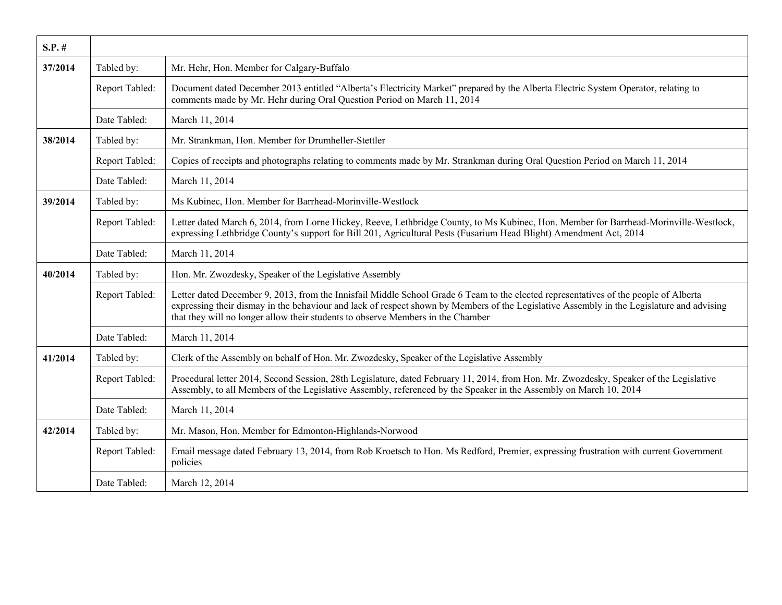| $S.P.$ # |                |                                                                                                                                                                                                                                                                                                                                                                      |
|----------|----------------|----------------------------------------------------------------------------------------------------------------------------------------------------------------------------------------------------------------------------------------------------------------------------------------------------------------------------------------------------------------------|
| 37/2014  | Tabled by:     | Mr. Hehr, Hon. Member for Calgary-Buffalo                                                                                                                                                                                                                                                                                                                            |
|          | Report Tabled: | Document dated December 2013 entitled "Alberta's Electricity Market" prepared by the Alberta Electric System Operator, relating to<br>comments made by Mr. Hehr during Oral Question Period on March 11, 2014                                                                                                                                                        |
|          | Date Tabled:   | March 11, 2014                                                                                                                                                                                                                                                                                                                                                       |
| 38/2014  | Tabled by:     | Mr. Strankman, Hon. Member for Drumheller-Stettler                                                                                                                                                                                                                                                                                                                   |
|          | Report Tabled: | Copies of receipts and photographs relating to comments made by Mr. Strankman during Oral Question Period on March 11, 2014                                                                                                                                                                                                                                          |
|          | Date Tabled:   | March 11, 2014                                                                                                                                                                                                                                                                                                                                                       |
| 39/2014  | Tabled by:     | Ms Kubinec, Hon. Member for Barrhead-Morinville-Westlock                                                                                                                                                                                                                                                                                                             |
|          | Report Tabled: | Letter dated March 6, 2014, from Lorne Hickey, Reeve, Lethbridge County, to Ms Kubinec, Hon. Member for Barrhead-Morinville-Westlock,<br>expressing Lethbridge County's support for Bill 201, Agricultural Pests (Fusarium Head Blight) Amendment Act, 2014                                                                                                          |
|          | Date Tabled:   | March 11, 2014                                                                                                                                                                                                                                                                                                                                                       |
| 40/2014  | Tabled by:     | Hon. Mr. Zwozdesky, Speaker of the Legislative Assembly                                                                                                                                                                                                                                                                                                              |
|          | Report Tabled: | Letter dated December 9, 2013, from the Innisfail Middle School Grade 6 Team to the elected representatives of the people of Alberta<br>expressing their dismay in the behaviour and lack of respect shown by Members of the Legislative Assembly in the Legislature and advising<br>that they will no longer allow their students to observe Members in the Chamber |
|          | Date Tabled:   | March 11, 2014                                                                                                                                                                                                                                                                                                                                                       |
| 41/2014  | Tabled by:     | Clerk of the Assembly on behalf of Hon. Mr. Zwozdesky, Speaker of the Legislative Assembly                                                                                                                                                                                                                                                                           |
|          | Report Tabled: | Procedural letter 2014, Second Session, 28th Legislature, dated February 11, 2014, from Hon. Mr. Zwozdesky, Speaker of the Legislative<br>Assembly, to all Members of the Legislative Assembly, referenced by the Speaker in the Assembly on March 10, 2014                                                                                                          |
|          | Date Tabled:   | March 11, 2014                                                                                                                                                                                                                                                                                                                                                       |
| 42/2014  | Tabled by:     | Mr. Mason, Hon. Member for Edmonton-Highlands-Norwood                                                                                                                                                                                                                                                                                                                |
|          | Report Tabled: | Email message dated February 13, 2014, from Rob Kroetsch to Hon. Ms Redford, Premier, expressing frustration with current Government<br>policies                                                                                                                                                                                                                     |
|          | Date Tabled:   | March 12, 2014                                                                                                                                                                                                                                                                                                                                                       |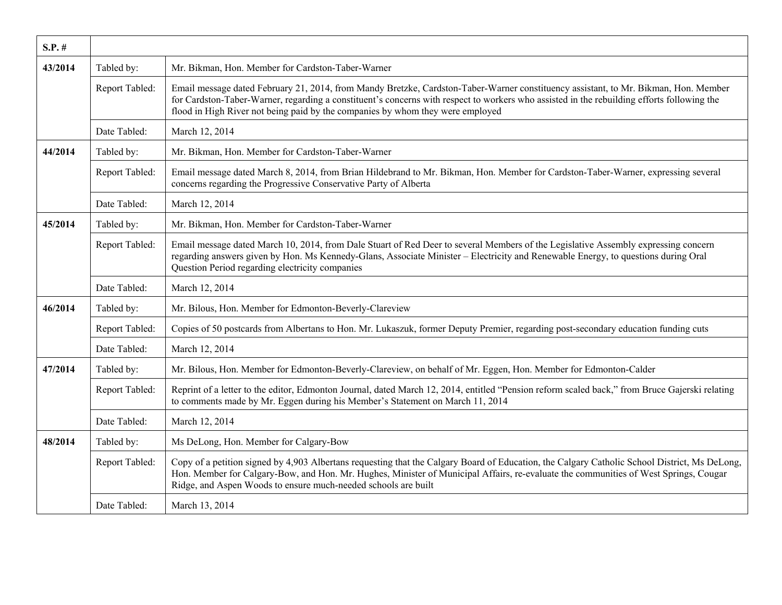| $S.P.$ # |                |                                                                                                                                                                                                                                                                                                                                                                     |
|----------|----------------|---------------------------------------------------------------------------------------------------------------------------------------------------------------------------------------------------------------------------------------------------------------------------------------------------------------------------------------------------------------------|
| 43/2014  | Tabled by:     | Mr. Bikman, Hon. Member for Cardston-Taber-Warner                                                                                                                                                                                                                                                                                                                   |
|          | Report Tabled: | Email message dated February 21, 2014, from Mandy Bretzke, Cardston-Taber-Warner constituency assistant, to Mr. Bikman, Hon. Member<br>for Cardston-Taber-Warner, regarding a constituent's concerns with respect to workers who assisted in the rebuilding efforts following the<br>flood in High River not being paid by the companies by whom they were employed |
|          | Date Tabled:   | March 12, 2014                                                                                                                                                                                                                                                                                                                                                      |
| 44/2014  | Tabled by:     | Mr. Bikman, Hon. Member for Cardston-Taber-Warner                                                                                                                                                                                                                                                                                                                   |
|          | Report Tabled: | Email message dated March 8, 2014, from Brian Hildebrand to Mr. Bikman, Hon. Member for Cardston-Taber-Warner, expressing several<br>concerns regarding the Progressive Conservative Party of Alberta                                                                                                                                                               |
|          | Date Tabled:   | March 12, 2014                                                                                                                                                                                                                                                                                                                                                      |
| 45/2014  | Tabled by:     | Mr. Bikman, Hon. Member for Cardston-Taber-Warner                                                                                                                                                                                                                                                                                                                   |
|          | Report Tabled: | Email message dated March 10, 2014, from Dale Stuart of Red Deer to several Members of the Legislative Assembly expressing concern<br>regarding answers given by Hon. Ms Kennedy-Glans, Associate Minister – Electricity and Renewable Energy, to questions during Oral<br>Question Period regarding electricity companies                                          |
|          | Date Tabled:   | March 12, 2014                                                                                                                                                                                                                                                                                                                                                      |
| 46/2014  | Tabled by:     | Mr. Bilous, Hon. Member for Edmonton-Beverly-Clareview                                                                                                                                                                                                                                                                                                              |
|          | Report Tabled: | Copies of 50 postcards from Albertans to Hon. Mr. Lukaszuk, former Deputy Premier, regarding post-secondary education funding cuts                                                                                                                                                                                                                                  |
|          | Date Tabled:   | March 12, 2014                                                                                                                                                                                                                                                                                                                                                      |
| 47/2014  | Tabled by:     | Mr. Bilous, Hon. Member for Edmonton-Beverly-Clareview, on behalf of Mr. Eggen, Hon. Member for Edmonton-Calder                                                                                                                                                                                                                                                     |
|          | Report Tabled: | Reprint of a letter to the editor, Edmonton Journal, dated March 12, 2014, entitled "Pension reform scaled back," from Bruce Gajerski relating<br>to comments made by Mr. Eggen during his Member's Statement on March 11, 2014                                                                                                                                     |
|          | Date Tabled:   | March 12, 2014                                                                                                                                                                                                                                                                                                                                                      |
| 48/2014  | Tabled by:     | Ms DeLong, Hon. Member for Calgary-Bow                                                                                                                                                                                                                                                                                                                              |
|          | Report Tabled: | Copy of a petition signed by 4,903 Albertans requesting that the Calgary Board of Education, the Calgary Catholic School District, Ms DeLong,<br>Hon. Member for Calgary-Bow, and Hon. Mr. Hughes, Minister of Municipal Affairs, re-evaluate the communities of West Springs, Cougar<br>Ridge, and Aspen Woods to ensure much-needed schools are built             |
|          | Date Tabled:   | March 13, 2014                                                                                                                                                                                                                                                                                                                                                      |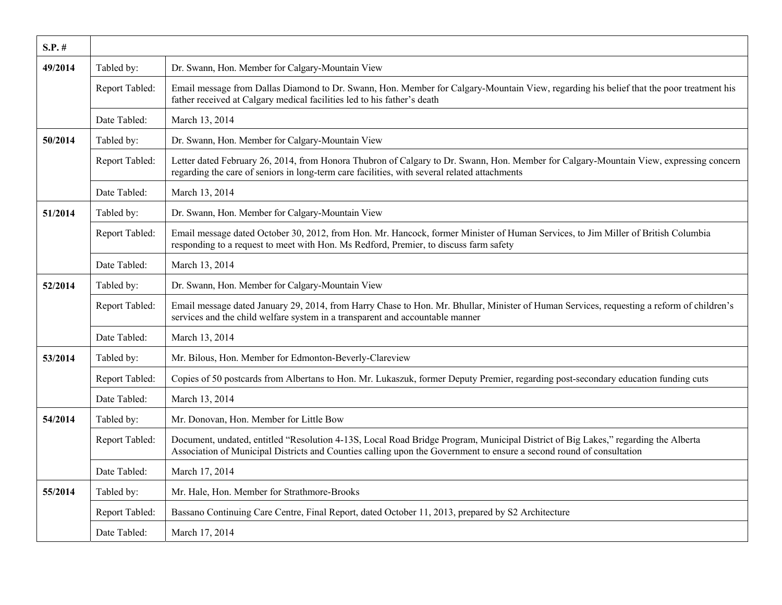| $S.P.$ # |                |                                                                                                                                                                                                                                                           |
|----------|----------------|-----------------------------------------------------------------------------------------------------------------------------------------------------------------------------------------------------------------------------------------------------------|
| 49/2014  | Tabled by:     | Dr. Swann, Hon. Member for Calgary-Mountain View                                                                                                                                                                                                          |
|          | Report Tabled: | Email message from Dallas Diamond to Dr. Swann, Hon. Member for Calgary-Mountain View, regarding his belief that the poor treatment his<br>father received at Calgary medical facilities led to his father's death                                        |
|          | Date Tabled:   | March 13, 2014                                                                                                                                                                                                                                            |
| 50/2014  | Tabled by:     | Dr. Swann, Hon. Member for Calgary-Mountain View                                                                                                                                                                                                          |
|          | Report Tabled: | Letter dated February 26, 2014, from Honora Thubron of Calgary to Dr. Swann, Hon. Member for Calgary-Mountain View, expressing concern<br>regarding the care of seniors in long-term care facilities, with several related attachments                    |
|          | Date Tabled:   | March 13, 2014                                                                                                                                                                                                                                            |
| 51/2014  | Tabled by:     | Dr. Swann, Hon. Member for Calgary-Mountain View                                                                                                                                                                                                          |
|          | Report Tabled: | Email message dated October 30, 2012, from Hon. Mr. Hancock, former Minister of Human Services, to Jim Miller of British Columbia<br>responding to a request to meet with Hon. Ms Redford, Premier, to discuss farm safety                                |
|          | Date Tabled:   | March 13, 2014                                                                                                                                                                                                                                            |
| 52/2014  | Tabled by:     | Dr. Swann, Hon. Member for Calgary-Mountain View                                                                                                                                                                                                          |
|          | Report Tabled: | Email message dated January 29, 2014, from Harry Chase to Hon. Mr. Bhullar, Minister of Human Services, requesting a reform of children's<br>services and the child welfare system in a transparent and accountable manner                                |
|          | Date Tabled:   | March 13, 2014                                                                                                                                                                                                                                            |
| 53/2014  | Tabled by:     | Mr. Bilous, Hon. Member for Edmonton-Beverly-Clareview                                                                                                                                                                                                    |
|          | Report Tabled: | Copies of 50 postcards from Albertans to Hon. Mr. Lukaszuk, former Deputy Premier, regarding post-secondary education funding cuts                                                                                                                        |
|          | Date Tabled:   | March 13, 2014                                                                                                                                                                                                                                            |
| 54/2014  | Tabled by:     | Mr. Donovan, Hon. Member for Little Bow                                                                                                                                                                                                                   |
|          | Report Tabled: | Document, undated, entitled "Resolution 4-13S, Local Road Bridge Program, Municipal District of Big Lakes," regarding the Alberta<br>Association of Municipal Districts and Counties calling upon the Government to ensure a second round of consultation |
|          | Date Tabled:   | March 17, 2014                                                                                                                                                                                                                                            |
| 55/2014  | Tabled by:     | Mr. Hale, Hon. Member for Strathmore-Brooks                                                                                                                                                                                                               |
|          | Report Tabled: | Bassano Continuing Care Centre, Final Report, dated October 11, 2013, prepared by S2 Architecture                                                                                                                                                         |
|          | Date Tabled:   | March 17, 2014                                                                                                                                                                                                                                            |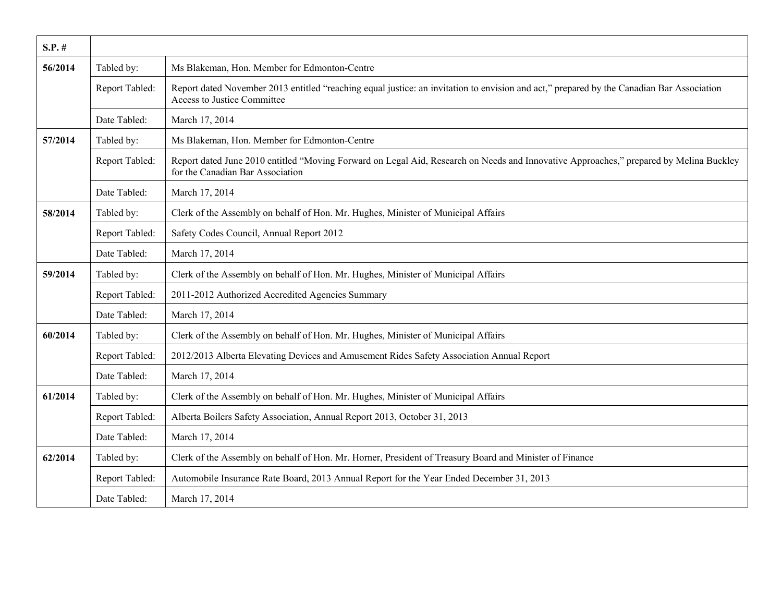| $S.P.$ # |                |                                                                                                                                                                            |
|----------|----------------|----------------------------------------------------------------------------------------------------------------------------------------------------------------------------|
| 56/2014  | Tabled by:     | Ms Blakeman, Hon. Member for Edmonton-Centre                                                                                                                               |
|          | Report Tabled: | Report dated November 2013 entitled "reaching equal justice: an invitation to envision and act," prepared by the Canadian Bar Association<br>Access to Justice Committee   |
|          | Date Tabled:   | March 17, 2014                                                                                                                                                             |
| 57/2014  | Tabled by:     | Ms Blakeman, Hon. Member for Edmonton-Centre                                                                                                                               |
|          | Report Tabled: | Report dated June 2010 entitled "Moving Forward on Legal Aid, Research on Needs and Innovative Approaches," prepared by Melina Buckley<br>for the Canadian Bar Association |
|          | Date Tabled:   | March 17, 2014                                                                                                                                                             |
| 58/2014  | Tabled by:     | Clerk of the Assembly on behalf of Hon. Mr. Hughes, Minister of Municipal Affairs                                                                                          |
|          | Report Tabled: | Safety Codes Council, Annual Report 2012                                                                                                                                   |
|          | Date Tabled:   | March 17, 2014                                                                                                                                                             |
| 59/2014  | Tabled by:     | Clerk of the Assembly on behalf of Hon. Mr. Hughes, Minister of Municipal Affairs                                                                                          |
|          | Report Tabled: | 2011-2012 Authorized Accredited Agencies Summary                                                                                                                           |
|          | Date Tabled:   | March 17, 2014                                                                                                                                                             |
| 60/2014  | Tabled by:     | Clerk of the Assembly on behalf of Hon. Mr. Hughes, Minister of Municipal Affairs                                                                                          |
|          | Report Tabled: | 2012/2013 Alberta Elevating Devices and Amusement Rides Safety Association Annual Report                                                                                   |
|          | Date Tabled:   | March 17, 2014                                                                                                                                                             |
| 61/2014  | Tabled by:     | Clerk of the Assembly on behalf of Hon. Mr. Hughes, Minister of Municipal Affairs                                                                                          |
|          | Report Tabled: | Alberta Boilers Safety Association, Annual Report 2013, October 31, 2013                                                                                                   |
|          | Date Tabled:   | March 17, 2014                                                                                                                                                             |
| 62/2014  | Tabled by:     | Clerk of the Assembly on behalf of Hon. Mr. Horner, President of Treasury Board and Minister of Finance                                                                    |
|          | Report Tabled: | Automobile Insurance Rate Board, 2013 Annual Report for the Year Ended December 31, 2013                                                                                   |
|          | Date Tabled:   | March 17, 2014                                                                                                                                                             |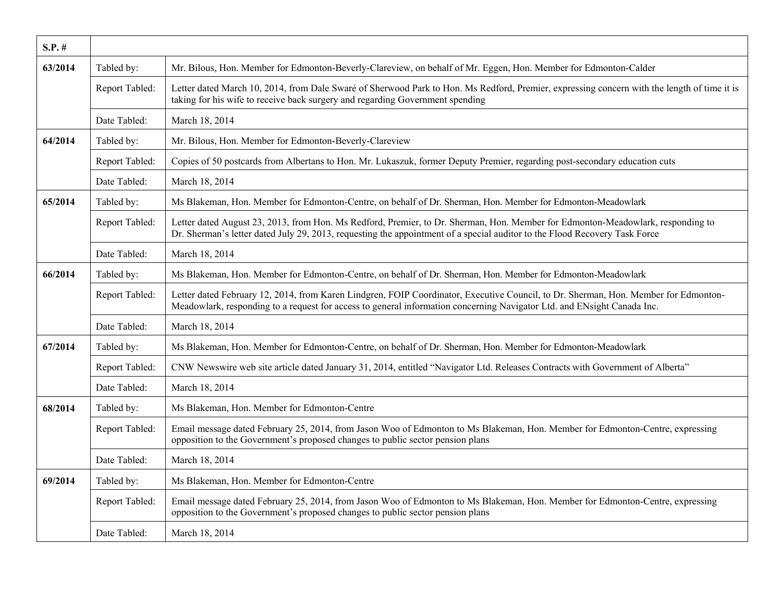| $S.P.$ # |                |                                                                                                                                                                                                                                                                |
|----------|----------------|----------------------------------------------------------------------------------------------------------------------------------------------------------------------------------------------------------------------------------------------------------------|
| 63/2014  | Tabled by:     | Mr. Bilous, Hon. Member for Edmonton-Beverly-Clareview, on behalf of Mr. Eggen, Hon. Member for Edmonton-Calder                                                                                                                                                |
|          | Report Tabled: | Letter dated March 10, 2014, from Dale Swaré of Sherwood Park to Hon. Ms Redford, Premier, expressing concern with the length of time it is<br>taking for his wife to receive back surgery and regarding Government spending                                   |
|          | Date Tabled:   | March 18, 2014                                                                                                                                                                                                                                                 |
| 64/2014  | Tabled by:     | Mr. Bilous, Hon. Member for Edmonton-Beverly-Clareview                                                                                                                                                                                                         |
|          | Report Tabled: | Copies of 50 postcards from Albertans to Hon. Mr. Lukaszuk, former Deputy Premier, regarding post-secondary education cuts                                                                                                                                     |
|          | Date Tabled:   | March 18, 2014                                                                                                                                                                                                                                                 |
| 65/2014  | Tabled by:     | Ms Blakeman, Hon. Member for Edmonton-Centre, on behalf of Dr. Sherman, Hon. Member for Edmonton-Meadowlark                                                                                                                                                    |
|          | Report Tabled: | Letter dated August 23, 2013, from Hon. Ms Redford, Premier, to Dr. Sherman, Hon. Member for Edmonton-Meadowlark, responding to<br>Dr. Sherman's letter dated July 29, 2013, requesting the appointment of a special auditor to the Flood Recovery Task Force  |
|          | Date Tabled:   | March 18, 2014                                                                                                                                                                                                                                                 |
| 66/2014  | Tabled by:     | Ms Blakeman, Hon. Member for Edmonton-Centre, on behalf of Dr. Sherman, Hon. Member for Edmonton-Meadowlark                                                                                                                                                    |
|          | Report Tabled: | Letter dated February 12, 2014, from Karen Lindgren, FOIP Coordinator, Executive Council, to Dr. Sherman, Hon. Member for Edmonton-<br>Meadowlark, responding to a request for access to general information concerning Navigator Ltd. and ENsight Canada Inc. |
|          | Date Tabled:   | March 18, 2014                                                                                                                                                                                                                                                 |
| 67/2014  | Tabled by:     | Ms Blakeman, Hon. Member for Edmonton-Centre, on behalf of Dr. Sherman, Hon. Member for Edmonton-Meadowlark                                                                                                                                                    |
|          | Report Tabled: | CNW Newswire web site article dated January 31, 2014, entitled "Navigator Ltd. Releases Contracts with Government of Alberta"                                                                                                                                  |
|          | Date Tabled:   | March 18, 2014                                                                                                                                                                                                                                                 |
| 68/2014  | Tabled by:     | Ms Blakeman, Hon. Member for Edmonton-Centre                                                                                                                                                                                                                   |
|          | Report Tabled: | Email message dated February 25, 2014, from Jason Woo of Edmonton to Ms Blakeman, Hon. Member for Edmonton-Centre, expressing<br>opposition to the Government's proposed changes to public sector pension plans                                                |
|          | Date Tabled:   | March 18, 2014                                                                                                                                                                                                                                                 |
| 69/2014  | Tabled by:     | Ms Blakeman, Hon. Member for Edmonton-Centre                                                                                                                                                                                                                   |
|          | Report Tabled: | Email message dated February 25, 2014, from Jason Woo of Edmonton to Ms Blakeman, Hon. Member for Edmonton-Centre, expressing<br>opposition to the Government's proposed changes to public sector pension plans                                                |
|          | Date Tabled:   | March 18, 2014                                                                                                                                                                                                                                                 |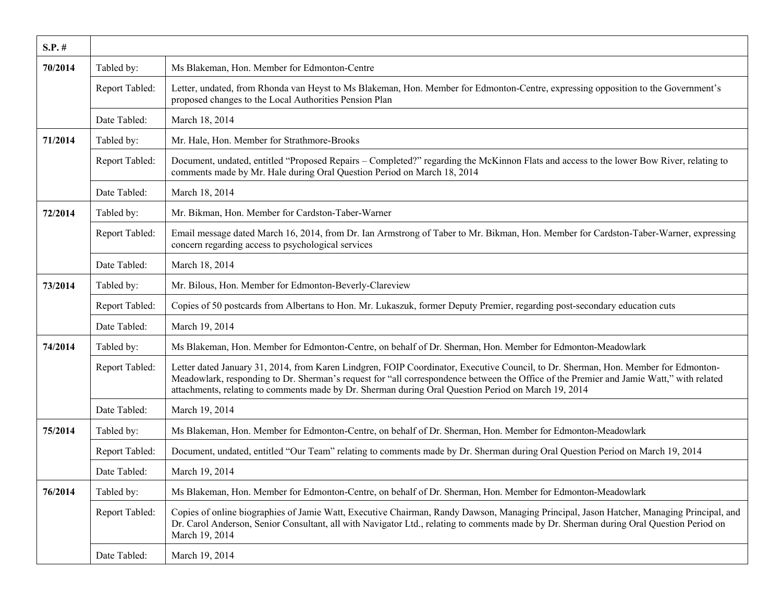| $S.P.$ # |                |                                                                                                                                                                                                                                                                                                                                                                                      |
|----------|----------------|--------------------------------------------------------------------------------------------------------------------------------------------------------------------------------------------------------------------------------------------------------------------------------------------------------------------------------------------------------------------------------------|
| 70/2014  | Tabled by:     | Ms Blakeman, Hon. Member for Edmonton-Centre                                                                                                                                                                                                                                                                                                                                         |
|          | Report Tabled: | Letter, undated, from Rhonda van Heyst to Ms Blakeman, Hon. Member for Edmonton-Centre, expressing opposition to the Government's<br>proposed changes to the Local Authorities Pension Plan                                                                                                                                                                                          |
|          | Date Tabled:   | March 18, 2014                                                                                                                                                                                                                                                                                                                                                                       |
| 71/2014  | Tabled by:     | Mr. Hale, Hon. Member for Strathmore-Brooks                                                                                                                                                                                                                                                                                                                                          |
|          | Report Tabled: | Document, undated, entitled "Proposed Repairs - Completed?" regarding the McKinnon Flats and access to the lower Bow River, relating to<br>comments made by Mr. Hale during Oral Question Period on March 18, 2014                                                                                                                                                                   |
|          | Date Tabled:   | March 18, 2014                                                                                                                                                                                                                                                                                                                                                                       |
| 72/2014  | Tabled by:     | Mr. Bikman, Hon. Member for Cardston-Taber-Warner                                                                                                                                                                                                                                                                                                                                    |
|          | Report Tabled: | Email message dated March 16, 2014, from Dr. Ian Armstrong of Taber to Mr. Bikman, Hon. Member for Cardston-Taber-Warner, expressing<br>concern regarding access to psychological services                                                                                                                                                                                           |
|          | Date Tabled:   | March 18, 2014                                                                                                                                                                                                                                                                                                                                                                       |
| 73/2014  | Tabled by:     | Mr. Bilous, Hon. Member for Edmonton-Beverly-Clareview                                                                                                                                                                                                                                                                                                                               |
|          | Report Tabled: | Copies of 50 postcards from Albertans to Hon. Mr. Lukaszuk, former Deputy Premier, regarding post-secondary education cuts                                                                                                                                                                                                                                                           |
|          | Date Tabled:   | March 19, 2014                                                                                                                                                                                                                                                                                                                                                                       |
| 74/2014  | Tabled by:     | Ms Blakeman, Hon. Member for Edmonton-Centre, on behalf of Dr. Sherman, Hon. Member for Edmonton-Meadowlark                                                                                                                                                                                                                                                                          |
|          | Report Tabled: | Letter dated January 31, 2014, from Karen Lindgren, FOIP Coordinator, Executive Council, to Dr. Sherman, Hon. Member for Edmonton-<br>Meadowlark, responding to Dr. Sherman's request for "all correspondence between the Office of the Premier and Jamie Watt," with related<br>attachments, relating to comments made by Dr. Sherman during Oral Question Period on March 19, 2014 |
|          | Date Tabled:   | March 19, 2014                                                                                                                                                                                                                                                                                                                                                                       |
| 75/2014  | Tabled by:     | Ms Blakeman, Hon. Member for Edmonton-Centre, on behalf of Dr. Sherman, Hon. Member for Edmonton-Meadowlark                                                                                                                                                                                                                                                                          |
|          | Report Tabled: | Document, undated, entitled "Our Team" relating to comments made by Dr. Sherman during Oral Question Period on March 19, 2014                                                                                                                                                                                                                                                        |
|          | Date Tabled:   | March 19, 2014                                                                                                                                                                                                                                                                                                                                                                       |
| 76/2014  | Tabled by:     | Ms Blakeman, Hon. Member for Edmonton-Centre, on behalf of Dr. Sherman, Hon. Member for Edmonton-Meadowlark                                                                                                                                                                                                                                                                          |
|          | Report Tabled: | Copies of online biographies of Jamie Watt, Executive Chairman, Randy Dawson, Managing Principal, Jason Hatcher, Managing Principal, and<br>Dr. Carol Anderson, Senior Consultant, all with Navigator Ltd., relating to comments made by Dr. Sherman during Oral Question Period on<br>March 19, 2014                                                                                |
|          | Date Tabled:   | March 19, 2014                                                                                                                                                                                                                                                                                                                                                                       |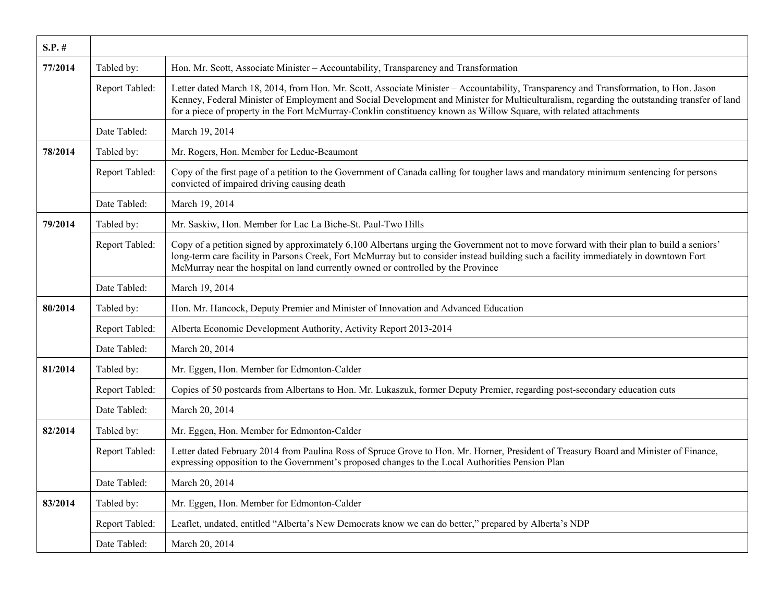| $S.P.$ # |                |                                                                                                                                                                                                                                                                                                                                                                                                            |
|----------|----------------|------------------------------------------------------------------------------------------------------------------------------------------------------------------------------------------------------------------------------------------------------------------------------------------------------------------------------------------------------------------------------------------------------------|
| 77/2014  | Tabled by:     | Hon. Mr. Scott, Associate Minister - Accountability, Transparency and Transformation                                                                                                                                                                                                                                                                                                                       |
|          | Report Tabled: | Letter dated March 18, 2014, from Hon. Mr. Scott, Associate Minister - Accountability, Transparency and Transformation, to Hon. Jason<br>Kenney, Federal Minister of Employment and Social Development and Minister for Multiculturalism, regarding the outstanding transfer of land<br>for a piece of property in the Fort McMurray-Conklin constituency known as Willow Square, with related attachments |
|          | Date Tabled:   | March 19, 2014                                                                                                                                                                                                                                                                                                                                                                                             |
| 78/2014  | Tabled by:     | Mr. Rogers, Hon. Member for Leduc-Beaumont                                                                                                                                                                                                                                                                                                                                                                 |
|          | Report Tabled: | Copy of the first page of a petition to the Government of Canada calling for tougher laws and mandatory minimum sentencing for persons<br>convicted of impaired driving causing death                                                                                                                                                                                                                      |
|          | Date Tabled:   | March 19, 2014                                                                                                                                                                                                                                                                                                                                                                                             |
| 79/2014  | Tabled by:     | Mr. Saskiw, Hon. Member for Lac La Biche-St. Paul-Two Hills                                                                                                                                                                                                                                                                                                                                                |
|          | Report Tabled: | Copy of a petition signed by approximately 6,100 Albertans urging the Government not to move forward with their plan to build a seniors'<br>long-term care facility in Parsons Creek, Fort McMurray but to consider instead building such a facility immediately in downtown Fort<br>McMurray near the hospital on land currently owned or controlled by the Province                                      |
|          | Date Tabled:   | March 19, 2014                                                                                                                                                                                                                                                                                                                                                                                             |
| 80/2014  | Tabled by:     | Hon. Mr. Hancock, Deputy Premier and Minister of Innovation and Advanced Education                                                                                                                                                                                                                                                                                                                         |
|          | Report Tabled: | Alberta Economic Development Authority, Activity Report 2013-2014                                                                                                                                                                                                                                                                                                                                          |
|          | Date Tabled:   | March 20, 2014                                                                                                                                                                                                                                                                                                                                                                                             |
| 81/2014  | Tabled by:     | Mr. Eggen, Hon. Member for Edmonton-Calder                                                                                                                                                                                                                                                                                                                                                                 |
|          | Report Tabled: | Copies of 50 postcards from Albertans to Hon. Mr. Lukaszuk, former Deputy Premier, regarding post-secondary education cuts                                                                                                                                                                                                                                                                                 |
|          | Date Tabled:   | March 20, 2014                                                                                                                                                                                                                                                                                                                                                                                             |
| 82/2014  | Tabled by:     | Mr. Eggen, Hon. Member for Edmonton-Calder                                                                                                                                                                                                                                                                                                                                                                 |
|          | Report Tabled: | Letter dated February 2014 from Paulina Ross of Spruce Grove to Hon. Mr. Horner, President of Treasury Board and Minister of Finance,<br>expressing opposition to the Government's proposed changes to the Local Authorities Pension Plan                                                                                                                                                                  |
|          | Date Tabled:   | March 20, 2014                                                                                                                                                                                                                                                                                                                                                                                             |
| 83/2014  | Tabled by:     | Mr. Eggen, Hon. Member for Edmonton-Calder                                                                                                                                                                                                                                                                                                                                                                 |
|          | Report Tabled: | Leaflet, undated, entitled "Alberta's New Democrats know we can do better," prepared by Alberta's NDP                                                                                                                                                                                                                                                                                                      |
|          | Date Tabled:   | March 20, 2014                                                                                                                                                                                                                                                                                                                                                                                             |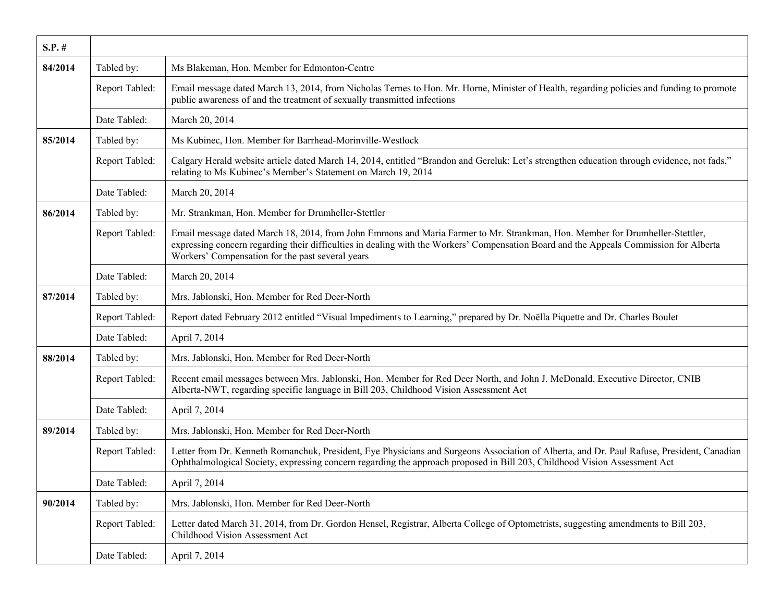| $S.P.$ # |                |                                                                                                                                                                                                                                                                                                                            |
|----------|----------------|----------------------------------------------------------------------------------------------------------------------------------------------------------------------------------------------------------------------------------------------------------------------------------------------------------------------------|
| 84/2014  | Tabled by:     | Ms Blakeman, Hon. Member for Edmonton-Centre                                                                                                                                                                                                                                                                               |
|          | Report Tabled: | Email message dated March 13, 2014, from Nicholas Ternes to Hon. Mr. Horne, Minister of Health, regarding policies and funding to promote<br>public awareness of and the treatment of sexually transmitted infections                                                                                                      |
|          | Date Tabled:   | March 20, 2014                                                                                                                                                                                                                                                                                                             |
| 85/2014  | Tabled by:     | Ms Kubinec, Hon. Member for Barrhead-Morinville-Westlock                                                                                                                                                                                                                                                                   |
|          | Report Tabled: | Calgary Herald website article dated March 14, 2014, entitled "Brandon and Gereluk: Let's strengthen education through evidence, not fads,"<br>relating to Ms Kubinec's Member's Statement on March 19, 2014                                                                                                               |
|          | Date Tabled:   | March 20, 2014                                                                                                                                                                                                                                                                                                             |
| 86/2014  | Tabled by:     | Mr. Strankman, Hon. Member for Drumheller-Stettler                                                                                                                                                                                                                                                                         |
|          | Report Tabled: | Email message dated March 18, 2014, from John Emmons and Maria Farmer to Mr. Strankman, Hon. Member for Drumheller-Stettler,<br>expressing concern regarding their difficulties in dealing with the Workers' Compensation Board and the Appeals Commission for Alberta<br>Workers' Compensation for the past several years |
|          | Date Tabled:   | March 20, 2014                                                                                                                                                                                                                                                                                                             |
| 87/2014  | Tabled by:     | Mrs. Jablonski, Hon. Member for Red Deer-North                                                                                                                                                                                                                                                                             |
|          | Report Tabled: | Report dated February 2012 entitled "Visual Impediments to Learning," prepared by Dr. Noëlla Piquette and Dr. Charles Boulet                                                                                                                                                                                               |
|          | Date Tabled:   | April 7, 2014                                                                                                                                                                                                                                                                                                              |
| 88/2014  | Tabled by:     | Mrs. Jablonski, Hon. Member for Red Deer-North                                                                                                                                                                                                                                                                             |
|          | Report Tabled: | Recent email messages between Mrs. Jablonski, Hon. Member for Red Deer North, and John J. McDonald, Executive Director, CNIB<br>Alberta-NWT, regarding specific language in Bill 203, Childhood Vision Assessment Act                                                                                                      |
|          | Date Tabled:   | April 7, 2014                                                                                                                                                                                                                                                                                                              |
| 89/2014  | Tabled by:     | Mrs. Jablonski, Hon. Member for Red Deer-North                                                                                                                                                                                                                                                                             |
|          | Report Tabled: | Letter from Dr. Kenneth Romanchuk, President, Eye Physicians and Surgeons Association of Alberta, and Dr. Paul Rafuse, President, Canadian<br>Ophthalmological Society, expressing concern regarding the approach proposed in Bill 203, Childhood Vision Assessment Act                                                    |
|          | Date Tabled:   | April 7, 2014                                                                                                                                                                                                                                                                                                              |
| 90/2014  | Tabled by:     | Mrs. Jablonski, Hon. Member for Red Deer-North                                                                                                                                                                                                                                                                             |
|          | Report Tabled: | Letter dated March 31, 2014, from Dr. Gordon Hensel, Registrar, Alberta College of Optometrists, suggesting amendments to Bill 203,<br>Childhood Vision Assessment Act                                                                                                                                                     |
|          | Date Tabled:   | April 7, 2014                                                                                                                                                                                                                                                                                                              |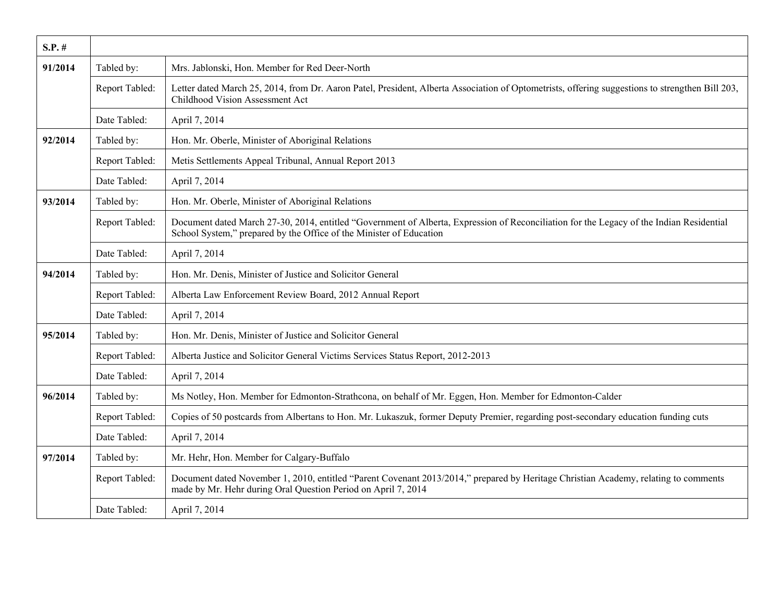| $S.P.$ # |                |                                                                                                                                                                                                                 |
|----------|----------------|-----------------------------------------------------------------------------------------------------------------------------------------------------------------------------------------------------------------|
| 91/2014  | Tabled by:     | Mrs. Jablonski, Hon. Member for Red Deer-North                                                                                                                                                                  |
|          | Report Tabled: | Letter dated March 25, 2014, from Dr. Aaron Patel, President, Alberta Association of Optometrists, offering suggestions to strengthen Bill 203,<br>Childhood Vision Assessment Act                              |
|          | Date Tabled:   | April 7, 2014                                                                                                                                                                                                   |
| 92/2014  | Tabled by:     | Hon. Mr. Oberle, Minister of Aboriginal Relations                                                                                                                                                               |
|          | Report Tabled: | Metis Settlements Appeal Tribunal, Annual Report 2013                                                                                                                                                           |
|          | Date Tabled:   | April 7, 2014                                                                                                                                                                                                   |
| 93/2014  | Tabled by:     | Hon. Mr. Oberle, Minister of Aboriginal Relations                                                                                                                                                               |
|          | Report Tabled: | Document dated March 27-30, 2014, entitled "Government of Alberta, Expression of Reconciliation for the Legacy of the Indian Residential<br>School System," prepared by the Office of the Minister of Education |
|          | Date Tabled:   | April 7, 2014                                                                                                                                                                                                   |
| 94/2014  | Tabled by:     | Hon. Mr. Denis, Minister of Justice and Solicitor General                                                                                                                                                       |
|          | Report Tabled: | Alberta Law Enforcement Review Board, 2012 Annual Report                                                                                                                                                        |
|          | Date Tabled:   | April 7, 2014                                                                                                                                                                                                   |
| 95/2014  | Tabled by:     | Hon. Mr. Denis, Minister of Justice and Solicitor General                                                                                                                                                       |
|          | Report Tabled: | Alberta Justice and Solicitor General Victims Services Status Report, 2012-2013                                                                                                                                 |
|          | Date Tabled:   | April 7, 2014                                                                                                                                                                                                   |
| 96/2014  | Tabled by:     | Ms Notley, Hon. Member for Edmonton-Strathcona, on behalf of Mr. Eggen, Hon. Member for Edmonton-Calder                                                                                                         |
|          | Report Tabled: | Copies of 50 postcards from Albertans to Hon. Mr. Lukaszuk, former Deputy Premier, regarding post-secondary education funding cuts                                                                              |
|          | Date Tabled:   | April 7, 2014                                                                                                                                                                                                   |
| 97/2014  | Tabled by:     | Mr. Hehr, Hon. Member for Calgary-Buffalo                                                                                                                                                                       |
|          | Report Tabled: | Document dated November 1, 2010, entitled "Parent Covenant 2013/2014," prepared by Heritage Christian Academy, relating to comments<br>made by Mr. Hehr during Oral Question Period on April 7, 2014            |
|          | Date Tabled:   | April 7, 2014                                                                                                                                                                                                   |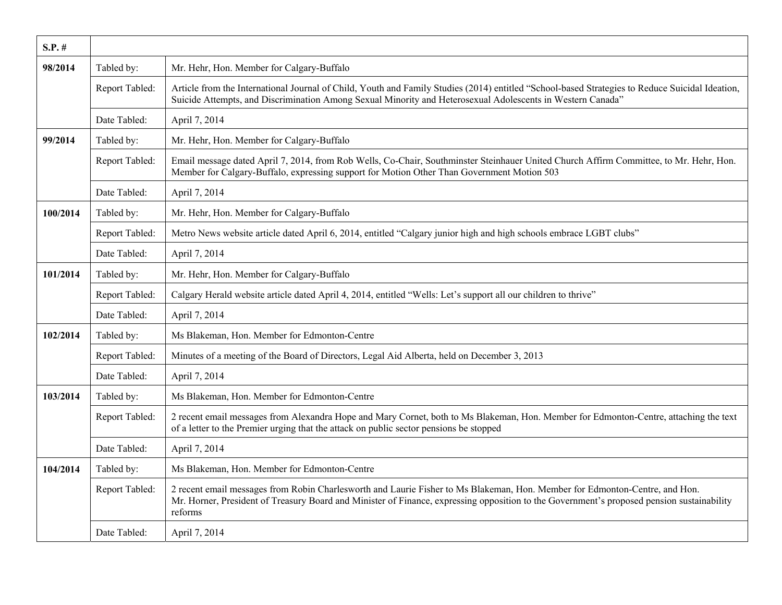| $S.P.$ # |                |                                                                                                                                                                                                                                                                                      |
|----------|----------------|--------------------------------------------------------------------------------------------------------------------------------------------------------------------------------------------------------------------------------------------------------------------------------------|
| 98/2014  | Tabled by:     | Mr. Hehr, Hon. Member for Calgary-Buffalo                                                                                                                                                                                                                                            |
|          | Report Tabled: | Article from the International Journal of Child, Youth and Family Studies (2014) entitled "School-based Strategies to Reduce Suicidal Ideation,<br>Suicide Attempts, and Discrimination Among Sexual Minority and Heterosexual Adolescents in Western Canada"                        |
|          | Date Tabled:   | April 7, 2014                                                                                                                                                                                                                                                                        |
| 99/2014  | Tabled by:     | Mr. Hehr, Hon. Member for Calgary-Buffalo                                                                                                                                                                                                                                            |
|          | Report Tabled: | Email message dated April 7, 2014, from Rob Wells, Co-Chair, Southminster Steinhauer United Church Affirm Committee, to Mr. Hehr, Hon.<br>Member for Calgary-Buffalo, expressing support for Motion Other Than Government Motion 503                                                 |
|          | Date Tabled:   | April 7, 2014                                                                                                                                                                                                                                                                        |
| 100/2014 | Tabled by:     | Mr. Hehr, Hon. Member for Calgary-Buffalo                                                                                                                                                                                                                                            |
|          | Report Tabled: | Metro News website article dated April 6, 2014, entitled "Calgary junior high and high schools embrace LGBT clubs"                                                                                                                                                                   |
|          | Date Tabled:   | April 7, 2014                                                                                                                                                                                                                                                                        |
| 101/2014 | Tabled by:     | Mr. Hehr, Hon. Member for Calgary-Buffalo                                                                                                                                                                                                                                            |
|          | Report Tabled: | Calgary Herald website article dated April 4, 2014, entitled "Wells: Let's support all our children to thrive"                                                                                                                                                                       |
|          | Date Tabled:   | April 7, 2014                                                                                                                                                                                                                                                                        |
| 102/2014 | Tabled by:     | Ms Blakeman, Hon. Member for Edmonton-Centre                                                                                                                                                                                                                                         |
|          | Report Tabled: | Minutes of a meeting of the Board of Directors, Legal Aid Alberta, held on December 3, 2013                                                                                                                                                                                          |
|          | Date Tabled:   | April 7, 2014                                                                                                                                                                                                                                                                        |
| 103/2014 | Tabled by:     | Ms Blakeman, Hon. Member for Edmonton-Centre                                                                                                                                                                                                                                         |
|          | Report Tabled: | 2 recent email messages from Alexandra Hope and Mary Cornet, both to Ms Blakeman, Hon. Member for Edmonton-Centre, attaching the text<br>of a letter to the Premier urging that the attack on public sector pensions be stopped                                                      |
|          | Date Tabled:   | April 7, 2014                                                                                                                                                                                                                                                                        |
| 104/2014 | Tabled by:     | Ms Blakeman, Hon. Member for Edmonton-Centre                                                                                                                                                                                                                                         |
|          | Report Tabled: | 2 recent email messages from Robin Charlesworth and Laurie Fisher to Ms Blakeman, Hon. Member for Edmonton-Centre, and Hon.<br>Mr. Horner, President of Treasury Board and Minister of Finance, expressing opposition to the Government's proposed pension sustainability<br>reforms |
|          | Date Tabled:   | April 7, 2014                                                                                                                                                                                                                                                                        |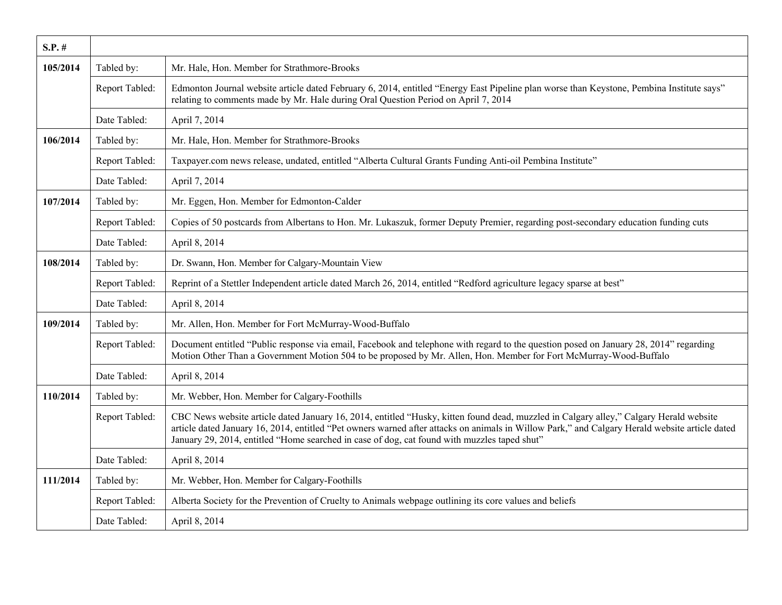| $S.P.$ # |                |                                                                                                                                                                                                                                                                                                                                                                                          |
|----------|----------------|------------------------------------------------------------------------------------------------------------------------------------------------------------------------------------------------------------------------------------------------------------------------------------------------------------------------------------------------------------------------------------------|
| 105/2014 | Tabled by:     | Mr. Hale, Hon. Member for Strathmore-Brooks                                                                                                                                                                                                                                                                                                                                              |
|          | Report Tabled: | Edmonton Journal website article dated February 6, 2014, entitled "Energy East Pipeline plan worse than Keystone, Pembina Institute says"<br>relating to comments made by Mr. Hale during Oral Question Period on April 7, 2014                                                                                                                                                          |
|          | Date Tabled:   | April 7, 2014                                                                                                                                                                                                                                                                                                                                                                            |
| 106/2014 | Tabled by:     | Mr. Hale, Hon. Member for Strathmore-Brooks                                                                                                                                                                                                                                                                                                                                              |
|          | Report Tabled: | Taxpayer.com news release, undated, entitled "Alberta Cultural Grants Funding Anti-oil Pembina Institute"                                                                                                                                                                                                                                                                                |
|          | Date Tabled:   | April 7, 2014                                                                                                                                                                                                                                                                                                                                                                            |
| 107/2014 | Tabled by:     | Mr. Eggen, Hon. Member for Edmonton-Calder                                                                                                                                                                                                                                                                                                                                               |
|          | Report Tabled: | Copies of 50 postcards from Albertans to Hon. Mr. Lukaszuk, former Deputy Premier, regarding post-secondary education funding cuts                                                                                                                                                                                                                                                       |
|          | Date Tabled:   | April 8, 2014                                                                                                                                                                                                                                                                                                                                                                            |
| 108/2014 | Tabled by:     | Dr. Swann, Hon. Member for Calgary-Mountain View                                                                                                                                                                                                                                                                                                                                         |
|          | Report Tabled: | Reprint of a Stettler Independent article dated March 26, 2014, entitled "Redford agriculture legacy sparse at best"                                                                                                                                                                                                                                                                     |
|          | Date Tabled:   | April 8, 2014                                                                                                                                                                                                                                                                                                                                                                            |
| 109/2014 | Tabled by:     | Mr. Allen, Hon. Member for Fort McMurray-Wood-Buffalo                                                                                                                                                                                                                                                                                                                                    |
|          | Report Tabled: | Document entitled "Public response via email, Facebook and telephone with regard to the question posed on January 28, 2014" regarding<br>Motion Other Than a Government Motion 504 to be proposed by Mr. Allen, Hon. Member for Fort McMurray-Wood-Buffalo                                                                                                                               |
|          | Date Tabled:   | April 8, 2014                                                                                                                                                                                                                                                                                                                                                                            |
| 110/2014 | Tabled by:     | Mr. Webber, Hon. Member for Calgary-Foothills                                                                                                                                                                                                                                                                                                                                            |
|          | Report Tabled: | CBC News website article dated January 16, 2014, entitled "Husky, kitten found dead, muzzled in Calgary alley," Calgary Herald website<br>article dated January 16, 2014, entitled "Pet owners warned after attacks on animals in Willow Park," and Calgary Herald website article dated<br>January 29, 2014, entitled "Home searched in case of dog, cat found with muzzles taped shut" |
|          | Date Tabled:   | April 8, 2014                                                                                                                                                                                                                                                                                                                                                                            |
| 111/2014 | Tabled by:     | Mr. Webber, Hon. Member for Calgary-Foothills                                                                                                                                                                                                                                                                                                                                            |
|          | Report Tabled: | Alberta Society for the Prevention of Cruelty to Animals webpage outlining its core values and beliefs                                                                                                                                                                                                                                                                                   |
|          | Date Tabled:   | April 8, 2014                                                                                                                                                                                                                                                                                                                                                                            |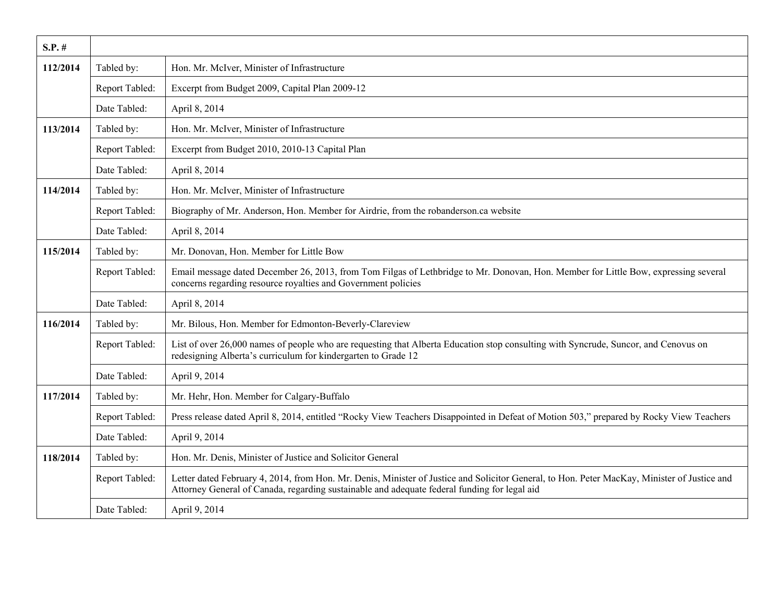| $S.P.$ # |                |                                                                                                                                                                                                                                              |
|----------|----------------|----------------------------------------------------------------------------------------------------------------------------------------------------------------------------------------------------------------------------------------------|
| 112/2014 | Tabled by:     | Hon. Mr. McIver, Minister of Infrastructure                                                                                                                                                                                                  |
|          | Report Tabled: | Excerpt from Budget 2009, Capital Plan 2009-12                                                                                                                                                                                               |
|          | Date Tabled:   | April 8, 2014                                                                                                                                                                                                                                |
| 113/2014 | Tabled by:     | Hon. Mr. McIver, Minister of Infrastructure                                                                                                                                                                                                  |
|          | Report Tabled: | Excerpt from Budget 2010, 2010-13 Capital Plan                                                                                                                                                                                               |
|          | Date Tabled:   | April 8, 2014                                                                                                                                                                                                                                |
| 114/2014 | Tabled by:     | Hon. Mr. McIver, Minister of Infrastructure                                                                                                                                                                                                  |
|          | Report Tabled: | Biography of Mr. Anderson, Hon. Member for Airdrie, from the robanderson.ca website                                                                                                                                                          |
|          | Date Tabled:   | April 8, 2014                                                                                                                                                                                                                                |
| 115/2014 | Tabled by:     | Mr. Donovan, Hon. Member for Little Bow                                                                                                                                                                                                      |
|          | Report Tabled: | Email message dated December 26, 2013, from Tom Filgas of Lethbridge to Mr. Donovan, Hon. Member for Little Bow, expressing several<br>concerns regarding resource royalties and Government policies                                         |
|          | Date Tabled:   | April 8, 2014                                                                                                                                                                                                                                |
| 116/2014 | Tabled by:     | Mr. Bilous, Hon. Member for Edmonton-Beverly-Clareview                                                                                                                                                                                       |
|          | Report Tabled: | List of over 26,000 names of people who are requesting that Alberta Education stop consulting with Syncrude, Suncor, and Cenovus on<br>redesigning Alberta's curriculum for kindergarten to Grade 12                                         |
|          | Date Tabled:   | April 9, 2014                                                                                                                                                                                                                                |
| 117/2014 | Tabled by:     | Mr. Hehr, Hon. Member for Calgary-Buffalo                                                                                                                                                                                                    |
|          | Report Tabled: | Press release dated April 8, 2014, entitled "Rocky View Teachers Disappointed in Defeat of Motion 503," prepared by Rocky View Teachers                                                                                                      |
|          | Date Tabled:   | April 9, 2014                                                                                                                                                                                                                                |
| 118/2014 | Tabled by:     | Hon. Mr. Denis, Minister of Justice and Solicitor General                                                                                                                                                                                    |
|          | Report Tabled: | Letter dated February 4, 2014, from Hon. Mr. Denis, Minister of Justice and Solicitor General, to Hon. Peter MacKay, Minister of Justice and<br>Attorney General of Canada, regarding sustainable and adequate federal funding for legal aid |
|          | Date Tabled:   | April 9, 2014                                                                                                                                                                                                                                |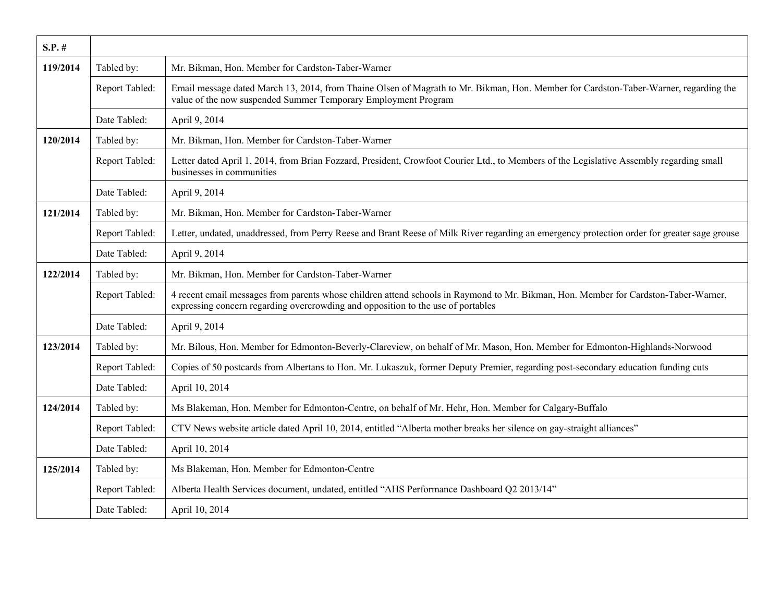| $S.P.$ # |                |                                                                                                                                                                                                                         |
|----------|----------------|-------------------------------------------------------------------------------------------------------------------------------------------------------------------------------------------------------------------------|
| 119/2014 | Tabled by:     | Mr. Bikman, Hon. Member for Cardston-Taber-Warner                                                                                                                                                                       |
|          | Report Tabled: | Email message dated March 13, 2014, from Thaine Olsen of Magrath to Mr. Bikman, Hon. Member for Cardston-Taber-Warner, regarding the<br>value of the now suspended Summer Temporary Employment Program                  |
|          | Date Tabled:   | April 9, 2014                                                                                                                                                                                                           |
| 120/2014 | Tabled by:     | Mr. Bikman, Hon. Member for Cardston-Taber-Warner                                                                                                                                                                       |
|          | Report Tabled: | Letter dated April 1, 2014, from Brian Fozzard, President, Crowfoot Courier Ltd., to Members of the Legislative Assembly regarding small<br>businesses in communities                                                   |
|          | Date Tabled:   | April 9, 2014                                                                                                                                                                                                           |
| 121/2014 | Tabled by:     | Mr. Bikman, Hon. Member for Cardston-Taber-Warner                                                                                                                                                                       |
|          | Report Tabled: | Letter, undated, unaddressed, from Perry Reese and Brant Reese of Milk River regarding an emergency protection order for greater sage grouse                                                                            |
|          | Date Tabled:   | April 9, 2014                                                                                                                                                                                                           |
| 122/2014 | Tabled by:     | Mr. Bikman, Hon. Member for Cardston-Taber-Warner                                                                                                                                                                       |
|          | Report Tabled: | 4 recent email messages from parents whose children attend schools in Raymond to Mr. Bikman, Hon. Member for Cardston-Taber-Warner,<br>expressing concern regarding overcrowding and opposition to the use of portables |
|          | Date Tabled:   | April 9, 2014                                                                                                                                                                                                           |
| 123/2014 | Tabled by:     | Mr. Bilous, Hon. Member for Edmonton-Beverly-Clareview, on behalf of Mr. Mason, Hon. Member for Edmonton-Highlands-Norwood                                                                                              |
|          | Report Tabled: | Copies of 50 postcards from Albertans to Hon. Mr. Lukaszuk, former Deputy Premier, regarding post-secondary education funding cuts                                                                                      |
|          | Date Tabled:   | April 10, 2014                                                                                                                                                                                                          |
| 124/2014 | Tabled by:     | Ms Blakeman, Hon. Member for Edmonton-Centre, on behalf of Mr. Hehr, Hon. Member for Calgary-Buffalo                                                                                                                    |
|          | Report Tabled: | CTV News website article dated April 10, 2014, entitled "Alberta mother breaks her silence on gay-straight alliances"                                                                                                   |
|          | Date Tabled:   | April 10, 2014                                                                                                                                                                                                          |
| 125/2014 | Tabled by:     | Ms Blakeman, Hon. Member for Edmonton-Centre                                                                                                                                                                            |
|          | Report Tabled: | Alberta Health Services document, undated, entitled "AHS Performance Dashboard Q2 2013/14"                                                                                                                              |
|          | Date Tabled:   | April 10, 2014                                                                                                                                                                                                          |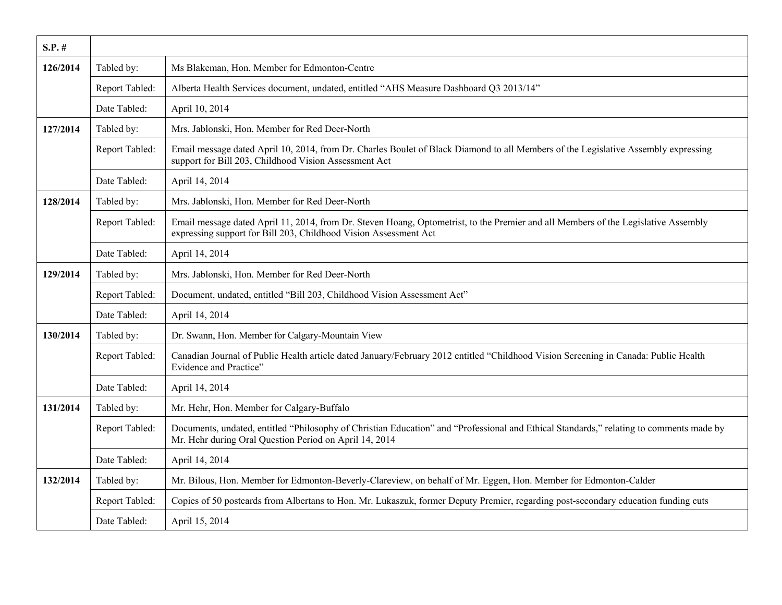| $S.P.$ # |                |                                                                                                                                                                                                        |
|----------|----------------|--------------------------------------------------------------------------------------------------------------------------------------------------------------------------------------------------------|
| 126/2014 | Tabled by:     | Ms Blakeman, Hon. Member for Edmonton-Centre                                                                                                                                                           |
|          | Report Tabled: | Alberta Health Services document, undated, entitled "AHS Measure Dashboard Q3 2013/14"                                                                                                                 |
|          | Date Tabled:   | April 10, 2014                                                                                                                                                                                         |
| 127/2014 | Tabled by:     | Mrs. Jablonski, Hon. Member for Red Deer-North                                                                                                                                                         |
|          | Report Tabled: | Email message dated April 10, 2014, from Dr. Charles Boulet of Black Diamond to all Members of the Legislative Assembly expressing<br>support for Bill 203, Childhood Vision Assessment Act            |
|          | Date Tabled:   | April 14, 2014                                                                                                                                                                                         |
| 128/2014 | Tabled by:     | Mrs. Jablonski, Hon. Member for Red Deer-North                                                                                                                                                         |
|          | Report Tabled: | Email message dated April 11, 2014, from Dr. Steven Hoang, Optometrist, to the Premier and all Members of the Legislative Assembly<br>expressing support for Bill 203, Childhood Vision Assessment Act |
|          | Date Tabled:   | April 14, 2014                                                                                                                                                                                         |
| 129/2014 | Tabled by:     | Mrs. Jablonski, Hon. Member for Red Deer-North                                                                                                                                                         |
|          | Report Tabled: | Document, undated, entitled "Bill 203, Childhood Vision Assessment Act"                                                                                                                                |
|          | Date Tabled:   | April 14, 2014                                                                                                                                                                                         |
| 130/2014 | Tabled by:     | Dr. Swann, Hon. Member for Calgary-Mountain View                                                                                                                                                       |
|          | Report Tabled: | Canadian Journal of Public Health article dated January/February 2012 entitled "Childhood Vision Screening in Canada: Public Health<br>Evidence and Practice"                                          |
|          | Date Tabled:   | April 14, 2014                                                                                                                                                                                         |
| 131/2014 | Tabled by:     | Mr. Hehr, Hon. Member for Calgary-Buffalo                                                                                                                                                              |
|          | Report Tabled: | Documents, undated, entitled "Philosophy of Christian Education" and "Professional and Ethical Standards," relating to comments made by<br>Mr. Hehr during Oral Question Period on April 14, 2014      |
|          | Date Tabled:   | April 14, 2014                                                                                                                                                                                         |
| 132/2014 | Tabled by:     | Mr. Bilous, Hon. Member for Edmonton-Beverly-Clareview, on behalf of Mr. Eggen, Hon. Member for Edmonton-Calder                                                                                        |
|          | Report Tabled: | Copies of 50 postcards from Albertans to Hon. Mr. Lukaszuk, former Deputy Premier, regarding post-secondary education funding cuts                                                                     |
|          | Date Tabled:   | April 15, 2014                                                                                                                                                                                         |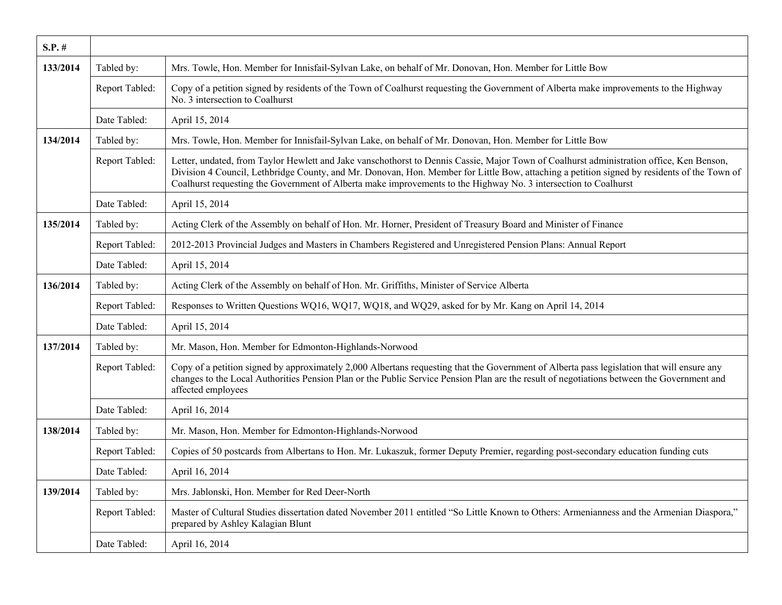| $S.P.$ # |                |                                                                                                                                                                                                                                                                                                                                                                                                            |
|----------|----------------|------------------------------------------------------------------------------------------------------------------------------------------------------------------------------------------------------------------------------------------------------------------------------------------------------------------------------------------------------------------------------------------------------------|
| 133/2014 | Tabled by:     | Mrs. Towle, Hon. Member for Innisfail-Sylvan Lake, on behalf of Mr. Donovan, Hon. Member for Little Bow                                                                                                                                                                                                                                                                                                    |
|          | Report Tabled: | Copy of a petition signed by residents of the Town of Coalhurst requesting the Government of Alberta make improvements to the Highway<br>No. 3 intersection to Coalhurst                                                                                                                                                                                                                                   |
|          | Date Tabled:   | April 15, 2014                                                                                                                                                                                                                                                                                                                                                                                             |
| 134/2014 | Tabled by:     | Mrs. Towle, Hon. Member for Innisfail-Sylvan Lake, on behalf of Mr. Donovan, Hon. Member for Little Bow                                                                                                                                                                                                                                                                                                    |
|          | Report Tabled: | Letter, undated, from Taylor Hewlett and Jake vanschothorst to Dennis Cassie, Major Town of Coalhurst administration office, Ken Benson,<br>Division 4 Council, Lethbridge County, and Mr. Donovan, Hon. Member for Little Bow, attaching a petition signed by residents of the Town of<br>Coalhurst requesting the Government of Alberta make improvements to the Highway No. 3 intersection to Coalhurst |
|          | Date Tabled:   | April 15, 2014                                                                                                                                                                                                                                                                                                                                                                                             |
| 135/2014 | Tabled by:     | Acting Clerk of the Assembly on behalf of Hon. Mr. Horner, President of Treasury Board and Minister of Finance                                                                                                                                                                                                                                                                                             |
|          | Report Tabled: | 2012-2013 Provincial Judges and Masters in Chambers Registered and Unregistered Pension Plans: Annual Report                                                                                                                                                                                                                                                                                               |
|          | Date Tabled:   | April 15, 2014                                                                                                                                                                                                                                                                                                                                                                                             |
| 136/2014 | Tabled by:     | Acting Clerk of the Assembly on behalf of Hon. Mr. Griffiths, Minister of Service Alberta                                                                                                                                                                                                                                                                                                                  |
|          | Report Tabled: | Responses to Written Questions WQ16, WQ17, WQ18, and WQ29, asked for by Mr. Kang on April 14, 2014                                                                                                                                                                                                                                                                                                         |
|          | Date Tabled:   | April 15, 2014                                                                                                                                                                                                                                                                                                                                                                                             |
| 137/2014 | Tabled by:     | Mr. Mason, Hon. Member for Edmonton-Highlands-Norwood                                                                                                                                                                                                                                                                                                                                                      |
|          | Report Tabled: | Copy of a petition signed by approximately 2,000 Albertans requesting that the Government of Alberta pass legislation that will ensure any<br>changes to the Local Authorities Pension Plan or the Public Service Pension Plan are the result of negotiations between the Government and<br>affected employees                                                                                             |
|          | Date Tabled:   | April 16, 2014                                                                                                                                                                                                                                                                                                                                                                                             |
| 138/2014 | Tabled by:     | Mr. Mason, Hon. Member for Edmonton-Highlands-Norwood                                                                                                                                                                                                                                                                                                                                                      |
|          | Report Tabled: | Copies of 50 postcards from Albertans to Hon. Mr. Lukaszuk, former Deputy Premier, regarding post-secondary education funding cuts                                                                                                                                                                                                                                                                         |
|          | Date Tabled:   | April 16, 2014                                                                                                                                                                                                                                                                                                                                                                                             |
| 139/2014 | Tabled by:     | Mrs. Jablonski, Hon. Member for Red Deer-North                                                                                                                                                                                                                                                                                                                                                             |
|          | Report Tabled: | Master of Cultural Studies dissertation dated November 2011 entitled "So Little Known to Others: Armenianness and the Armenian Diaspora,"<br>prepared by Ashley Kalagian Blunt                                                                                                                                                                                                                             |
|          | Date Tabled:   | April 16, 2014                                                                                                                                                                                                                                                                                                                                                                                             |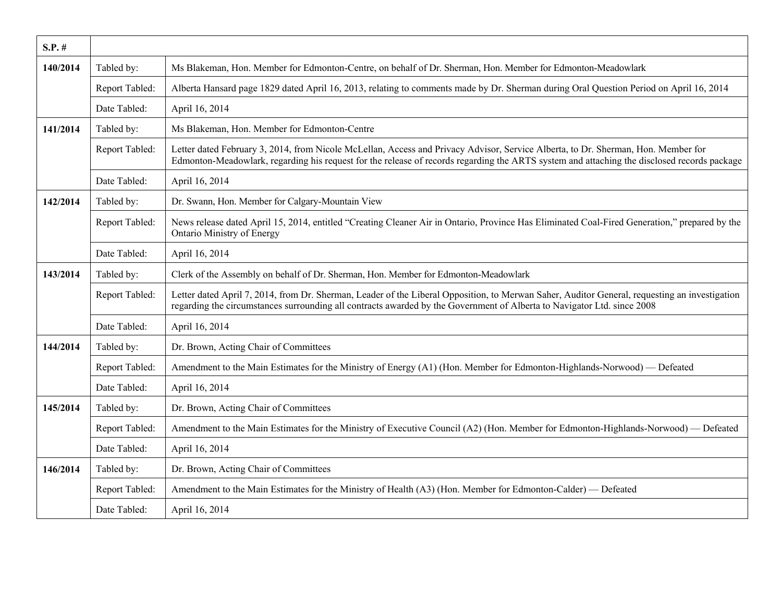| $S.P.$ # |                |                                                                                                                                                                                                                                                                                  |
|----------|----------------|----------------------------------------------------------------------------------------------------------------------------------------------------------------------------------------------------------------------------------------------------------------------------------|
| 140/2014 | Tabled by:     | Ms Blakeman, Hon. Member for Edmonton-Centre, on behalf of Dr. Sherman, Hon. Member for Edmonton-Meadowlark                                                                                                                                                                      |
|          | Report Tabled: | Alberta Hansard page 1829 dated April 16, 2013, relating to comments made by Dr. Sherman during Oral Question Period on April 16, 2014                                                                                                                                           |
|          | Date Tabled:   | April 16, 2014                                                                                                                                                                                                                                                                   |
| 141/2014 | Tabled by:     | Ms Blakeman, Hon. Member for Edmonton-Centre                                                                                                                                                                                                                                     |
|          | Report Tabled: | Letter dated February 3, 2014, from Nicole McLellan, Access and Privacy Advisor, Service Alberta, to Dr. Sherman, Hon. Member for<br>Edmonton-Meadowlark, regarding his request for the release of records regarding the ARTS system and attaching the disclosed records package |
|          | Date Tabled:   | April 16, 2014                                                                                                                                                                                                                                                                   |
| 142/2014 | Tabled by:     | Dr. Swann, Hon. Member for Calgary-Mountain View                                                                                                                                                                                                                                 |
|          | Report Tabled: | News release dated April 15, 2014, entitled "Creating Cleaner Air in Ontario, Province Has Eliminated Coal-Fired Generation," prepared by the<br><b>Ontario Ministry of Energy</b>                                                                                               |
|          | Date Tabled:   | April 16, 2014                                                                                                                                                                                                                                                                   |
| 143/2014 | Tabled by:     | Clerk of the Assembly on behalf of Dr. Sherman, Hon. Member for Edmonton-Meadowlark                                                                                                                                                                                              |
|          | Report Tabled: | Letter dated April 7, 2014, from Dr. Sherman, Leader of the Liberal Opposition, to Merwan Saher, Auditor General, requesting an investigation<br>regarding the circumstances surrounding all contracts awarded by the Government of Alberta to Navigator Ltd. since 2008         |
|          | Date Tabled:   | April 16, 2014                                                                                                                                                                                                                                                                   |
| 144/2014 | Tabled by:     | Dr. Brown, Acting Chair of Committees                                                                                                                                                                                                                                            |
|          | Report Tabled: | Amendment to the Main Estimates for the Ministry of Energy (A1) (Hon. Member for Edmonton-Highlands-Norwood) — Defeated                                                                                                                                                          |
|          | Date Tabled:   | April 16, 2014                                                                                                                                                                                                                                                                   |
| 145/2014 | Tabled by:     | Dr. Brown, Acting Chair of Committees                                                                                                                                                                                                                                            |
|          | Report Tabled: | Amendment to the Main Estimates for the Ministry of Executive Council (A2) (Hon. Member for Edmonton-Highlands-Norwood) — Defeated                                                                                                                                               |
|          | Date Tabled:   | April 16, 2014                                                                                                                                                                                                                                                                   |
| 146/2014 | Tabled by:     | Dr. Brown, Acting Chair of Committees                                                                                                                                                                                                                                            |
|          | Report Tabled: | Amendment to the Main Estimates for the Ministry of Health (A3) (Hon. Member for Edmonton-Calder) — Defeated                                                                                                                                                                     |
|          | Date Tabled:   | April 16, 2014                                                                                                                                                                                                                                                                   |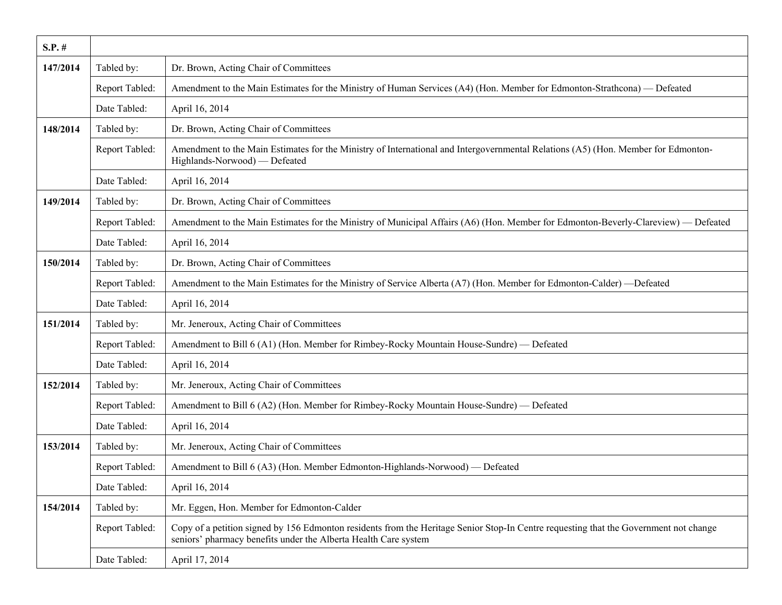| $S.P.$ # |                |                                                                                                                                                                                                          |
|----------|----------------|----------------------------------------------------------------------------------------------------------------------------------------------------------------------------------------------------------|
| 147/2014 | Tabled by:     | Dr. Brown, Acting Chair of Committees                                                                                                                                                                    |
|          | Report Tabled: | Amendment to the Main Estimates for the Ministry of Human Services (A4) (Hon. Member for Edmonton-Strathcona) — Defeated                                                                                 |
|          | Date Tabled:   | April 16, 2014                                                                                                                                                                                           |
| 148/2014 | Tabled by:     | Dr. Brown, Acting Chair of Committees                                                                                                                                                                    |
|          | Report Tabled: | Amendment to the Main Estimates for the Ministry of International and Intergovernmental Relations (A5) (Hon. Member for Edmonton-<br>Highlands-Norwood) — Defeated                                       |
|          | Date Tabled:   | April 16, 2014                                                                                                                                                                                           |
| 149/2014 | Tabled by:     | Dr. Brown, Acting Chair of Committees                                                                                                                                                                    |
|          | Report Tabled: | Amendment to the Main Estimates for the Ministry of Municipal Affairs (A6) (Hon. Member for Edmonton-Beverly-Clareview) — Defeated                                                                       |
|          | Date Tabled:   | April 16, 2014                                                                                                                                                                                           |
| 150/2014 | Tabled by:     | Dr. Brown, Acting Chair of Committees                                                                                                                                                                    |
|          | Report Tabled: | Amendment to the Main Estimates for the Ministry of Service Alberta (A7) (Hon. Member for Edmonton-Calder) - Defeated                                                                                    |
|          | Date Tabled:   | April 16, 2014                                                                                                                                                                                           |
| 151/2014 | Tabled by:     | Mr. Jeneroux, Acting Chair of Committees                                                                                                                                                                 |
|          | Report Tabled: | Amendment to Bill 6 (A1) (Hon. Member for Rimbey-Rocky Mountain House-Sundre) — Defeated                                                                                                                 |
|          | Date Tabled:   | April 16, 2014                                                                                                                                                                                           |
| 152/2014 | Tabled by:     | Mr. Jeneroux, Acting Chair of Committees                                                                                                                                                                 |
|          | Report Tabled: | Amendment to Bill 6 (A2) (Hon. Member for Rimbey-Rocky Mountain House-Sundre) — Defeated                                                                                                                 |
|          | Date Tabled:   | April 16, 2014                                                                                                                                                                                           |
| 153/2014 | Tabled by:     | Mr. Jeneroux, Acting Chair of Committees                                                                                                                                                                 |
|          | Report Tabled: | Amendment to Bill 6 (A3) (Hon. Member Edmonton-Highlands-Norwood) — Defeated                                                                                                                             |
|          | Date Tabled:   | April 16, 2014                                                                                                                                                                                           |
| 154/2014 | Tabled by:     | Mr. Eggen, Hon. Member for Edmonton-Calder                                                                                                                                                               |
|          | Report Tabled: | Copy of a petition signed by 156 Edmonton residents from the Heritage Senior Stop-In Centre requesting that the Government not change<br>seniors' pharmacy benefits under the Alberta Health Care system |
|          | Date Tabled:   | April 17, 2014                                                                                                                                                                                           |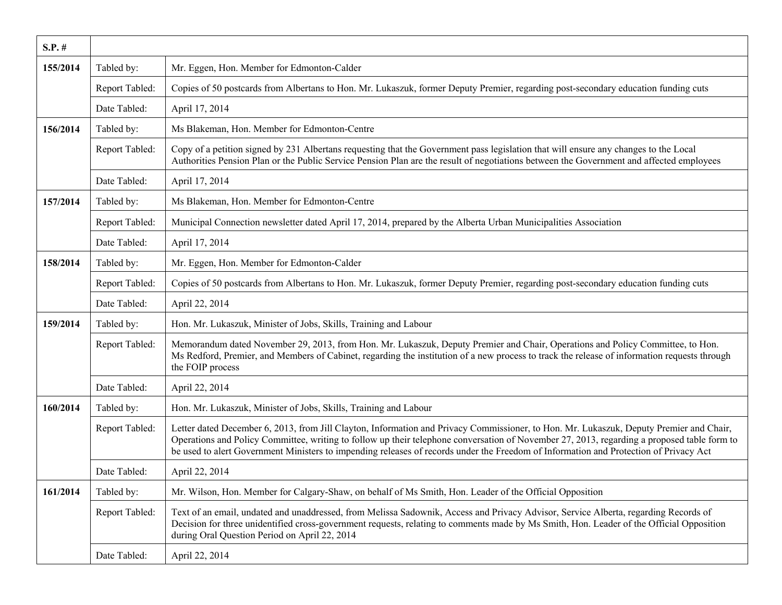| $S.P.$ # |                |                                                                                                                                                                                                                                                                                                                                                                                                                                 |
|----------|----------------|---------------------------------------------------------------------------------------------------------------------------------------------------------------------------------------------------------------------------------------------------------------------------------------------------------------------------------------------------------------------------------------------------------------------------------|
| 155/2014 | Tabled by:     | Mr. Eggen, Hon. Member for Edmonton-Calder                                                                                                                                                                                                                                                                                                                                                                                      |
|          | Report Tabled: | Copies of 50 postcards from Albertans to Hon. Mr. Lukaszuk, former Deputy Premier, regarding post-secondary education funding cuts                                                                                                                                                                                                                                                                                              |
|          | Date Tabled:   | April 17, 2014                                                                                                                                                                                                                                                                                                                                                                                                                  |
| 156/2014 | Tabled by:     | Ms Blakeman, Hon. Member for Edmonton-Centre                                                                                                                                                                                                                                                                                                                                                                                    |
|          | Report Tabled: | Copy of a petition signed by 231 Albertans requesting that the Government pass legislation that will ensure any changes to the Local<br>Authorities Pension Plan or the Public Service Pension Plan are the result of negotiations between the Government and affected employees                                                                                                                                                |
|          | Date Tabled:   | April 17, 2014                                                                                                                                                                                                                                                                                                                                                                                                                  |
| 157/2014 | Tabled by:     | Ms Blakeman, Hon. Member for Edmonton-Centre                                                                                                                                                                                                                                                                                                                                                                                    |
|          | Report Tabled: | Municipal Connection newsletter dated April 17, 2014, prepared by the Alberta Urban Municipalities Association                                                                                                                                                                                                                                                                                                                  |
|          | Date Tabled:   | April 17, 2014                                                                                                                                                                                                                                                                                                                                                                                                                  |
| 158/2014 | Tabled by:     | Mr. Eggen, Hon. Member for Edmonton-Calder                                                                                                                                                                                                                                                                                                                                                                                      |
|          | Report Tabled: | Copies of 50 postcards from Albertans to Hon. Mr. Lukaszuk, former Deputy Premier, regarding post-secondary education funding cuts                                                                                                                                                                                                                                                                                              |
|          | Date Tabled:   | April 22, 2014                                                                                                                                                                                                                                                                                                                                                                                                                  |
| 159/2014 | Tabled by:     | Hon. Mr. Lukaszuk, Minister of Jobs, Skills, Training and Labour                                                                                                                                                                                                                                                                                                                                                                |
|          | Report Tabled: | Memorandum dated November 29, 2013, from Hon. Mr. Lukaszuk, Deputy Premier and Chair, Operations and Policy Committee, to Hon.<br>Ms Redford, Premier, and Members of Cabinet, regarding the institution of a new process to track the release of information requests through<br>the FOIP process                                                                                                                              |
|          | Date Tabled:   | April 22, 2014                                                                                                                                                                                                                                                                                                                                                                                                                  |
| 160/2014 | Tabled by:     | Hon. Mr. Lukaszuk, Minister of Jobs, Skills, Training and Labour                                                                                                                                                                                                                                                                                                                                                                |
|          | Report Tabled: | Letter dated December 6, 2013, from Jill Clayton, Information and Privacy Commissioner, to Hon. Mr. Lukaszuk, Deputy Premier and Chair,<br>Operations and Policy Committee, writing to follow up their telephone conversation of November 27, 2013, regarding a proposed table form to<br>be used to alert Government Ministers to impending releases of records under the Freedom of Information and Protection of Privacy Act |
|          | Date Tabled:   | April 22, 2014                                                                                                                                                                                                                                                                                                                                                                                                                  |
| 161/2014 | Tabled by:     | Mr. Wilson, Hon. Member for Calgary-Shaw, on behalf of Ms Smith, Hon. Leader of the Official Opposition                                                                                                                                                                                                                                                                                                                         |
|          | Report Tabled: | Text of an email, undated and unaddressed, from Melissa Sadownik, Access and Privacy Advisor, Service Alberta, regarding Records of<br>Decision for three unidentified cross-government requests, relating to comments made by Ms Smith, Hon. Leader of the Official Opposition<br>during Oral Question Period on April 22, 2014                                                                                                |
|          | Date Tabled:   | April 22, 2014                                                                                                                                                                                                                                                                                                                                                                                                                  |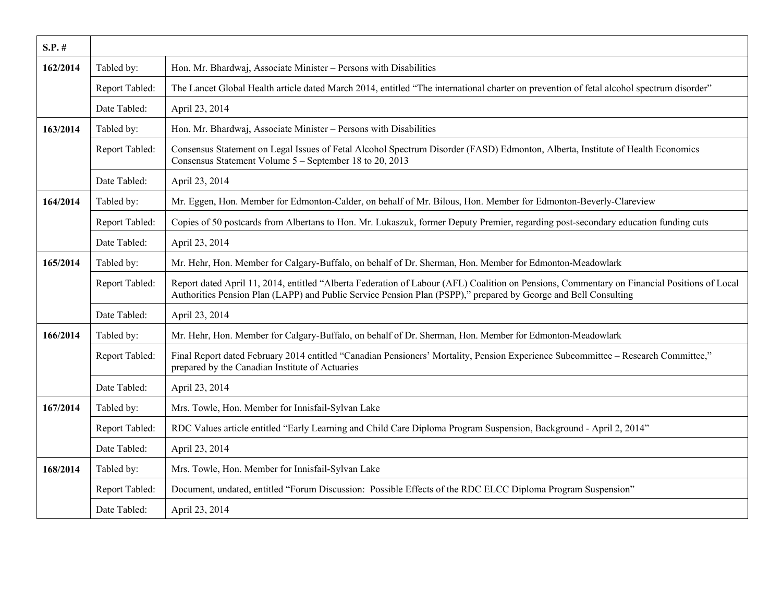| $S.P.$ # |                |                                                                                                                                                                                                                                                                |
|----------|----------------|----------------------------------------------------------------------------------------------------------------------------------------------------------------------------------------------------------------------------------------------------------------|
| 162/2014 | Tabled by:     | Hon. Mr. Bhardwaj, Associate Minister - Persons with Disabilities                                                                                                                                                                                              |
|          | Report Tabled: | The Lancet Global Health article dated March 2014, entitled "The international charter on prevention of fetal alcohol spectrum disorder"                                                                                                                       |
|          | Date Tabled:   | April 23, 2014                                                                                                                                                                                                                                                 |
| 163/2014 | Tabled by:     | Hon. Mr. Bhardwaj, Associate Minister - Persons with Disabilities                                                                                                                                                                                              |
|          | Report Tabled: | Consensus Statement on Legal Issues of Fetal Alcohol Spectrum Disorder (FASD) Edmonton, Alberta, Institute of Health Economics<br>Consensus Statement Volume 5 - September 18 to 20, 2013                                                                      |
|          | Date Tabled:   | April 23, 2014                                                                                                                                                                                                                                                 |
| 164/2014 | Tabled by:     | Mr. Eggen, Hon. Member for Edmonton-Calder, on behalf of Mr. Bilous, Hon. Member for Edmonton-Beverly-Clareview                                                                                                                                                |
|          | Report Tabled: | Copies of 50 postcards from Albertans to Hon. Mr. Lukaszuk, former Deputy Premier, regarding post-secondary education funding cuts                                                                                                                             |
|          | Date Tabled:   | April 23, 2014                                                                                                                                                                                                                                                 |
| 165/2014 | Tabled by:     | Mr. Hehr, Hon. Member for Calgary-Buffalo, on behalf of Dr. Sherman, Hon. Member for Edmonton-Meadowlark                                                                                                                                                       |
|          | Report Tabled: | Report dated April 11, 2014, entitled "Alberta Federation of Labour (AFL) Coalition on Pensions, Commentary on Financial Positions of Local<br>Authorities Pension Plan (LAPP) and Public Service Pension Plan (PSPP)," prepared by George and Bell Consulting |
|          | Date Tabled:   | April 23, 2014                                                                                                                                                                                                                                                 |
| 166/2014 | Tabled by:     | Mr. Hehr, Hon. Member for Calgary-Buffalo, on behalf of Dr. Sherman, Hon. Member for Edmonton-Meadowlark                                                                                                                                                       |
|          | Report Tabled: | Final Report dated February 2014 entitled "Canadian Pensioners' Mortality, Pension Experience Subcommittee – Research Committee,"<br>prepared by the Canadian Institute of Actuaries                                                                           |
|          | Date Tabled:   | April 23, 2014                                                                                                                                                                                                                                                 |
| 167/2014 | Tabled by:     | Mrs. Towle, Hon. Member for Innisfail-Sylvan Lake                                                                                                                                                                                                              |
|          | Report Tabled: | RDC Values article entitled "Early Learning and Child Care Diploma Program Suspension, Background - April 2, 2014"                                                                                                                                             |
|          | Date Tabled:   | April 23, 2014                                                                                                                                                                                                                                                 |
| 168/2014 | Tabled by:     | Mrs. Towle, Hon. Member for Innisfail-Sylvan Lake                                                                                                                                                                                                              |
|          | Report Tabled: | Document, undated, entitled "Forum Discussion: Possible Effects of the RDC ELCC Diploma Program Suspension"                                                                                                                                                    |
|          | Date Tabled:   | April 23, 2014                                                                                                                                                                                                                                                 |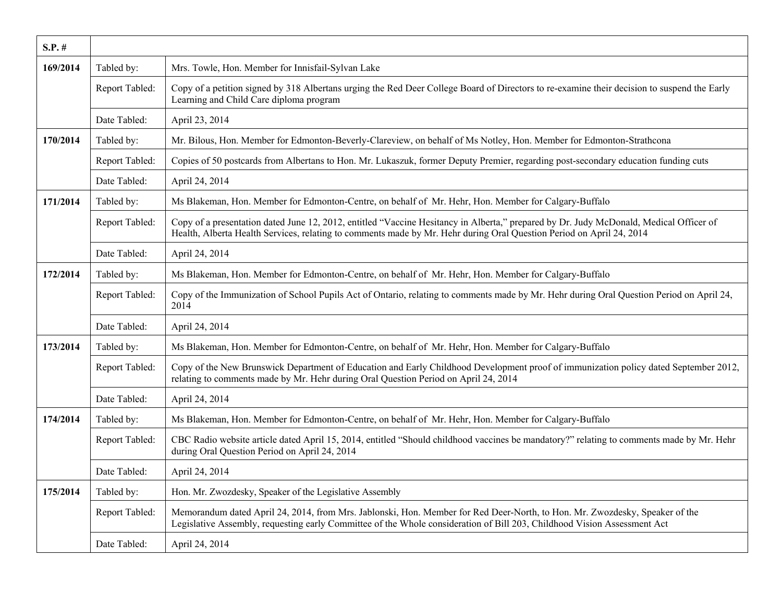| $S.P.$ # |                |                                                                                                                                                                                                                                                                |
|----------|----------------|----------------------------------------------------------------------------------------------------------------------------------------------------------------------------------------------------------------------------------------------------------------|
| 169/2014 | Tabled by:     | Mrs. Towle, Hon. Member for Innisfail-Sylvan Lake                                                                                                                                                                                                              |
|          | Report Tabled: | Copy of a petition signed by 318 Albertans urging the Red Deer College Board of Directors to re-examine their decision to suspend the Early<br>Learning and Child Care diploma program                                                                         |
|          | Date Tabled:   | April 23, 2014                                                                                                                                                                                                                                                 |
| 170/2014 | Tabled by:     | Mr. Bilous, Hon. Member for Edmonton-Beverly-Clareview, on behalf of Ms Notley, Hon. Member for Edmonton-Strathcona                                                                                                                                            |
|          | Report Tabled: | Copies of 50 postcards from Albertans to Hon. Mr. Lukaszuk, former Deputy Premier, regarding post-secondary education funding cuts                                                                                                                             |
|          | Date Tabled:   | April 24, 2014                                                                                                                                                                                                                                                 |
| 171/2014 | Tabled by:     | Ms Blakeman, Hon. Member for Edmonton-Centre, on behalf of Mr. Hehr, Hon. Member for Calgary-Buffalo                                                                                                                                                           |
|          | Report Tabled: | Copy of a presentation dated June 12, 2012, entitled "Vaccine Hesitancy in Alberta," prepared by Dr. Judy McDonald, Medical Officer of<br>Health, Alberta Health Services, relating to comments made by Mr. Hehr during Oral Question Period on April 24, 2014 |
|          | Date Tabled:   | April 24, 2014                                                                                                                                                                                                                                                 |
| 172/2014 | Tabled by:     | Ms Blakeman, Hon. Member for Edmonton-Centre, on behalf of Mr. Hehr, Hon. Member for Calgary-Buffalo                                                                                                                                                           |
|          | Report Tabled: | Copy of the Immunization of School Pupils Act of Ontario, relating to comments made by Mr. Hehr during Oral Question Period on April 24,<br>2014                                                                                                               |
|          | Date Tabled:   | April 24, 2014                                                                                                                                                                                                                                                 |
| 173/2014 | Tabled by:     | Ms Blakeman, Hon. Member for Edmonton-Centre, on behalf of Mr. Hehr, Hon. Member for Calgary-Buffalo                                                                                                                                                           |
|          | Report Tabled: | Copy of the New Brunswick Department of Education and Early Childhood Development proof of immunization policy dated September 2012,<br>relating to comments made by Mr. Hehr during Oral Question Period on April 24, 2014                                    |
|          | Date Tabled:   | April 24, 2014                                                                                                                                                                                                                                                 |
| 174/2014 | Tabled by:     | Ms Blakeman, Hon. Member for Edmonton-Centre, on behalf of Mr. Hehr, Hon. Member for Calgary-Buffalo                                                                                                                                                           |
|          | Report Tabled: | CBC Radio website article dated April 15, 2014, entitled "Should childhood vaccines be mandatory?" relating to comments made by Mr. Hehr<br>during Oral Question Period on April 24, 2014                                                                      |
|          | Date Tabled:   | April 24, 2014                                                                                                                                                                                                                                                 |
| 175/2014 | Tabled by:     | Hon. Mr. Zwozdesky, Speaker of the Legislative Assembly                                                                                                                                                                                                        |
|          | Report Tabled: | Memorandum dated April 24, 2014, from Mrs. Jablonski, Hon. Member for Red Deer-North, to Hon. Mr. Zwozdesky, Speaker of the<br>Legislative Assembly, requesting early Committee of the Whole consideration of Bill 203, Childhood Vision Assessment Act        |
|          | Date Tabled:   | April 24, 2014                                                                                                                                                                                                                                                 |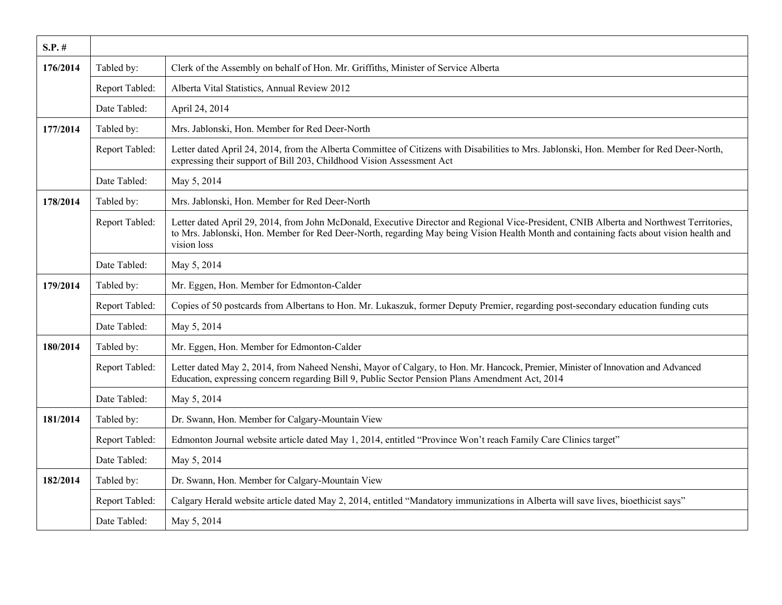| $S.P.$ # |                |                                                                                                                                                                                                                                                                                                    |
|----------|----------------|----------------------------------------------------------------------------------------------------------------------------------------------------------------------------------------------------------------------------------------------------------------------------------------------------|
| 176/2014 | Tabled by:     | Clerk of the Assembly on behalf of Hon. Mr. Griffiths, Minister of Service Alberta                                                                                                                                                                                                                 |
|          | Report Tabled: | Alberta Vital Statistics, Annual Review 2012                                                                                                                                                                                                                                                       |
|          | Date Tabled:   | April 24, 2014                                                                                                                                                                                                                                                                                     |
| 177/2014 | Tabled by:     | Mrs. Jablonski, Hon. Member for Red Deer-North                                                                                                                                                                                                                                                     |
|          | Report Tabled: | Letter dated April 24, 2014, from the Alberta Committee of Citizens with Disabilities to Mrs. Jablonski, Hon. Member for Red Deer-North,<br>expressing their support of Bill 203, Childhood Vision Assessment Act                                                                                  |
|          | Date Tabled:   | May 5, 2014                                                                                                                                                                                                                                                                                        |
| 178/2014 | Tabled by:     | Mrs. Jablonski, Hon. Member for Red Deer-North                                                                                                                                                                                                                                                     |
|          | Report Tabled: | Letter dated April 29, 2014, from John McDonald, Executive Director and Regional Vice-President, CNIB Alberta and Northwest Territories,<br>to Mrs. Jablonski, Hon. Member for Red Deer-North, regarding May being Vision Health Month and containing facts about vision health and<br>vision loss |
|          | Date Tabled:   | May 5, 2014                                                                                                                                                                                                                                                                                        |
| 179/2014 | Tabled by:     | Mr. Eggen, Hon. Member for Edmonton-Calder                                                                                                                                                                                                                                                         |
|          | Report Tabled: | Copies of 50 postcards from Albertans to Hon. Mr. Lukaszuk, former Deputy Premier, regarding post-secondary education funding cuts                                                                                                                                                                 |
|          | Date Tabled:   | May 5, 2014                                                                                                                                                                                                                                                                                        |
| 180/2014 | Tabled by:     | Mr. Eggen, Hon. Member for Edmonton-Calder                                                                                                                                                                                                                                                         |
|          | Report Tabled: | Letter dated May 2, 2014, from Naheed Nenshi, Mayor of Calgary, to Hon. Mr. Hancock, Premier, Minister of Innovation and Advanced<br>Education, expressing concern regarding Bill 9, Public Sector Pension Plans Amendment Act, 2014                                                               |
|          | Date Tabled:   | May 5, 2014                                                                                                                                                                                                                                                                                        |
| 181/2014 | Tabled by:     | Dr. Swann, Hon. Member for Calgary-Mountain View                                                                                                                                                                                                                                                   |
|          | Report Tabled: | Edmonton Journal website article dated May 1, 2014, entitled "Province Won't reach Family Care Clinics target"                                                                                                                                                                                     |
|          | Date Tabled:   | May 5, 2014                                                                                                                                                                                                                                                                                        |
| 182/2014 | Tabled by:     | Dr. Swann, Hon. Member for Calgary-Mountain View                                                                                                                                                                                                                                                   |
|          | Report Tabled: | Calgary Herald website article dated May 2, 2014, entitled "Mandatory immunizations in Alberta will save lives, bioethicist says"                                                                                                                                                                  |
|          | Date Tabled:   | May 5, 2014                                                                                                                                                                                                                                                                                        |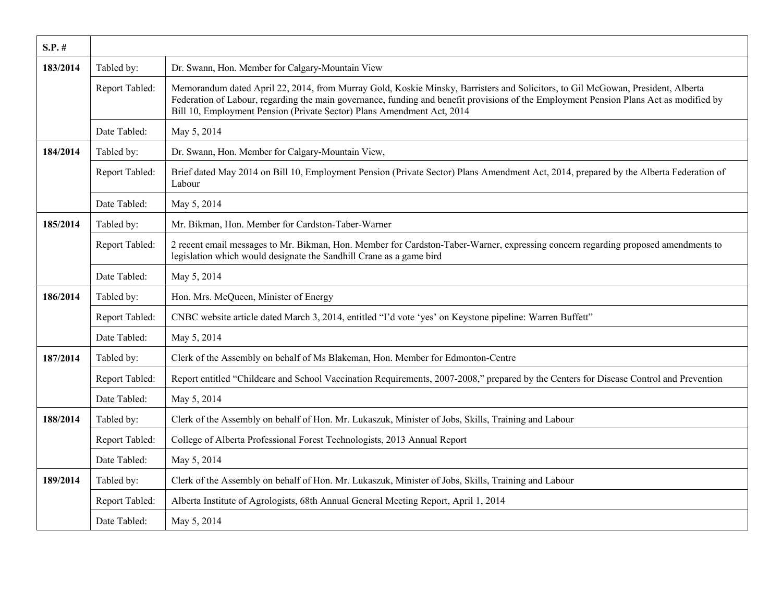| $S.P.$ # |                |                                                                                                                                                                                                                                                                                                                                                     |
|----------|----------------|-----------------------------------------------------------------------------------------------------------------------------------------------------------------------------------------------------------------------------------------------------------------------------------------------------------------------------------------------------|
| 183/2014 | Tabled by:     | Dr. Swann, Hon. Member for Calgary-Mountain View                                                                                                                                                                                                                                                                                                    |
|          | Report Tabled: | Memorandum dated April 22, 2014, from Murray Gold, Koskie Minsky, Barristers and Solicitors, to Gil McGowan, President, Alberta<br>Federation of Labour, regarding the main governance, funding and benefit provisions of the Employment Pension Plans Act as modified by<br>Bill 10, Employment Pension (Private Sector) Plans Amendment Act, 2014 |
|          | Date Tabled:   | May 5, 2014                                                                                                                                                                                                                                                                                                                                         |
| 184/2014 | Tabled by:     | Dr. Swann, Hon. Member for Calgary-Mountain View,                                                                                                                                                                                                                                                                                                   |
|          | Report Tabled: | Brief dated May 2014 on Bill 10, Employment Pension (Private Sector) Plans Amendment Act, 2014, prepared by the Alberta Federation of<br>Labour                                                                                                                                                                                                     |
|          | Date Tabled:   | May 5, 2014                                                                                                                                                                                                                                                                                                                                         |
| 185/2014 | Tabled by:     | Mr. Bikman, Hon. Member for Cardston-Taber-Warner                                                                                                                                                                                                                                                                                                   |
|          | Report Tabled: | 2 recent email messages to Mr. Bikman, Hon. Member for Cardston-Taber-Warner, expressing concern regarding proposed amendments to<br>legislation which would designate the Sandhill Crane as a game bird                                                                                                                                            |
|          | Date Tabled:   | May 5, 2014                                                                                                                                                                                                                                                                                                                                         |
| 186/2014 | Tabled by:     | Hon. Mrs. McQueen, Minister of Energy                                                                                                                                                                                                                                                                                                               |
|          | Report Tabled: | CNBC website article dated March 3, 2014, entitled "I'd vote 'yes' on Keystone pipeline: Warren Buffett"                                                                                                                                                                                                                                            |
|          | Date Tabled:   | May 5, 2014                                                                                                                                                                                                                                                                                                                                         |
| 187/2014 | Tabled by:     | Clerk of the Assembly on behalf of Ms Blakeman, Hon. Member for Edmonton-Centre                                                                                                                                                                                                                                                                     |
|          | Report Tabled: | Report entitled "Childcare and School Vaccination Requirements, 2007-2008," prepared by the Centers for Disease Control and Prevention                                                                                                                                                                                                              |
|          | Date Tabled:   | May 5, 2014                                                                                                                                                                                                                                                                                                                                         |
| 188/2014 | Tabled by:     | Clerk of the Assembly on behalf of Hon. Mr. Lukaszuk, Minister of Jobs, Skills, Training and Labour                                                                                                                                                                                                                                                 |
|          | Report Tabled: | College of Alberta Professional Forest Technologists, 2013 Annual Report                                                                                                                                                                                                                                                                            |
|          | Date Tabled:   | May 5, 2014                                                                                                                                                                                                                                                                                                                                         |
| 189/2014 | Tabled by:     | Clerk of the Assembly on behalf of Hon. Mr. Lukaszuk, Minister of Jobs, Skills, Training and Labour                                                                                                                                                                                                                                                 |
|          | Report Tabled: | Alberta Institute of Agrologists, 68th Annual General Meeting Report, April 1, 2014                                                                                                                                                                                                                                                                 |
|          | Date Tabled:   | May 5, 2014                                                                                                                                                                                                                                                                                                                                         |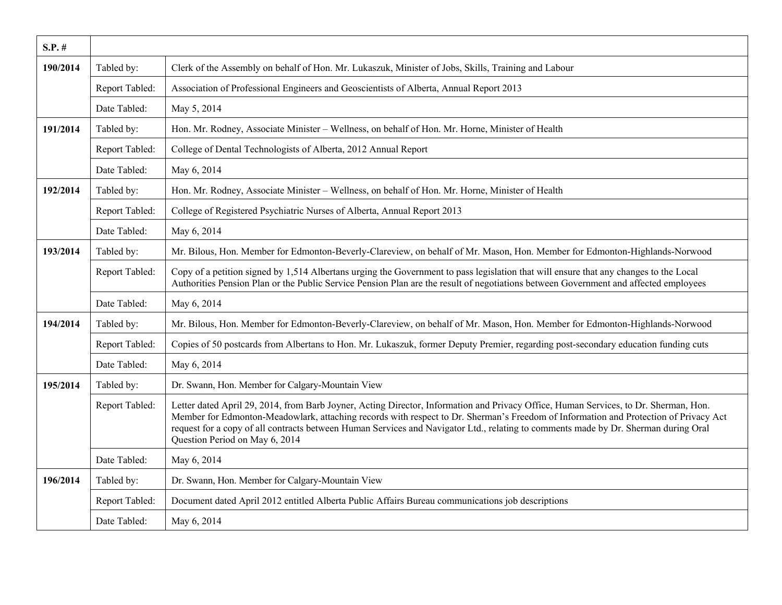| $S.P.$ # |                |                                                                                                                                                                                                                                                                                                                                                                                                                                                       |
|----------|----------------|-------------------------------------------------------------------------------------------------------------------------------------------------------------------------------------------------------------------------------------------------------------------------------------------------------------------------------------------------------------------------------------------------------------------------------------------------------|
| 190/2014 | Tabled by:     | Clerk of the Assembly on behalf of Hon. Mr. Lukaszuk, Minister of Jobs, Skills, Training and Labour                                                                                                                                                                                                                                                                                                                                                   |
|          | Report Tabled: | Association of Professional Engineers and Geoscientists of Alberta, Annual Report 2013                                                                                                                                                                                                                                                                                                                                                                |
|          | Date Tabled:   | May 5, 2014                                                                                                                                                                                                                                                                                                                                                                                                                                           |
| 191/2014 | Tabled by:     | Hon. Mr. Rodney, Associate Minister - Wellness, on behalf of Hon. Mr. Horne, Minister of Health                                                                                                                                                                                                                                                                                                                                                       |
|          | Report Tabled: | College of Dental Technologists of Alberta, 2012 Annual Report                                                                                                                                                                                                                                                                                                                                                                                        |
|          | Date Tabled:   | May 6, 2014                                                                                                                                                                                                                                                                                                                                                                                                                                           |
| 192/2014 | Tabled by:     | Hon. Mr. Rodney, Associate Minister - Wellness, on behalf of Hon. Mr. Horne, Minister of Health                                                                                                                                                                                                                                                                                                                                                       |
|          | Report Tabled: | College of Registered Psychiatric Nurses of Alberta, Annual Report 2013                                                                                                                                                                                                                                                                                                                                                                               |
|          | Date Tabled:   | May 6, 2014                                                                                                                                                                                                                                                                                                                                                                                                                                           |
| 193/2014 | Tabled by:     | Mr. Bilous, Hon. Member for Edmonton-Beverly-Clareview, on behalf of Mr. Mason, Hon. Member for Edmonton-Highlands-Norwood                                                                                                                                                                                                                                                                                                                            |
|          | Report Tabled: | Copy of a petition signed by 1,514 Albertans urging the Government to pass legislation that will ensure that any changes to the Local<br>Authorities Pension Plan or the Public Service Pension Plan are the result of negotiations between Government and affected employees                                                                                                                                                                         |
|          | Date Tabled:   | May 6, 2014                                                                                                                                                                                                                                                                                                                                                                                                                                           |
| 194/2014 | Tabled by:     | Mr. Bilous, Hon. Member for Edmonton-Beverly-Clareview, on behalf of Mr. Mason, Hon. Member for Edmonton-Highlands-Norwood                                                                                                                                                                                                                                                                                                                            |
|          | Report Tabled: | Copies of 50 postcards from Albertans to Hon. Mr. Lukaszuk, former Deputy Premier, regarding post-secondary education funding cuts                                                                                                                                                                                                                                                                                                                    |
|          | Date Tabled:   | May 6, 2014                                                                                                                                                                                                                                                                                                                                                                                                                                           |
| 195/2014 | Tabled by:     | Dr. Swann, Hon. Member for Calgary-Mountain View                                                                                                                                                                                                                                                                                                                                                                                                      |
|          | Report Tabled: | Letter dated April 29, 2014, from Barb Joyner, Acting Director, Information and Privacy Office, Human Services, to Dr. Sherman, Hon.<br>Member for Edmonton-Meadowlark, attaching records with respect to Dr. Sherman's Freedom of Information and Protection of Privacy Act<br>request for a copy of all contracts between Human Services and Navigator Ltd., relating to comments made by Dr. Sherman during Oral<br>Question Period on May 6, 2014 |
|          | Date Tabled:   | May 6, 2014                                                                                                                                                                                                                                                                                                                                                                                                                                           |
| 196/2014 | Tabled by:     | Dr. Swann, Hon. Member for Calgary-Mountain View                                                                                                                                                                                                                                                                                                                                                                                                      |
|          | Report Tabled: | Document dated April 2012 entitled Alberta Public Affairs Bureau communications job descriptions                                                                                                                                                                                                                                                                                                                                                      |
|          | Date Tabled:   | May 6, 2014                                                                                                                                                                                                                                                                                                                                                                                                                                           |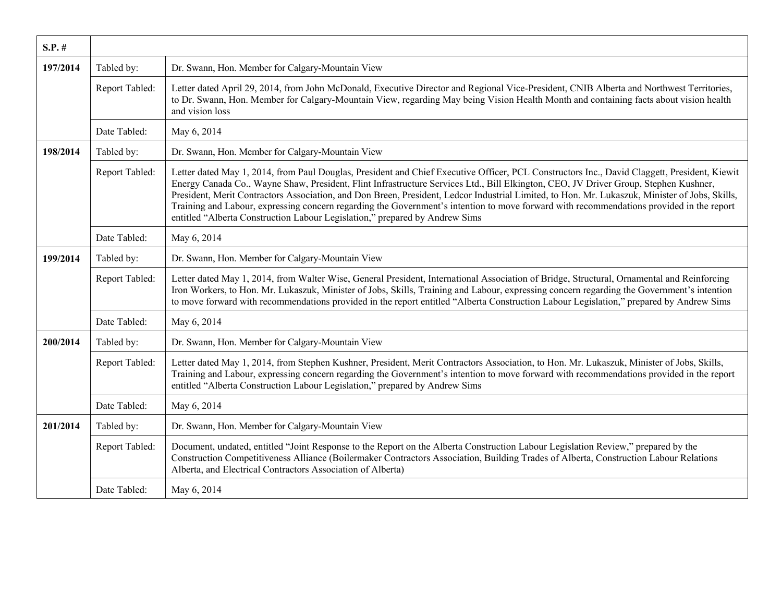| $S.P.$ # |                |                                                                                                                                                                                                                                                                                                                                                                                                                                                                                                                                                                                                                                                                   |
|----------|----------------|-------------------------------------------------------------------------------------------------------------------------------------------------------------------------------------------------------------------------------------------------------------------------------------------------------------------------------------------------------------------------------------------------------------------------------------------------------------------------------------------------------------------------------------------------------------------------------------------------------------------------------------------------------------------|
| 197/2014 | Tabled by:     | Dr. Swann, Hon. Member for Calgary-Mountain View                                                                                                                                                                                                                                                                                                                                                                                                                                                                                                                                                                                                                  |
|          | Report Tabled: | Letter dated April 29, 2014, from John McDonald, Executive Director and Regional Vice-President, CNIB Alberta and Northwest Territories,<br>to Dr. Swann, Hon. Member for Calgary-Mountain View, regarding May being Vision Health Month and containing facts about vision health<br>and vision loss                                                                                                                                                                                                                                                                                                                                                              |
|          | Date Tabled:   | May 6, 2014                                                                                                                                                                                                                                                                                                                                                                                                                                                                                                                                                                                                                                                       |
| 198/2014 | Tabled by:     | Dr. Swann, Hon. Member for Calgary-Mountain View                                                                                                                                                                                                                                                                                                                                                                                                                                                                                                                                                                                                                  |
|          | Report Tabled: | Letter dated May 1, 2014, from Paul Douglas, President and Chief Executive Officer, PCL Constructors Inc., David Claggett, President, Kiewit<br>Energy Canada Co., Wayne Shaw, President, Flint Infrastructure Services Ltd., Bill Elkington, CEO, JV Driver Group, Stephen Kushner,<br>President, Merit Contractors Association, and Don Breen, President, Ledcor Industrial Limited, to Hon. Mr. Lukaszuk, Minister of Jobs, Skills,<br>Training and Labour, expressing concern regarding the Government's intention to move forward with recommendations provided in the report<br>entitled "Alberta Construction Labour Legislation," prepared by Andrew Sims |
|          | Date Tabled:   | May 6, 2014                                                                                                                                                                                                                                                                                                                                                                                                                                                                                                                                                                                                                                                       |
| 199/2014 | Tabled by:     | Dr. Swann, Hon. Member for Calgary-Mountain View                                                                                                                                                                                                                                                                                                                                                                                                                                                                                                                                                                                                                  |
|          | Report Tabled: | Letter dated May 1, 2014, from Walter Wise, General President, International Association of Bridge, Structural, Ornamental and Reinforcing<br>Iron Workers, to Hon. Mr. Lukaszuk, Minister of Jobs, Skills, Training and Labour, expressing concern regarding the Government's intention<br>to move forward with recommendations provided in the report entitled "Alberta Construction Labour Legislation," prepared by Andrew Sims                                                                                                                                                                                                                               |
|          | Date Tabled:   | May 6, 2014                                                                                                                                                                                                                                                                                                                                                                                                                                                                                                                                                                                                                                                       |
| 200/2014 | Tabled by:     | Dr. Swann, Hon. Member for Calgary-Mountain View                                                                                                                                                                                                                                                                                                                                                                                                                                                                                                                                                                                                                  |
|          | Report Tabled: | Letter dated May 1, 2014, from Stephen Kushner, President, Merit Contractors Association, to Hon. Mr. Lukaszuk, Minister of Jobs, Skills,<br>Training and Labour, expressing concern regarding the Government's intention to move forward with recommendations provided in the report<br>entitled "Alberta Construction Labour Legislation," prepared by Andrew Sims                                                                                                                                                                                                                                                                                              |
|          | Date Tabled:   | May 6, 2014                                                                                                                                                                                                                                                                                                                                                                                                                                                                                                                                                                                                                                                       |
| 201/2014 | Tabled by:     | Dr. Swann, Hon. Member for Calgary-Mountain View                                                                                                                                                                                                                                                                                                                                                                                                                                                                                                                                                                                                                  |
|          | Report Tabled: | Document, undated, entitled "Joint Response to the Report on the Alberta Construction Labour Legislation Review," prepared by the<br>Construction Competitiveness Alliance (Boilermaker Contractors Association, Building Trades of Alberta, Construction Labour Relations<br>Alberta, and Electrical Contractors Association of Alberta)                                                                                                                                                                                                                                                                                                                         |
|          | Date Tabled:   | May 6, 2014                                                                                                                                                                                                                                                                                                                                                                                                                                                                                                                                                                                                                                                       |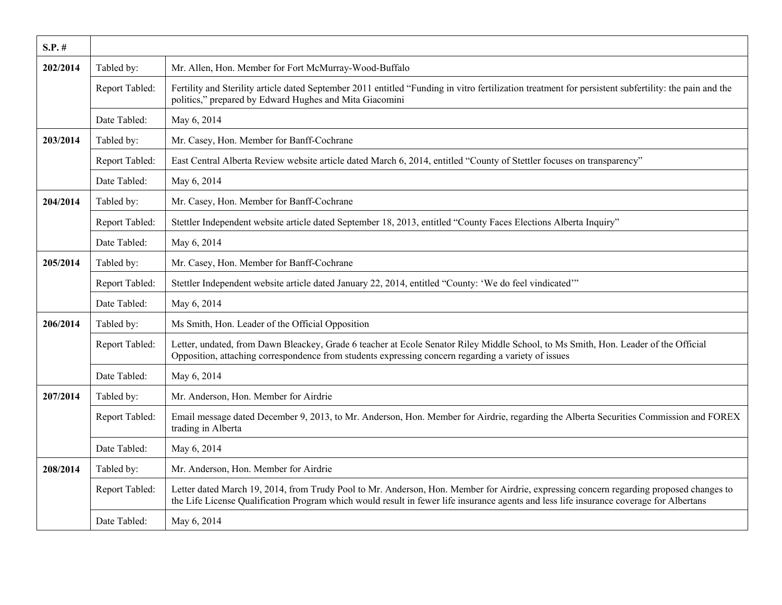| $S.P.$ # |                |                                                                                                                                                                                                                                                                                    |
|----------|----------------|------------------------------------------------------------------------------------------------------------------------------------------------------------------------------------------------------------------------------------------------------------------------------------|
| 202/2014 | Tabled by:     | Mr. Allen, Hon. Member for Fort McMurray-Wood-Buffalo                                                                                                                                                                                                                              |
|          | Report Tabled: | Fertility and Sterility article dated September 2011 entitled "Funding in vitro fertilization treatment for persistent subfertility: the pain and the<br>politics," prepared by Edward Hughes and Mita Giacomini                                                                   |
|          | Date Tabled:   | May 6, 2014                                                                                                                                                                                                                                                                        |
| 203/2014 | Tabled by:     | Mr. Casey, Hon. Member for Banff-Cochrane                                                                                                                                                                                                                                          |
|          | Report Tabled: | East Central Alberta Review website article dated March 6, 2014, entitled "County of Stettler focuses on transparency"                                                                                                                                                             |
|          | Date Tabled:   | May 6, 2014                                                                                                                                                                                                                                                                        |
| 204/2014 | Tabled by:     | Mr. Casey, Hon. Member for Banff-Cochrane                                                                                                                                                                                                                                          |
|          | Report Tabled: | Stettler Independent website article dated September 18, 2013, entitled "County Faces Elections Alberta Inquiry"                                                                                                                                                                   |
|          | Date Tabled:   | May 6, 2014                                                                                                                                                                                                                                                                        |
| 205/2014 | Tabled by:     | Mr. Casey, Hon. Member for Banff-Cochrane                                                                                                                                                                                                                                          |
|          | Report Tabled: | Stettler Independent website article dated January 22, 2014, entitled "County: 'We do feel vindicated"                                                                                                                                                                             |
|          | Date Tabled:   | May 6, 2014                                                                                                                                                                                                                                                                        |
| 206/2014 | Tabled by:     | Ms Smith, Hon. Leader of the Official Opposition                                                                                                                                                                                                                                   |
|          | Report Tabled: | Letter, undated, from Dawn Bleackey, Grade 6 teacher at Ecole Senator Riley Middle School, to Ms Smith, Hon. Leader of the Official<br>Opposition, attaching correspondence from students expressing concern regarding a variety of issues                                         |
|          | Date Tabled:   | May 6, 2014                                                                                                                                                                                                                                                                        |
| 207/2014 | Tabled by:     | Mr. Anderson, Hon. Member for Airdrie                                                                                                                                                                                                                                              |
|          | Report Tabled: | Email message dated December 9, 2013, to Mr. Anderson, Hon. Member for Airdrie, regarding the Alberta Securities Commission and FOREX<br>trading in Alberta                                                                                                                        |
|          | Date Tabled:   | May 6, 2014                                                                                                                                                                                                                                                                        |
| 208/2014 | Tabled by:     | Mr. Anderson, Hon. Member for Airdrie                                                                                                                                                                                                                                              |
|          | Report Tabled: | Letter dated March 19, 2014, from Trudy Pool to Mr. Anderson, Hon. Member for Airdrie, expressing concern regarding proposed changes to<br>the Life License Qualification Program which would result in fewer life insurance agents and less life insurance coverage for Albertans |
|          | Date Tabled:   | May 6, 2014                                                                                                                                                                                                                                                                        |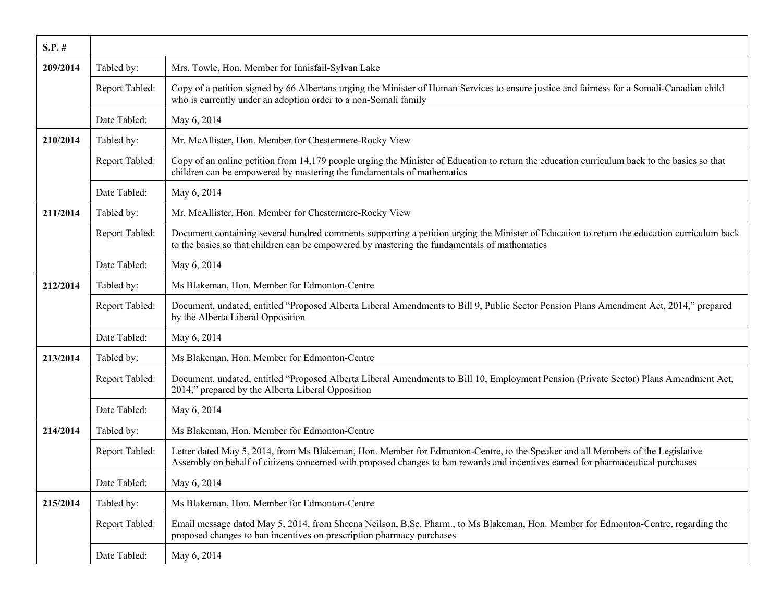| $S.P.$ # |                |                                                                                                                                                                                                                                                                    |
|----------|----------------|--------------------------------------------------------------------------------------------------------------------------------------------------------------------------------------------------------------------------------------------------------------------|
| 209/2014 | Tabled by:     | Mrs. Towle, Hon. Member for Innisfail-Sylvan Lake                                                                                                                                                                                                                  |
|          | Report Tabled: | Copy of a petition signed by 66 Albertans urging the Minister of Human Services to ensure justice and fairness for a Somali-Canadian child<br>who is currently under an adoption order to a non-Somali family                                                      |
|          | Date Tabled:   | May 6, 2014                                                                                                                                                                                                                                                        |
| 210/2014 | Tabled by:     | Mr. McAllister, Hon. Member for Chestermere-Rocky View                                                                                                                                                                                                             |
|          | Report Tabled: | Copy of an online petition from 14,179 people urging the Minister of Education to return the education curriculum back to the basics so that<br>children can be empowered by mastering the fundamentals of mathematics                                             |
|          | Date Tabled:   | May 6, 2014                                                                                                                                                                                                                                                        |
| 211/2014 | Tabled by:     | Mr. McAllister, Hon. Member for Chestermere-Rocky View                                                                                                                                                                                                             |
|          | Report Tabled: | Document containing several hundred comments supporting a petition urging the Minister of Education to return the education curriculum back<br>to the basics so that children can be empowered by mastering the fundamentals of mathematics                        |
|          | Date Tabled:   | May 6, 2014                                                                                                                                                                                                                                                        |
| 212/2014 | Tabled by:     | Ms Blakeman, Hon. Member for Edmonton-Centre                                                                                                                                                                                                                       |
|          | Report Tabled: | Document, undated, entitled "Proposed Alberta Liberal Amendments to Bill 9, Public Sector Pension Plans Amendment Act, 2014," prepared<br>by the Alberta Liberal Opposition                                                                                        |
|          | Date Tabled:   | May 6, 2014                                                                                                                                                                                                                                                        |
| 213/2014 | Tabled by:     | Ms Blakeman, Hon. Member for Edmonton-Centre                                                                                                                                                                                                                       |
|          | Report Tabled: | Document, undated, entitled "Proposed Alberta Liberal Amendments to Bill 10, Employment Pension (Private Sector) Plans Amendment Act,<br>2014," prepared by the Alberta Liberal Opposition                                                                         |
|          | Date Tabled:   | May 6, 2014                                                                                                                                                                                                                                                        |
| 214/2014 | Tabled by:     | Ms Blakeman, Hon. Member for Edmonton-Centre                                                                                                                                                                                                                       |
|          | Report Tabled: | Letter dated May 5, 2014, from Ms Blakeman, Hon. Member for Edmonton-Centre, to the Speaker and all Members of the Legislative<br>Assembly on behalf of citizens concerned with proposed changes to ban rewards and incentives earned for pharmaceutical purchases |
|          | Date Tabled:   | May 6, 2014                                                                                                                                                                                                                                                        |
| 215/2014 | Tabled by:     | Ms Blakeman, Hon. Member for Edmonton-Centre                                                                                                                                                                                                                       |
|          | Report Tabled: | Email message dated May 5, 2014, from Sheena Neilson, B.Sc. Pharm., to Ms Blakeman, Hon. Member for Edmonton-Centre, regarding the<br>proposed changes to ban incentives on prescription pharmacy purchases                                                        |
|          | Date Tabled:   | May 6, 2014                                                                                                                                                                                                                                                        |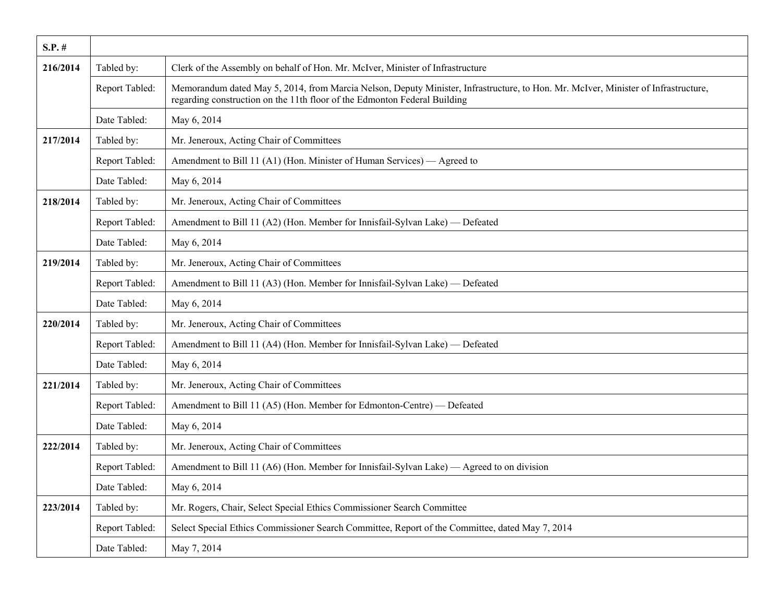| $S.P.$ # |                |                                                                                                                                                                                                                 |
|----------|----------------|-----------------------------------------------------------------------------------------------------------------------------------------------------------------------------------------------------------------|
| 216/2014 | Tabled by:     | Clerk of the Assembly on behalf of Hon. Mr. McIver, Minister of Infrastructure                                                                                                                                  |
|          | Report Tabled: | Memorandum dated May 5, 2014, from Marcia Nelson, Deputy Minister, Infrastructure, to Hon. Mr. McIver, Minister of Infrastructure,<br>regarding construction on the 11th floor of the Edmonton Federal Building |
|          | Date Tabled:   | May 6, 2014                                                                                                                                                                                                     |
| 217/2014 | Tabled by:     | Mr. Jeneroux, Acting Chair of Committees                                                                                                                                                                        |
|          | Report Tabled: | Amendment to Bill 11 (A1) (Hon. Minister of Human Services) — Agreed to                                                                                                                                         |
|          | Date Tabled:   | May 6, 2014                                                                                                                                                                                                     |
| 218/2014 | Tabled by:     | Mr. Jeneroux, Acting Chair of Committees                                                                                                                                                                        |
|          | Report Tabled: | Amendment to Bill 11 (A2) (Hon. Member for Innisfail-Sylvan Lake) — Defeated                                                                                                                                    |
|          | Date Tabled:   | May 6, 2014                                                                                                                                                                                                     |
| 219/2014 | Tabled by:     | Mr. Jeneroux, Acting Chair of Committees                                                                                                                                                                        |
|          | Report Tabled: | Amendment to Bill 11 (A3) (Hon. Member for Innisfail-Sylvan Lake) — Defeated                                                                                                                                    |
|          | Date Tabled:   | May 6, 2014                                                                                                                                                                                                     |
| 220/2014 | Tabled by:     | Mr. Jeneroux, Acting Chair of Committees                                                                                                                                                                        |
|          | Report Tabled: | Amendment to Bill 11 (A4) (Hon. Member for Innisfail-Sylvan Lake) — Defeated                                                                                                                                    |
|          | Date Tabled:   | May 6, 2014                                                                                                                                                                                                     |
| 221/2014 | Tabled by:     | Mr. Jeneroux, Acting Chair of Committees                                                                                                                                                                        |
|          | Report Tabled: | Amendment to Bill 11 (A5) (Hon. Member for Edmonton-Centre) — Defeated                                                                                                                                          |
|          | Date Tabled:   | May 6, 2014                                                                                                                                                                                                     |
| 222/2014 | Tabled by:     | Mr. Jeneroux, Acting Chair of Committees                                                                                                                                                                        |
|          | Report Tabled: | Amendment to Bill 11 (A6) (Hon. Member for Innisfail-Sylvan Lake) — Agreed to on division                                                                                                                       |
|          | Date Tabled:   | May 6, 2014                                                                                                                                                                                                     |
| 223/2014 | Tabled by:     | Mr. Rogers, Chair, Select Special Ethics Commissioner Search Committee                                                                                                                                          |
|          | Report Tabled: | Select Special Ethics Commissioner Search Committee, Report of the Committee, dated May 7, 2014                                                                                                                 |
|          | Date Tabled:   | May 7, 2014                                                                                                                                                                                                     |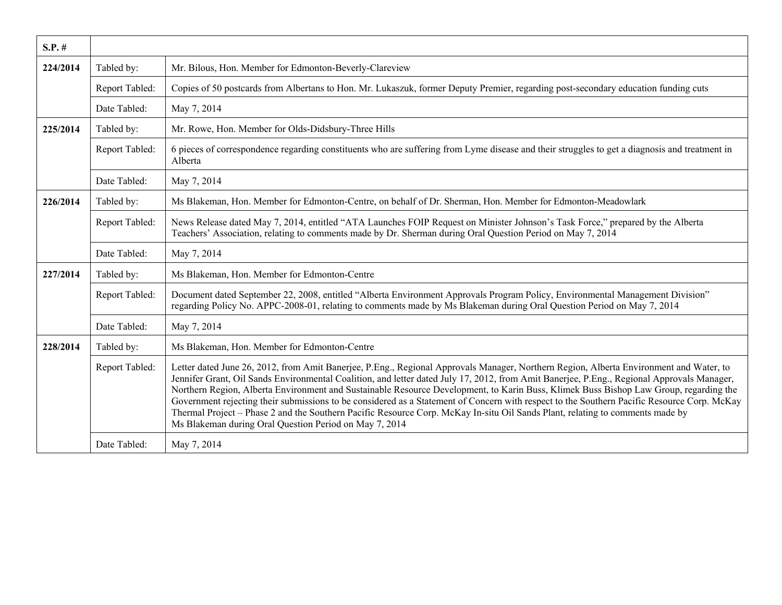| $S.P.$ # |                |                                                                                                                                                                                                                                                                                                                                                                                                                                                                                                                                                                                                                                                                                                                                                                         |
|----------|----------------|-------------------------------------------------------------------------------------------------------------------------------------------------------------------------------------------------------------------------------------------------------------------------------------------------------------------------------------------------------------------------------------------------------------------------------------------------------------------------------------------------------------------------------------------------------------------------------------------------------------------------------------------------------------------------------------------------------------------------------------------------------------------------|
| 224/2014 | Tabled by:     | Mr. Bilous, Hon. Member for Edmonton-Beverly-Clareview                                                                                                                                                                                                                                                                                                                                                                                                                                                                                                                                                                                                                                                                                                                  |
|          | Report Tabled: | Copies of 50 postcards from Albertans to Hon. Mr. Lukaszuk, former Deputy Premier, regarding post-secondary education funding cuts                                                                                                                                                                                                                                                                                                                                                                                                                                                                                                                                                                                                                                      |
|          | Date Tabled:   | May 7, 2014                                                                                                                                                                                                                                                                                                                                                                                                                                                                                                                                                                                                                                                                                                                                                             |
| 225/2014 | Tabled by:     | Mr. Rowe, Hon. Member for Olds-Didsbury-Three Hills                                                                                                                                                                                                                                                                                                                                                                                                                                                                                                                                                                                                                                                                                                                     |
|          | Report Tabled: | 6 pieces of correspondence regarding constituents who are suffering from Lyme disease and their struggles to get a diagnosis and treatment in<br>Alberta                                                                                                                                                                                                                                                                                                                                                                                                                                                                                                                                                                                                                |
|          | Date Tabled:   | May 7, 2014                                                                                                                                                                                                                                                                                                                                                                                                                                                                                                                                                                                                                                                                                                                                                             |
| 226/2014 | Tabled by:     | Ms Blakeman, Hon. Member for Edmonton-Centre, on behalf of Dr. Sherman, Hon. Member for Edmonton-Meadowlark                                                                                                                                                                                                                                                                                                                                                                                                                                                                                                                                                                                                                                                             |
|          | Report Tabled: | News Release dated May 7, 2014, entitled "ATA Launches FOIP Request on Minister Johnson's Task Force," prepared by the Alberta<br>Teachers' Association, relating to comments made by Dr. Sherman during Oral Question Period on May 7, 2014                                                                                                                                                                                                                                                                                                                                                                                                                                                                                                                            |
|          | Date Tabled:   | May 7, 2014                                                                                                                                                                                                                                                                                                                                                                                                                                                                                                                                                                                                                                                                                                                                                             |
| 227/2014 | Tabled by:     | Ms Blakeman, Hon. Member for Edmonton-Centre                                                                                                                                                                                                                                                                                                                                                                                                                                                                                                                                                                                                                                                                                                                            |
|          | Report Tabled: | Document dated September 22, 2008, entitled "Alberta Environment Approvals Program Policy, Environmental Management Division"<br>regarding Policy No. APPC-2008-01, relating to comments made by Ms Blakeman during Oral Question Period on May 7, 2014                                                                                                                                                                                                                                                                                                                                                                                                                                                                                                                 |
|          | Date Tabled:   | May 7, 2014                                                                                                                                                                                                                                                                                                                                                                                                                                                                                                                                                                                                                                                                                                                                                             |
| 228/2014 | Tabled by:     | Ms Blakeman, Hon. Member for Edmonton-Centre                                                                                                                                                                                                                                                                                                                                                                                                                                                                                                                                                                                                                                                                                                                            |
|          | Report Tabled: | Letter dated June 26, 2012, from Amit Banerjee, P.Eng., Regional Approvals Manager, Northern Region, Alberta Environment and Water, to<br>Jennifer Grant, Oil Sands Environmental Coalition, and letter dated July 17, 2012, from Amit Banerjee, P.Eng., Regional Approvals Manager,<br>Northern Region, Alberta Environment and Sustainable Resource Development, to Karin Buss, Klimek Buss Bishop Law Group, regarding the<br>Government rejecting their submissions to be considered as a Statement of Concern with respect to the Southern Pacific Resource Corp. McKay<br>Thermal Project – Phase 2 and the Southern Pacific Resource Corp. McKay In-situ Oil Sands Plant, relating to comments made by<br>Ms Blakeman during Oral Question Period on May 7, 2014 |
|          | Date Tabled:   | May 7, 2014                                                                                                                                                                                                                                                                                                                                                                                                                                                                                                                                                                                                                                                                                                                                                             |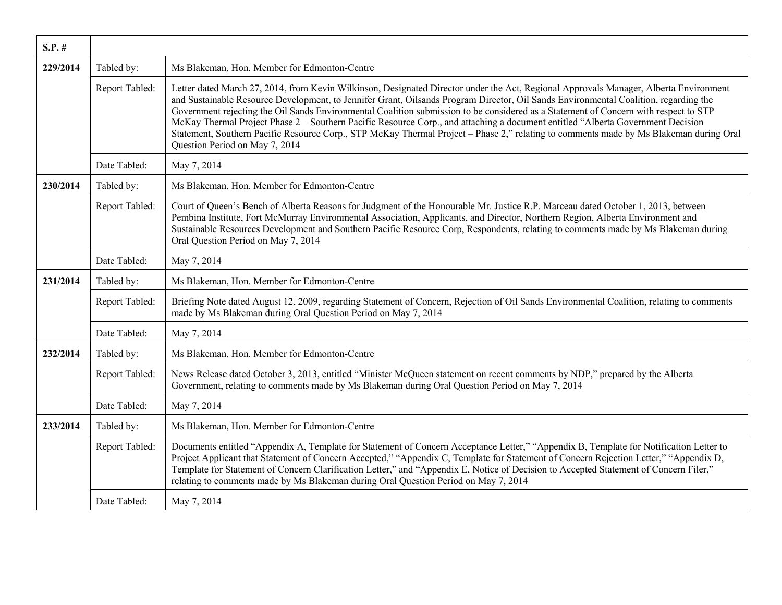| $S.P.$ # |                |                                                                                                                                                                                                                                                                                                                                                                                                                                                                                                                                                                                                                                                                                                                                       |
|----------|----------------|---------------------------------------------------------------------------------------------------------------------------------------------------------------------------------------------------------------------------------------------------------------------------------------------------------------------------------------------------------------------------------------------------------------------------------------------------------------------------------------------------------------------------------------------------------------------------------------------------------------------------------------------------------------------------------------------------------------------------------------|
| 229/2014 | Tabled by:     | Ms Blakeman, Hon. Member for Edmonton-Centre                                                                                                                                                                                                                                                                                                                                                                                                                                                                                                                                                                                                                                                                                          |
|          | Report Tabled: | Letter dated March 27, 2014, from Kevin Wilkinson, Designated Director under the Act, Regional Approvals Manager, Alberta Environment<br>and Sustainable Resource Development, to Jennifer Grant, Oilsands Program Director, Oil Sands Environmental Coalition, regarding the<br>Government rejecting the Oil Sands Environmental Coalition submission to be considered as a Statement of Concern with respect to STP<br>McKay Thermal Project Phase 2 – Southern Pacific Resource Corp., and attaching a document entitled "Alberta Government Decision"<br>Statement, Southern Pacific Resource Corp., STP McKay Thermal Project – Phase 2," relating to comments made by Ms Blakeman during Oral<br>Question Period on May 7, 2014 |
|          | Date Tabled:   | May 7, 2014                                                                                                                                                                                                                                                                                                                                                                                                                                                                                                                                                                                                                                                                                                                           |
| 230/2014 | Tabled by:     | Ms Blakeman, Hon. Member for Edmonton-Centre                                                                                                                                                                                                                                                                                                                                                                                                                                                                                                                                                                                                                                                                                          |
|          | Report Tabled: | Court of Queen's Bench of Alberta Reasons for Judgment of the Honourable Mr. Justice R.P. Marceau dated October 1, 2013, between<br>Pembina Institute, Fort McMurray Environmental Association, Applicants, and Director, Northern Region, Alberta Environment and<br>Sustainable Resources Development and Southern Pacific Resource Corp, Respondents, relating to comments made by Ms Blakeman during<br>Oral Question Period on May 7, 2014                                                                                                                                                                                                                                                                                       |
|          | Date Tabled:   | May 7, 2014                                                                                                                                                                                                                                                                                                                                                                                                                                                                                                                                                                                                                                                                                                                           |
| 231/2014 | Tabled by:     | Ms Blakeman, Hon. Member for Edmonton-Centre                                                                                                                                                                                                                                                                                                                                                                                                                                                                                                                                                                                                                                                                                          |
|          | Report Tabled: | Briefing Note dated August 12, 2009, regarding Statement of Concern, Rejection of Oil Sands Environmental Coalition, relating to comments<br>made by Ms Blakeman during Oral Question Period on May 7, 2014                                                                                                                                                                                                                                                                                                                                                                                                                                                                                                                           |
|          | Date Tabled:   | May 7, 2014                                                                                                                                                                                                                                                                                                                                                                                                                                                                                                                                                                                                                                                                                                                           |
| 232/2014 | Tabled by:     | Ms Blakeman, Hon. Member for Edmonton-Centre                                                                                                                                                                                                                                                                                                                                                                                                                                                                                                                                                                                                                                                                                          |
|          | Report Tabled: | News Release dated October 3, 2013, entitled "Minister McQueen statement on recent comments by NDP," prepared by the Alberta<br>Government, relating to comments made by Ms Blakeman during Oral Question Period on May 7, 2014                                                                                                                                                                                                                                                                                                                                                                                                                                                                                                       |
|          | Date Tabled:   | May 7, 2014                                                                                                                                                                                                                                                                                                                                                                                                                                                                                                                                                                                                                                                                                                                           |
| 233/2014 | Tabled by:     | Ms Blakeman, Hon. Member for Edmonton-Centre                                                                                                                                                                                                                                                                                                                                                                                                                                                                                                                                                                                                                                                                                          |
|          | Report Tabled: | Documents entitled "Appendix A, Template for Statement of Concern Acceptance Letter," "Appendix B, Template for Notification Letter to<br>Project Applicant that Statement of Concern Accepted," "Appendix C, Template for Statement of Concern Rejection Letter," "Appendix D,<br>Template for Statement of Concern Clarification Letter," and "Appendix E, Notice of Decision to Accepted Statement of Concern Filer,"<br>relating to comments made by Ms Blakeman during Oral Question Period on May 7, 2014                                                                                                                                                                                                                       |
|          | Date Tabled:   | May 7, 2014                                                                                                                                                                                                                                                                                                                                                                                                                                                                                                                                                                                                                                                                                                                           |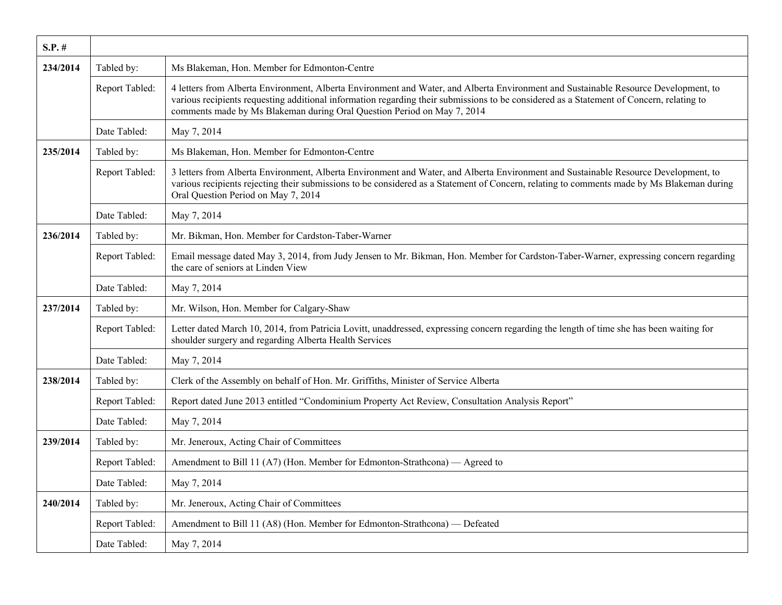| $S.P.$ # |                |                                                                                                                                                                                                                                                                                                                                                            |
|----------|----------------|------------------------------------------------------------------------------------------------------------------------------------------------------------------------------------------------------------------------------------------------------------------------------------------------------------------------------------------------------------|
| 234/2014 | Tabled by:     | Ms Blakeman, Hon. Member for Edmonton-Centre                                                                                                                                                                                                                                                                                                               |
|          | Report Tabled: | 4 letters from Alberta Environment, Alberta Environment and Water, and Alberta Environment and Sustainable Resource Development, to<br>various recipients requesting additional information regarding their submissions to be considered as a Statement of Concern, relating to<br>comments made by Ms Blakeman during Oral Question Period on May 7, 2014 |
|          | Date Tabled:   | May 7, 2014                                                                                                                                                                                                                                                                                                                                                |
| 235/2014 | Tabled by:     | Ms Blakeman, Hon. Member for Edmonton-Centre                                                                                                                                                                                                                                                                                                               |
|          | Report Tabled: | 3 letters from Alberta Environment, Alberta Environment and Water, and Alberta Environment and Sustainable Resource Development, to<br>various recipients rejecting their submissions to be considered as a Statement of Concern, relating to comments made by Ms Blakeman during<br>Oral Question Period on May 7, 2014                                   |
|          | Date Tabled:   | May 7, 2014                                                                                                                                                                                                                                                                                                                                                |
| 236/2014 | Tabled by:     | Mr. Bikman, Hon. Member for Cardston-Taber-Warner                                                                                                                                                                                                                                                                                                          |
|          | Report Tabled: | Email message dated May 3, 2014, from Judy Jensen to Mr. Bikman, Hon. Member for Cardston-Taber-Warner, expressing concern regarding<br>the care of seniors at Linden View                                                                                                                                                                                 |
|          | Date Tabled:   | May 7, 2014                                                                                                                                                                                                                                                                                                                                                |
| 237/2014 | Tabled by:     | Mr. Wilson, Hon. Member for Calgary-Shaw                                                                                                                                                                                                                                                                                                                   |
|          | Report Tabled: | Letter dated March 10, 2014, from Patricia Lovitt, unaddressed, expressing concern regarding the length of time she has been waiting for<br>shoulder surgery and regarding Alberta Health Services                                                                                                                                                         |
|          | Date Tabled:   | May 7, 2014                                                                                                                                                                                                                                                                                                                                                |
| 238/2014 | Tabled by:     | Clerk of the Assembly on behalf of Hon. Mr. Griffiths, Minister of Service Alberta                                                                                                                                                                                                                                                                         |
|          | Report Tabled: | Report dated June 2013 entitled "Condominium Property Act Review, Consultation Analysis Report"                                                                                                                                                                                                                                                            |
|          | Date Tabled:   | May 7, 2014                                                                                                                                                                                                                                                                                                                                                |
| 239/2014 | Tabled by:     | Mr. Jeneroux, Acting Chair of Committees                                                                                                                                                                                                                                                                                                                   |
|          | Report Tabled: | Amendment to Bill 11 (A7) (Hon. Member for Edmonton-Strathcona) — Agreed to                                                                                                                                                                                                                                                                                |
|          | Date Tabled:   | May 7, 2014                                                                                                                                                                                                                                                                                                                                                |
| 240/2014 | Tabled by:     | Mr. Jeneroux, Acting Chair of Committees                                                                                                                                                                                                                                                                                                                   |
|          | Report Tabled: | Amendment to Bill 11 (A8) (Hon. Member for Edmonton-Strathcona) — Defeated                                                                                                                                                                                                                                                                                 |
|          | Date Tabled:   | May 7, 2014                                                                                                                                                                                                                                                                                                                                                |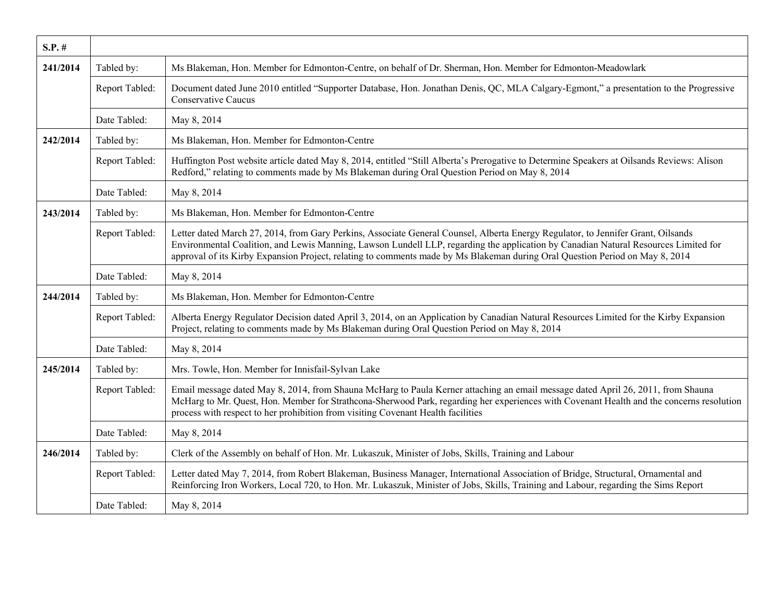| $S.P.$ # |                |                                                                                                                                                                                                                                                                                                                                                                                                         |
|----------|----------------|---------------------------------------------------------------------------------------------------------------------------------------------------------------------------------------------------------------------------------------------------------------------------------------------------------------------------------------------------------------------------------------------------------|
| 241/2014 | Tabled by:     | Ms Blakeman, Hon. Member for Edmonton-Centre, on behalf of Dr. Sherman, Hon. Member for Edmonton-Meadowlark                                                                                                                                                                                                                                                                                             |
|          | Report Tabled: | Document dated June 2010 entitled "Supporter Database, Hon. Jonathan Denis, QC, MLA Calgary-Egmont," a presentation to the Progressive<br><b>Conservative Caucus</b>                                                                                                                                                                                                                                    |
|          | Date Tabled:   | May 8, 2014                                                                                                                                                                                                                                                                                                                                                                                             |
| 242/2014 | Tabled by:     | Ms Blakeman, Hon. Member for Edmonton-Centre                                                                                                                                                                                                                                                                                                                                                            |
|          | Report Tabled: | Huffington Post website article dated May 8, 2014, entitled "Still Alberta's Prerogative to Determine Speakers at Oilsands Reviews: Alison<br>Redford," relating to comments made by Ms Blakeman during Oral Question Period on May 8, 2014                                                                                                                                                             |
|          | Date Tabled:   | May 8, 2014                                                                                                                                                                                                                                                                                                                                                                                             |
| 243/2014 | Tabled by:     | Ms Blakeman, Hon. Member for Edmonton-Centre                                                                                                                                                                                                                                                                                                                                                            |
|          | Report Tabled: | Letter dated March 27, 2014, from Gary Perkins, Associate General Counsel, Alberta Energy Regulator, to Jennifer Grant, Oilsands<br>Environmental Coalition, and Lewis Manning, Lawson Lundell LLP, regarding the application by Canadian Natural Resources Limited for<br>approval of its Kirby Expansion Project, relating to comments made by Ms Blakeman during Oral Question Period on May 8, 2014 |
|          | Date Tabled:   | May 8, 2014                                                                                                                                                                                                                                                                                                                                                                                             |
| 244/2014 | Tabled by:     | Ms Blakeman, Hon. Member for Edmonton-Centre                                                                                                                                                                                                                                                                                                                                                            |
|          | Report Tabled: | Alberta Energy Regulator Decision dated April 3, 2014, on an Application by Canadian Natural Resources Limited for the Kirby Expansion<br>Project, relating to comments made by Ms Blakeman during Oral Question Period on May 8, 2014                                                                                                                                                                  |
|          | Date Tabled:   | May 8, 2014                                                                                                                                                                                                                                                                                                                                                                                             |
| 245/2014 | Tabled by:     | Mrs. Towle, Hon. Member for Innisfail-Sylvan Lake                                                                                                                                                                                                                                                                                                                                                       |
|          | Report Tabled: | Email message dated May 8, 2014, from Shauna McHarg to Paula Kerner attaching an email message dated April 26, 2011, from Shauna<br>McHarg to Mr. Quest, Hon. Member for Strathcona-Sherwood Park, regarding her experiences with Covenant Health and the concerns resolution<br>process with respect to her prohibition from visiting Covenant Health facilities                                       |
|          | Date Tabled:   | May 8, 2014                                                                                                                                                                                                                                                                                                                                                                                             |
| 246/2014 | Tabled by:     | Clerk of the Assembly on behalf of Hon. Mr. Lukaszuk, Minister of Jobs, Skills, Training and Labour                                                                                                                                                                                                                                                                                                     |
|          | Report Tabled: | Letter dated May 7, 2014, from Robert Blakeman, Business Manager, International Association of Bridge, Structural, Ornamental and<br>Reinforcing Iron Workers, Local 720, to Hon. Mr. Lukaszuk, Minister of Jobs, Skills, Training and Labour, regarding the Sims Report                                                                                                                                |
|          | Date Tabled:   | May 8, 2014                                                                                                                                                                                                                                                                                                                                                                                             |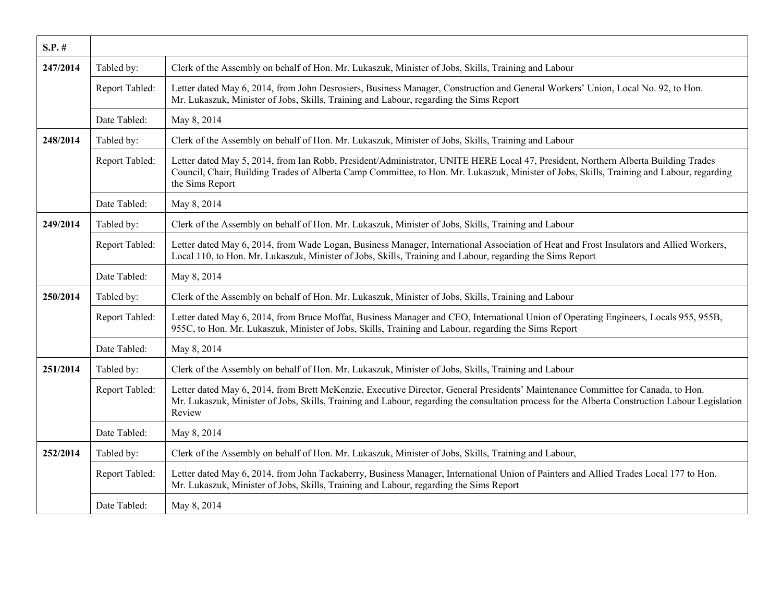| $S.P.$ # |                |                                                                                                                                                                                                                                                                                                    |
|----------|----------------|----------------------------------------------------------------------------------------------------------------------------------------------------------------------------------------------------------------------------------------------------------------------------------------------------|
| 247/2014 | Tabled by:     | Clerk of the Assembly on behalf of Hon. Mr. Lukaszuk, Minister of Jobs, Skills, Training and Labour                                                                                                                                                                                                |
|          | Report Tabled: | Letter dated May 6, 2014, from John Desrosiers, Business Manager, Construction and General Workers' Union, Local No. 92, to Hon.<br>Mr. Lukaszuk, Minister of Jobs, Skills, Training and Labour, regarding the Sims Report                                                                         |
|          | Date Tabled:   | May 8, 2014                                                                                                                                                                                                                                                                                        |
| 248/2014 | Tabled by:     | Clerk of the Assembly on behalf of Hon. Mr. Lukaszuk, Minister of Jobs, Skills, Training and Labour                                                                                                                                                                                                |
|          | Report Tabled: | Letter dated May 5, 2014, from Ian Robb, President/Administrator, UNITE HERE Local 47, President, Northern Alberta Building Trades<br>Council, Chair, Building Trades of Alberta Camp Committee, to Hon. Mr. Lukaszuk, Minister of Jobs, Skills, Training and Labour, regarding<br>the Sims Report |
|          | Date Tabled:   | May 8, 2014                                                                                                                                                                                                                                                                                        |
| 249/2014 | Tabled by:     | Clerk of the Assembly on behalf of Hon. Mr. Lukaszuk, Minister of Jobs, Skills, Training and Labour                                                                                                                                                                                                |
|          | Report Tabled: | Letter dated May 6, 2014, from Wade Logan, Business Manager, International Association of Heat and Frost Insulators and Allied Workers,<br>Local 110, to Hon. Mr. Lukaszuk, Minister of Jobs, Skills, Training and Labour, regarding the Sims Report                                               |
|          | Date Tabled:   | May 8, 2014                                                                                                                                                                                                                                                                                        |
| 250/2014 | Tabled by:     | Clerk of the Assembly on behalf of Hon. Mr. Lukaszuk, Minister of Jobs, Skills, Training and Labour                                                                                                                                                                                                |
|          | Report Tabled: | Letter dated May 6, 2014, from Bruce Moffat, Business Manager and CEO, International Union of Operating Engineers, Locals 955, 955B,<br>955C, to Hon. Mr. Lukaszuk, Minister of Jobs, Skills, Training and Labour, regarding the Sims Report                                                       |
|          | Date Tabled:   | May 8, 2014                                                                                                                                                                                                                                                                                        |
| 251/2014 | Tabled by:     | Clerk of the Assembly on behalf of Hon. Mr. Lukaszuk, Minister of Jobs, Skills, Training and Labour                                                                                                                                                                                                |
|          | Report Tabled: | Letter dated May 6, 2014, from Brett McKenzie, Executive Director, General Presidents' Maintenance Committee for Canada, to Hon.<br>Mr. Lukaszuk, Minister of Jobs, Skills, Training and Labour, regarding the consultation process for the Alberta Construction Labour Legislation<br>Review      |
|          | Date Tabled:   | May 8, 2014                                                                                                                                                                                                                                                                                        |
| 252/2014 | Tabled by:     | Clerk of the Assembly on behalf of Hon. Mr. Lukaszuk, Minister of Jobs, Skills, Training and Labour,                                                                                                                                                                                               |
|          | Report Tabled: | Letter dated May 6, 2014, from John Tackaberry, Business Manager, International Union of Painters and Allied Trades Local 177 to Hon.<br>Mr. Lukaszuk, Minister of Jobs, Skills, Training and Labour, regarding the Sims Report                                                                    |
|          | Date Tabled:   | May 8, 2014                                                                                                                                                                                                                                                                                        |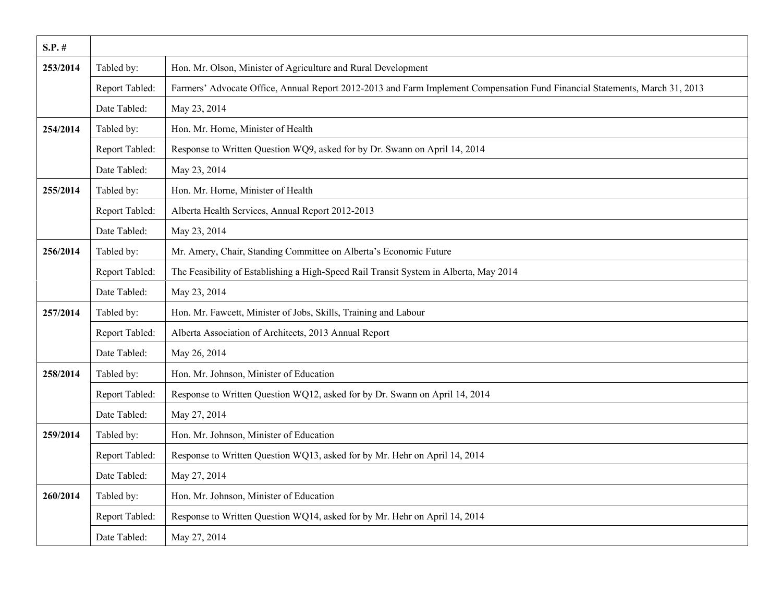| $S.P.$ # |                |                                                                                                                             |
|----------|----------------|-----------------------------------------------------------------------------------------------------------------------------|
| 253/2014 | Tabled by:     | Hon. Mr. Olson, Minister of Agriculture and Rural Development                                                               |
|          | Report Tabled: | Farmers' Advocate Office, Annual Report 2012-2013 and Farm Implement Compensation Fund Financial Statements, March 31, 2013 |
|          | Date Tabled:   | May 23, 2014                                                                                                                |
| 254/2014 | Tabled by:     | Hon. Mr. Horne, Minister of Health                                                                                          |
|          | Report Tabled: | Response to Written Question WQ9, asked for by Dr. Swann on April 14, 2014                                                  |
|          | Date Tabled:   | May 23, 2014                                                                                                                |
| 255/2014 | Tabled by:     | Hon. Mr. Horne, Minister of Health                                                                                          |
|          | Report Tabled: | Alberta Health Services, Annual Report 2012-2013                                                                            |
|          | Date Tabled:   | May 23, 2014                                                                                                                |
| 256/2014 | Tabled by:     | Mr. Amery, Chair, Standing Committee on Alberta's Economic Future                                                           |
|          | Report Tabled: | The Feasibility of Establishing a High-Speed Rail Transit System in Alberta, May 2014                                       |
|          | Date Tabled:   | May 23, 2014                                                                                                                |
| 257/2014 | Tabled by:     | Hon. Mr. Fawcett, Minister of Jobs, Skills, Training and Labour                                                             |
|          | Report Tabled: | Alberta Association of Architects, 2013 Annual Report                                                                       |
|          | Date Tabled:   | May 26, 2014                                                                                                                |
| 258/2014 | Tabled by:     | Hon. Mr. Johnson, Minister of Education                                                                                     |
|          | Report Tabled: | Response to Written Question WQ12, asked for by Dr. Swann on April 14, 2014                                                 |
|          | Date Tabled:   | May 27, 2014                                                                                                                |
| 259/2014 | Tabled by:     | Hon. Mr. Johnson, Minister of Education                                                                                     |
|          | Report Tabled: | Response to Written Question WQ13, asked for by Mr. Hehr on April 14, 2014                                                  |
|          | Date Tabled:   | May 27, 2014                                                                                                                |
| 260/2014 | Tabled by:     | Hon. Mr. Johnson, Minister of Education                                                                                     |
|          | Report Tabled: | Response to Written Question WQ14, asked for by Mr. Hehr on April 14, 2014                                                  |
|          | Date Tabled:   | May 27, 2014                                                                                                                |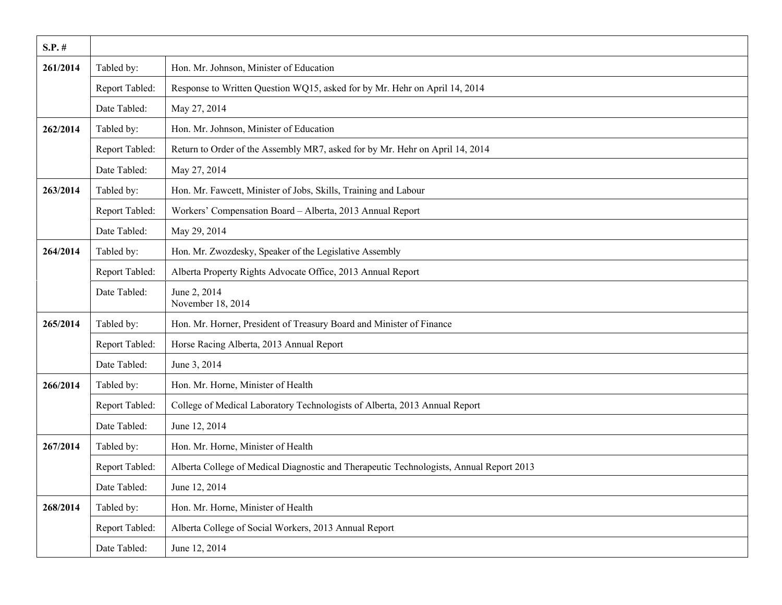| $S.P.$ # |                |                                                                                         |
|----------|----------------|-----------------------------------------------------------------------------------------|
| 261/2014 | Tabled by:     | Hon. Mr. Johnson, Minister of Education                                                 |
|          | Report Tabled: | Response to Written Question WQ15, asked for by Mr. Hehr on April 14, 2014              |
|          | Date Tabled:   | May 27, 2014                                                                            |
| 262/2014 | Tabled by:     | Hon. Mr. Johnson, Minister of Education                                                 |
|          | Report Tabled: | Return to Order of the Assembly MR7, asked for by Mr. Hehr on April 14, 2014            |
|          | Date Tabled:   | May 27, 2014                                                                            |
| 263/2014 | Tabled by:     | Hon. Mr. Fawcett, Minister of Jobs, Skills, Training and Labour                         |
|          | Report Tabled: | Workers' Compensation Board - Alberta, 2013 Annual Report                               |
|          | Date Tabled:   | May 29, 2014                                                                            |
| 264/2014 | Tabled by:     | Hon. Mr. Zwozdesky, Speaker of the Legislative Assembly                                 |
|          | Report Tabled: | Alberta Property Rights Advocate Office, 2013 Annual Report                             |
|          | Date Tabled:   | June 2, 2014<br>November 18, 2014                                                       |
| 265/2014 | Tabled by:     | Hon. Mr. Horner, President of Treasury Board and Minister of Finance                    |
|          | Report Tabled: | Horse Racing Alberta, 2013 Annual Report                                                |
|          | Date Tabled:   | June 3, 2014                                                                            |
| 266/2014 | Tabled by:     | Hon. Mr. Horne, Minister of Health                                                      |
|          | Report Tabled: | College of Medical Laboratory Technologists of Alberta, 2013 Annual Report              |
|          | Date Tabled:   | June 12, 2014                                                                           |
| 267/2014 | Tabled by:     | Hon. Mr. Horne, Minister of Health                                                      |
|          | Report Tabled: | Alberta College of Medical Diagnostic and Therapeutic Technologists, Annual Report 2013 |
|          | Date Tabled:   | June 12, 2014                                                                           |
| 268/2014 | Tabled by:     | Hon. Mr. Horne, Minister of Health                                                      |
|          | Report Tabled: | Alberta College of Social Workers, 2013 Annual Report                                   |
|          | Date Tabled:   | June 12, 2014                                                                           |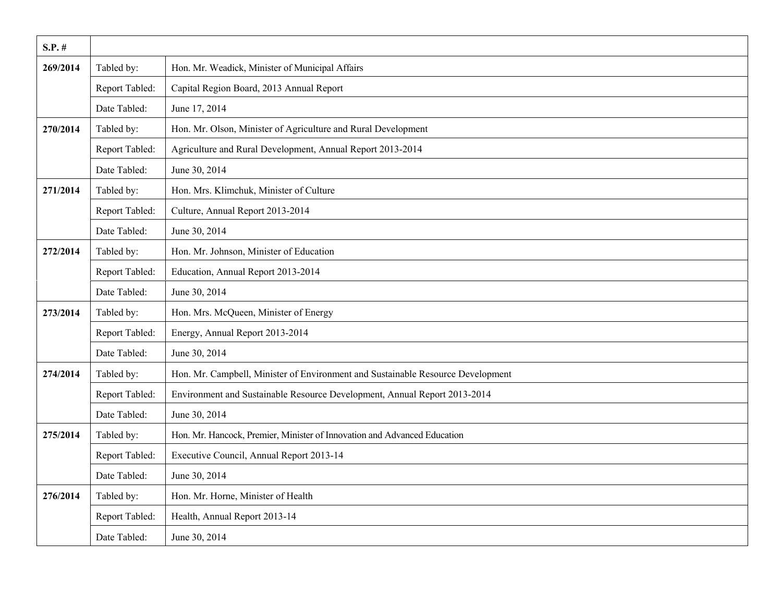| $S.P.$ # |                |                                                                                 |
|----------|----------------|---------------------------------------------------------------------------------|
| 269/2014 | Tabled by:     | Hon. Mr. Weadick, Minister of Municipal Affairs                                 |
|          | Report Tabled: | Capital Region Board, 2013 Annual Report                                        |
|          | Date Tabled:   | June 17, 2014                                                                   |
| 270/2014 | Tabled by:     | Hon. Mr. Olson, Minister of Agriculture and Rural Development                   |
|          | Report Tabled: | Agriculture and Rural Development, Annual Report 2013-2014                      |
|          | Date Tabled:   | June 30, 2014                                                                   |
| 271/2014 | Tabled by:     | Hon. Mrs. Klimchuk, Minister of Culture                                         |
|          | Report Tabled: | Culture, Annual Report 2013-2014                                                |
|          | Date Tabled:   | June 30, 2014                                                                   |
| 272/2014 | Tabled by:     | Hon. Mr. Johnson, Minister of Education                                         |
|          | Report Tabled: | Education, Annual Report 2013-2014                                              |
|          | Date Tabled:   | June 30, 2014                                                                   |
| 273/2014 | Tabled by:     | Hon. Mrs. McQueen, Minister of Energy                                           |
|          | Report Tabled: | Energy, Annual Report 2013-2014                                                 |
|          | Date Tabled:   | June 30, 2014                                                                   |
| 274/2014 | Tabled by:     | Hon. Mr. Campbell, Minister of Environment and Sustainable Resource Development |
|          | Report Tabled: | Environment and Sustainable Resource Development, Annual Report 2013-2014       |
|          | Date Tabled:   | June 30, 2014                                                                   |
| 275/2014 | Tabled by:     | Hon. Mr. Hancock, Premier, Minister of Innovation and Advanced Education        |
|          | Report Tabled: | Executive Council, Annual Report 2013-14                                        |
|          | Date Tabled:   | June 30, 2014                                                                   |
| 276/2014 | Tabled by:     | Hon. Mr. Horne, Minister of Health                                              |
|          | Report Tabled: | Health, Annual Report 2013-14                                                   |
|          | Date Tabled:   | June 30, 2014                                                                   |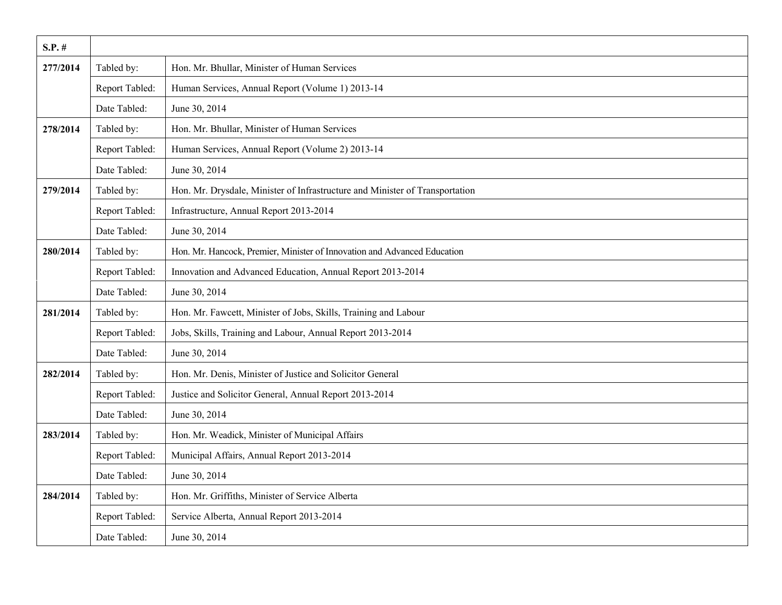| $S.P.$ # |                |                                                                              |
|----------|----------------|------------------------------------------------------------------------------|
| 277/2014 | Tabled by:     | Hon. Mr. Bhullar, Minister of Human Services                                 |
|          | Report Tabled: | Human Services, Annual Report (Volume 1) 2013-14                             |
|          | Date Tabled:   | June 30, 2014                                                                |
| 278/2014 | Tabled by:     | Hon. Mr. Bhullar, Minister of Human Services                                 |
|          | Report Tabled: | Human Services, Annual Report (Volume 2) 2013-14                             |
|          | Date Tabled:   | June 30, 2014                                                                |
| 279/2014 | Tabled by:     | Hon. Mr. Drysdale, Minister of Infrastructure and Minister of Transportation |
|          | Report Tabled: | Infrastructure, Annual Report 2013-2014                                      |
|          | Date Tabled:   | June 30, 2014                                                                |
| 280/2014 | Tabled by:     | Hon. Mr. Hancock, Premier, Minister of Innovation and Advanced Education     |
|          | Report Tabled: | Innovation and Advanced Education, Annual Report 2013-2014                   |
|          | Date Tabled:   | June 30, 2014                                                                |
| 281/2014 | Tabled by:     | Hon. Mr. Fawcett, Minister of Jobs, Skills, Training and Labour              |
|          | Report Tabled: | Jobs, Skills, Training and Labour, Annual Report 2013-2014                   |
|          | Date Tabled:   | June 30, 2014                                                                |
| 282/2014 | Tabled by:     | Hon. Mr. Denis, Minister of Justice and Solicitor General                    |
|          | Report Tabled: | Justice and Solicitor General, Annual Report 2013-2014                       |
|          | Date Tabled:   | June 30, 2014                                                                |
| 283/2014 | Tabled by:     | Hon. Mr. Weadick, Minister of Municipal Affairs                              |
|          | Report Tabled: | Municipal Affairs, Annual Report 2013-2014                                   |
|          | Date Tabled:   | June 30, 2014                                                                |
| 284/2014 | Tabled by:     | Hon. Mr. Griffiths, Minister of Service Alberta                              |
|          | Report Tabled: | Service Alberta, Annual Report 2013-2014                                     |
|          | Date Tabled:   | June 30, 2014                                                                |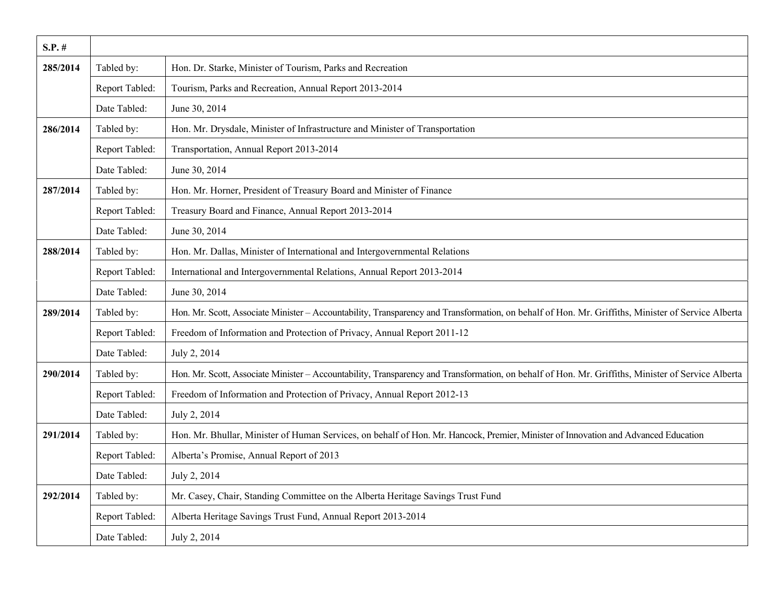| $S.P.$ # |                |                                                                                                                                                    |
|----------|----------------|----------------------------------------------------------------------------------------------------------------------------------------------------|
| 285/2014 | Tabled by:     | Hon. Dr. Starke, Minister of Tourism, Parks and Recreation                                                                                         |
|          | Report Tabled: | Tourism, Parks and Recreation, Annual Report 2013-2014                                                                                             |
|          | Date Tabled:   | June 30, 2014                                                                                                                                      |
| 286/2014 | Tabled by:     | Hon. Mr. Drysdale, Minister of Infrastructure and Minister of Transportation                                                                       |
|          | Report Tabled: | Transportation, Annual Report 2013-2014                                                                                                            |
|          | Date Tabled:   | June 30, 2014                                                                                                                                      |
| 287/2014 | Tabled by:     | Hon. Mr. Horner, President of Treasury Board and Minister of Finance                                                                               |
|          | Report Tabled: | Treasury Board and Finance, Annual Report 2013-2014                                                                                                |
|          | Date Tabled:   | June 30, 2014                                                                                                                                      |
| 288/2014 | Tabled by:     | Hon. Mr. Dallas, Minister of International and Intergovernmental Relations                                                                         |
|          | Report Tabled: | International and Intergovernmental Relations, Annual Report 2013-2014                                                                             |
|          | Date Tabled:   | June 30, 2014                                                                                                                                      |
| 289/2014 | Tabled by:     | Hon. Mr. Scott, Associate Minister - Accountability, Transparency and Transformation, on behalf of Hon. Mr. Griffiths, Minister of Service Alberta |
|          | Report Tabled: | Freedom of Information and Protection of Privacy, Annual Report 2011-12                                                                            |
|          | Date Tabled:   | July 2, 2014                                                                                                                                       |
| 290/2014 | Tabled by:     | Hon. Mr. Scott, Associate Minister - Accountability, Transparency and Transformation, on behalf of Hon. Mr. Griffiths, Minister of Service Alberta |
|          | Report Tabled: | Freedom of Information and Protection of Privacy, Annual Report 2012-13                                                                            |
|          | Date Tabled:   | July 2, 2014                                                                                                                                       |
| 291/2014 | Tabled by:     | Hon. Mr. Bhullar, Minister of Human Services, on behalf of Hon. Mr. Hancock, Premier, Minister of Innovation and Advanced Education                |
|          | Report Tabled: | Alberta's Promise, Annual Report of 2013                                                                                                           |
|          | Date Tabled:   | July 2, 2014                                                                                                                                       |
| 292/2014 | Tabled by:     | Mr. Casey, Chair, Standing Committee on the Alberta Heritage Savings Trust Fund                                                                    |
|          | Report Tabled: | Alberta Heritage Savings Trust Fund, Annual Report 2013-2014                                                                                       |
|          | Date Tabled:   | July 2, 2014                                                                                                                                       |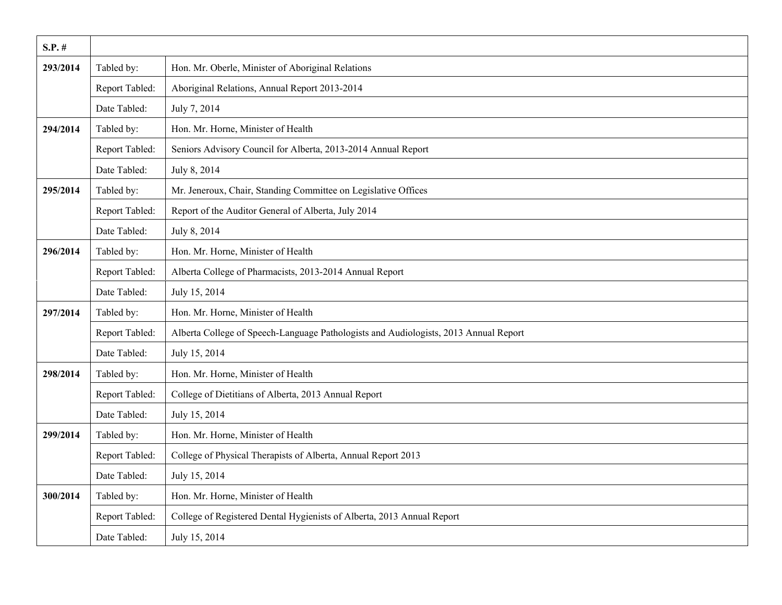| $S.P.$ # |                |                                                                                      |
|----------|----------------|--------------------------------------------------------------------------------------|
| 293/2014 | Tabled by:     | Hon. Mr. Oberle, Minister of Aboriginal Relations                                    |
|          | Report Tabled: | Aboriginal Relations, Annual Report 2013-2014                                        |
|          | Date Tabled:   | July 7, 2014                                                                         |
| 294/2014 | Tabled by:     | Hon. Mr. Horne, Minister of Health                                                   |
|          | Report Tabled: | Seniors Advisory Council for Alberta, 2013-2014 Annual Report                        |
|          | Date Tabled:   | July 8, 2014                                                                         |
| 295/2014 | Tabled by:     | Mr. Jeneroux, Chair, Standing Committee on Legislative Offices                       |
|          | Report Tabled: | Report of the Auditor General of Alberta, July 2014                                  |
|          | Date Tabled:   | July 8, 2014                                                                         |
| 296/2014 | Tabled by:     | Hon. Mr. Horne, Minister of Health                                                   |
|          | Report Tabled: | Alberta College of Pharmacists, 2013-2014 Annual Report                              |
|          | Date Tabled:   | July 15, 2014                                                                        |
| 297/2014 | Tabled by:     | Hon. Mr. Horne, Minister of Health                                                   |
|          | Report Tabled: | Alberta College of Speech-Language Pathologists and Audiologists, 2013 Annual Report |
|          | Date Tabled:   | July 15, 2014                                                                        |
| 298/2014 | Tabled by:     | Hon. Mr. Horne, Minister of Health                                                   |
|          | Report Tabled: | College of Dietitians of Alberta, 2013 Annual Report                                 |
|          | Date Tabled:   | July 15, 2014                                                                        |
| 299/2014 | Tabled by:     | Hon. Mr. Horne, Minister of Health                                                   |
|          | Report Tabled: | College of Physical Therapists of Alberta, Annual Report 2013                        |
|          | Date Tabled:   | July 15, 2014                                                                        |
| 300/2014 | Tabled by:     | Hon. Mr. Horne, Minister of Health                                                   |
|          | Report Tabled: | College of Registered Dental Hygienists of Alberta, 2013 Annual Report               |
|          | Date Tabled:   | July 15, 2014                                                                        |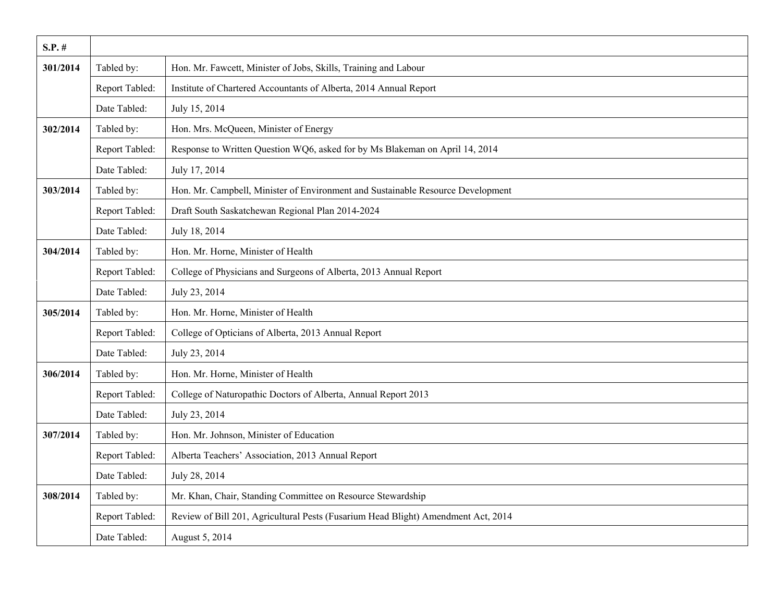| $S.P.$ # |                |                                                                                   |
|----------|----------------|-----------------------------------------------------------------------------------|
| 301/2014 | Tabled by:     | Hon. Mr. Fawcett, Minister of Jobs, Skills, Training and Labour                   |
|          | Report Tabled: | Institute of Chartered Accountants of Alberta, 2014 Annual Report                 |
|          | Date Tabled:   | July 15, 2014                                                                     |
| 302/2014 | Tabled by:     | Hon. Mrs. McQueen, Minister of Energy                                             |
|          | Report Tabled: | Response to Written Question WQ6, asked for by Ms Blakeman on April 14, 2014      |
|          | Date Tabled:   | July 17, 2014                                                                     |
| 303/2014 | Tabled by:     | Hon. Mr. Campbell, Minister of Environment and Sustainable Resource Development   |
|          | Report Tabled: | Draft South Saskatchewan Regional Plan 2014-2024                                  |
|          | Date Tabled:   | July 18, 2014                                                                     |
| 304/2014 | Tabled by:     | Hon. Mr. Horne, Minister of Health                                                |
|          | Report Tabled: | College of Physicians and Surgeons of Alberta, 2013 Annual Report                 |
|          | Date Tabled:   | July 23, 2014                                                                     |
| 305/2014 | Tabled by:     | Hon. Mr. Horne, Minister of Health                                                |
|          | Report Tabled: | College of Opticians of Alberta, 2013 Annual Report                               |
|          | Date Tabled:   | July 23, 2014                                                                     |
| 306/2014 | Tabled by:     | Hon. Mr. Horne, Minister of Health                                                |
|          | Report Tabled: | College of Naturopathic Doctors of Alberta, Annual Report 2013                    |
|          | Date Tabled:   | July 23, 2014                                                                     |
| 307/2014 | Tabled by:     | Hon. Mr. Johnson, Minister of Education                                           |
|          | Report Tabled: | Alberta Teachers' Association, 2013 Annual Report                                 |
|          | Date Tabled:   | July 28, 2014                                                                     |
| 308/2014 | Tabled by:     | Mr. Khan, Chair, Standing Committee on Resource Stewardship                       |
|          | Report Tabled: | Review of Bill 201, Agricultural Pests (Fusarium Head Blight) Amendment Act, 2014 |
|          | Date Tabled:   | August 5, 2014                                                                    |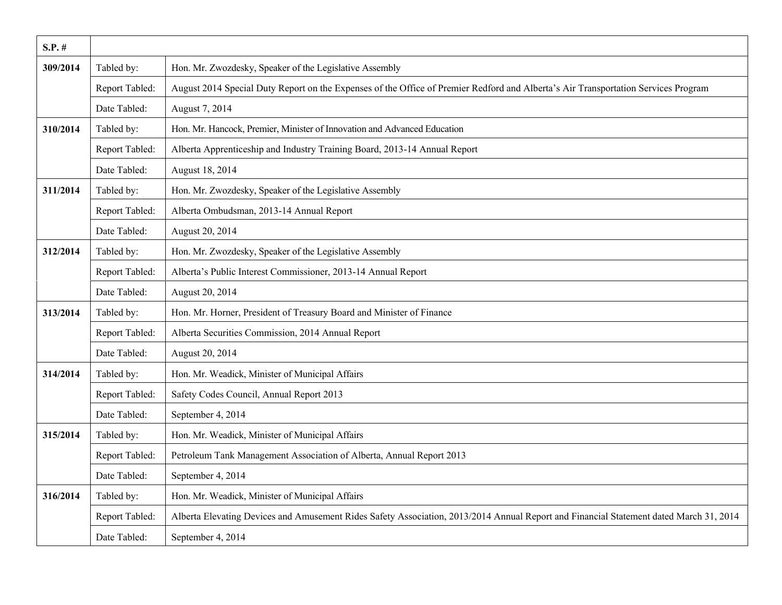| $S.P.$ # |                |                                                                                                                                        |
|----------|----------------|----------------------------------------------------------------------------------------------------------------------------------------|
| 309/2014 | Tabled by:     | Hon. Mr. Zwozdesky, Speaker of the Legislative Assembly                                                                                |
|          | Report Tabled: | August 2014 Special Duty Report on the Expenses of the Office of Premier Redford and Alberta's Air Transportation Services Program     |
|          | Date Tabled:   | August 7, 2014                                                                                                                         |
| 310/2014 | Tabled by:     | Hon. Mr. Hancock, Premier, Minister of Innovation and Advanced Education                                                               |
|          | Report Tabled: | Alberta Apprenticeship and Industry Training Board, 2013-14 Annual Report                                                              |
|          | Date Tabled:   | August 18, 2014                                                                                                                        |
| 311/2014 | Tabled by:     | Hon. Mr. Zwozdesky, Speaker of the Legislative Assembly                                                                                |
|          | Report Tabled: | Alberta Ombudsman, 2013-14 Annual Report                                                                                               |
|          | Date Tabled:   | August 20, 2014                                                                                                                        |
| 312/2014 | Tabled by:     | Hon. Mr. Zwozdesky, Speaker of the Legislative Assembly                                                                                |
|          | Report Tabled: | Alberta's Public Interest Commissioner, 2013-14 Annual Report                                                                          |
|          | Date Tabled:   | August 20, 2014                                                                                                                        |
| 313/2014 | Tabled by:     | Hon. Mr. Horner, President of Treasury Board and Minister of Finance                                                                   |
|          | Report Tabled: | Alberta Securities Commission, 2014 Annual Report                                                                                      |
|          | Date Tabled:   | August 20, 2014                                                                                                                        |
| 314/2014 | Tabled by:     | Hon. Mr. Weadick, Minister of Municipal Affairs                                                                                        |
|          | Report Tabled: | Safety Codes Council, Annual Report 2013                                                                                               |
|          | Date Tabled:   | September 4, 2014                                                                                                                      |
| 315/2014 | Tabled by:     | Hon. Mr. Weadick, Minister of Municipal Affairs                                                                                        |
|          | Report Tabled: | Petroleum Tank Management Association of Alberta, Annual Report 2013                                                                   |
|          | Date Tabled:   | September 4, 2014                                                                                                                      |
| 316/2014 | Tabled by:     | Hon. Mr. Weadick, Minister of Municipal Affairs                                                                                        |
|          | Report Tabled: | Alberta Elevating Devices and Amusement Rides Safety Association, 2013/2014 Annual Report and Financial Statement dated March 31, 2014 |
|          | Date Tabled:   | September 4, 2014                                                                                                                      |